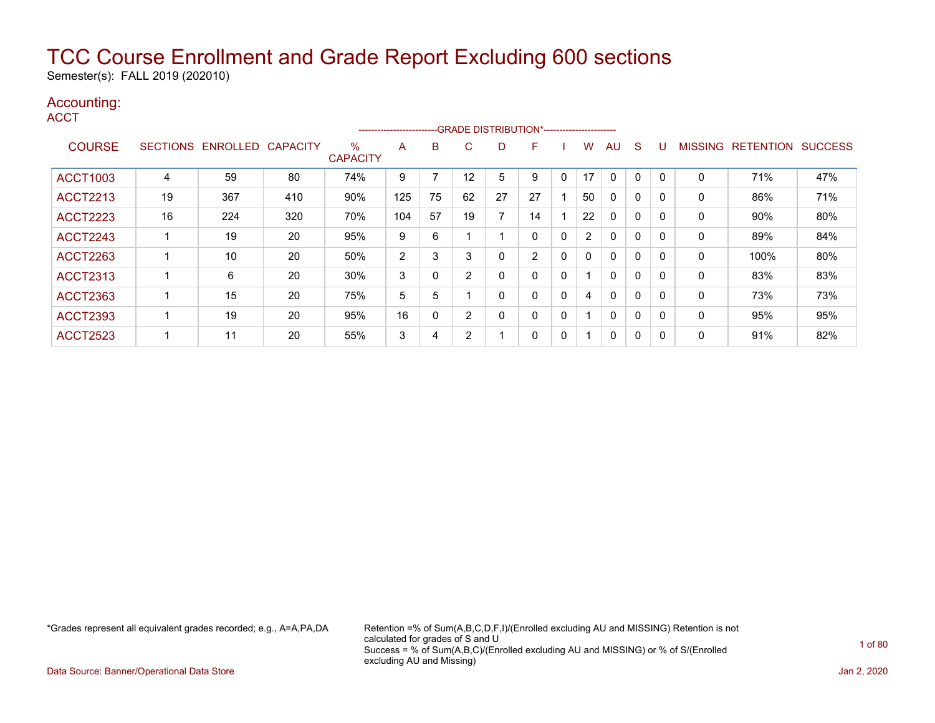Semester(s): FALL 2019 (202010)

### Accounting:

**ACCT** 

|                 |                 |                 |                 |                      | ------------------------ |    |    |    | --- GRADE DISTRIBUTION*----------------------- |              |                |              |              |                |                  |                |
|-----------------|-----------------|-----------------|-----------------|----------------------|--------------------------|----|----|----|------------------------------------------------|--------------|----------------|--------------|--------------|----------------|------------------|----------------|
| <b>COURSE</b>   | <b>SECTIONS</b> | <b>ENROLLED</b> | <b>CAPACITY</b> | %<br><b>CAPACITY</b> | A                        | B  | C  | D  | F                                              |              | W              | AU           | S            | <b>MISSING</b> | <b>RETENTION</b> | <b>SUCCESS</b> |
| <b>ACCT1003</b> | 4               | 59              | 80              | 74%                  | 9                        |    | 12 | 5  | 9                                              | 0            | 17             | 0            | 0            | 0              | 71%              | 47%            |
| <b>ACCT2213</b> | 19              | 367             | 410             | 90%                  | 125                      | 75 | 62 | 27 | 27                                             |              | 50             | 0            | 0            | 0              | 86%              | 71%            |
| <b>ACCT2223</b> | 16              | 224             | 320             | 70%                  | 104                      | 57 | 19 | 7  | 14                                             |              | 22             | 0            | 0            | 0              | 90%              | 80%            |
| <b>ACCT2243</b> |                 | 19              | 20              | 95%                  | 9                        | 6  |    |    | 0                                              | 0            | $\overline{2}$ | $\Omega$     | 0            | 0              | 89%              | 84%            |
| <b>ACCT2263</b> |                 | 10              | 20              | 50%                  | 2                        | 3  | 3  | 0  | $\overline{2}$                                 | 0            | 0              | $\mathbf{0}$ | $\mathbf 0$  | 0              | 100%             | 80%            |
| <b>ACCT2313</b> |                 | 6               | 20              | 30%                  | 3                        |    | 2  | 0  | 0                                              | 0            |                | $\mathbf{0}$ | 0            | 0              | 83%              | 83%            |
| <b>ACCT2363</b> |                 | 15              | 20              | 75%                  | 5                        | 5  |    | 0  | 0                                              | 0            | 4              | $\Omega$     | $\mathbf{0}$ | $\mathbf{0}$   | 73%              | 73%            |
| <b>ACCT2393</b> |                 | 19              | 20              | 95%                  | 16                       | 0  | 2  | 0  | 0                                              | $\mathbf{0}$ |                | $\mathbf{0}$ | $\Omega$     | 0              | 95%              | 95%            |
| <b>ACCT2523</b> |                 | 11              | 20              | 55%                  | 3                        | 4  | 2  |    | 0                                              | 0            |                | 0            | 0            | 0              | 91%              | 82%            |

\*Grades represent all equivalent grades recorded; e.g., A=A,PA,DA Retention =% of Sum(A,B,C,D,F,I)/(Enrolled excluding AU and MISSING) Retention is not calculated for grades of S and U Success = % of Sum(A,B,C)/(Enrolled excluding AU and MISSING) or % of S/(Enrolled excluding AU and Missing)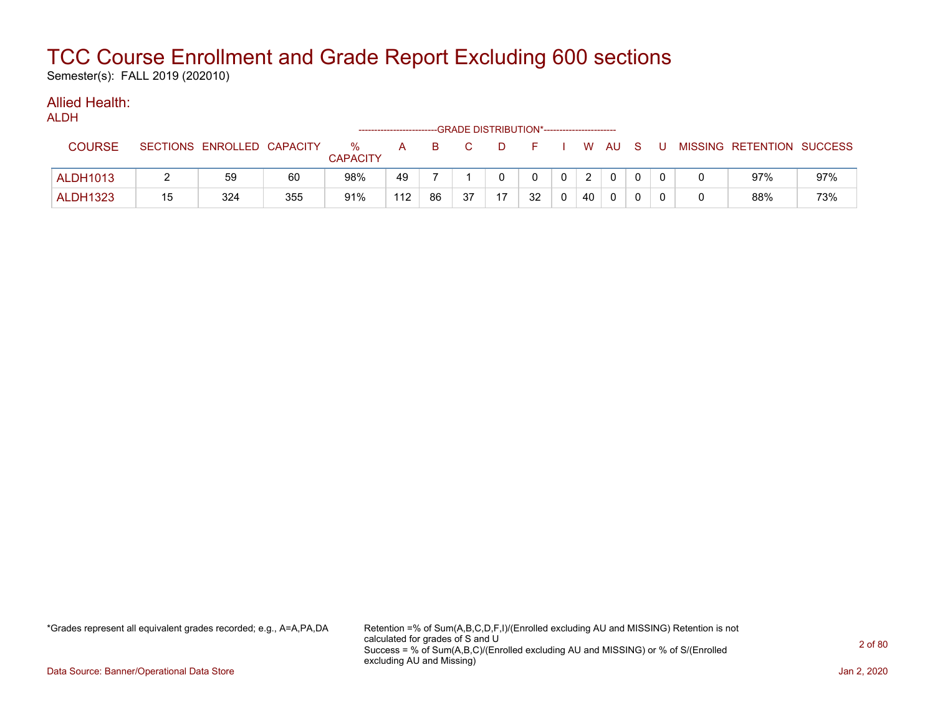Semester(s): FALL 2019 (202010)

#### Allied Health: ALDH

|                 |    |                            |     |                         |     |    |    |    | --GRADE DISTRIBUTION*----------------------- |                |                |              |          |       |                           |     |
|-----------------|----|----------------------------|-----|-------------------------|-----|----|----|----|----------------------------------------------|----------------|----------------|--------------|----------|-------|---------------------------|-----|
| <b>COURSE</b>   |    | SECTIONS ENROLLED CAPACITY |     | $\%$<br><b>CAPACITY</b> | A   | B. |    |    | <b>E</b>                                     |                |                | WAUS         |          | - U - | MISSING RETENTION SUCCESS |     |
| <b>ALDH1013</b> |    | 59                         | 60  | 98%                     | 49  |    |    |    | $\mathbf{0}$                                 | 0 <sup>1</sup> | $\overline{2}$ | $\mathbf{0}$ | $\Omega$ |       | 97%                       | 97% |
| <b>ALDH1323</b> | 15 | 324                        | 355 | 91%                     | 112 | 86 | 37 | 17 | 32                                           |                | 40             | 0            |          |       | 88%                       | 73% |

\*Grades represent all equivalent grades recorded; e.g., A=A,PA,DA Retention =% of Sum(A,B,C,D,F,I)/(Enrolled excluding AU and MISSING) Retention is not calculated for grades of S and U Success = % of Sum(A,B,C)/(Enrolled excluding AU and MISSING) or % of S/(Enrolled excluding AU and Missing)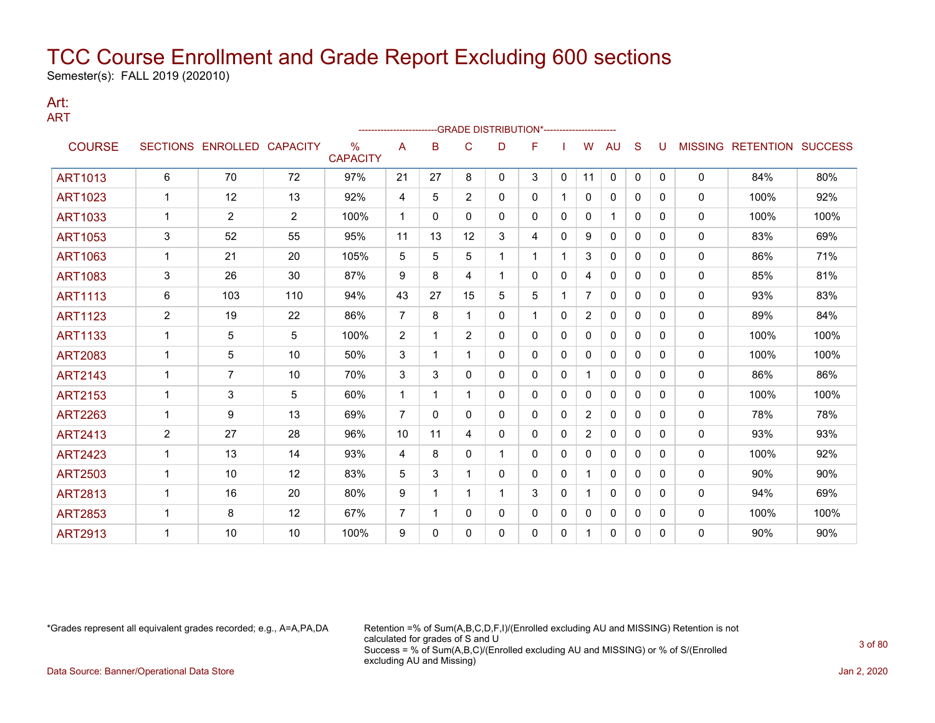Semester(s): FALL 2019 (202010)

### Art: ART

|                |                |                   |                 |                         | ----------------------- |          |                | -- GRADE DISTRIBUTION*----------------------- |   |              |                |              |          |              |                |                  |                |
|----------------|----------------|-------------------|-----------------|-------------------------|-------------------------|----------|----------------|-----------------------------------------------|---|--------------|----------------|--------------|----------|--------------|----------------|------------------|----------------|
| <b>COURSE</b>  |                | SECTIONS ENROLLED | <b>CAPACITY</b> | $\%$<br><b>CAPACITY</b> | A                       | B        | C              | D                                             | F |              | w              | AU           | S        | U            | <b>MISSING</b> | <b>RETENTION</b> | <b>SUCCESS</b> |
| <b>ART1013</b> | 6              | 70                | 72              | 97%                     | 21                      | 27       | 8              | 0                                             | 3 | $\mathbf{0}$ | 11             | $\mathbf{0}$ | $\Omega$ | $\mathbf{0}$ | $\mathbf{0}$   | 84%              | 80%            |
| <b>ART1023</b> |                | 12                | 13              | 92%                     | 4                       | 5        | $\overline{2}$ | 0                                             | 0 |              | 0              | 0            | 0        | 0            | 0              | 100%             | 92%            |
| <b>ART1033</b> |                | $\overline{2}$    | 2               | 100%                    | 1                       | 0        | 0              | 0                                             | 0 | $\Omega$     | 0              |              | $\Omega$ | 0            | $\mathbf{0}$   | 100%             | 100%           |
| <b>ART1053</b> | 3              | 52                | 55              | 95%                     | 11                      | 13       | 12             | 3                                             | 4 | $\mathbf{0}$ | 9              | 0            | $\Omega$ | 0            | 0              | 83%              | 69%            |
| <b>ART1063</b> |                | 21                | 20              | 105%                    | 5                       | 5        | 5              |                                               | 1 |              | 3              | 0            | $\Omega$ | $\Omega$     | 0              | 86%              | 71%            |
| <b>ART1083</b> | 3              | 26                | 30              | 87%                     | 9                       | 8        | 4              | $\mathbf{1}$                                  | 0 | 0            | 4              | 0            | $\Omega$ | 0            | 0              | 85%              | 81%            |
| <b>ART1113</b> | 6              | 103               | 110             | 94%                     | 43                      | 27       | 15             | 5                                             | 5 |              | 7              | 0            | $\Omega$ | 0            | 0              | 93%              | 83%            |
| <b>ART1123</b> | $\overline{c}$ | 19                | 22              | 86%                     | $\overline{7}$          | 8        | 1              | 0                                             | 1 | 0            | $\overline{c}$ | 0            | $\Omega$ | 0            | $\mathbf{0}$   | 89%              | 84%            |
| <b>ART1133</b> | 1              | 5                 | 5               | 100%                    | 2                       | 1        | $\overline{2}$ | 0                                             | 0 | 0            | 0              | 0            | $\Omega$ | 0            | 0              | 100%             | 100%           |
| <b>ART2083</b> |                | 5                 | 10              | 50%                     | 3                       |          |                | 0                                             | 0 | 0            | 0              | 0            | $\Omega$ | 0            | $\mathbf{0}$   | 100%             | 100%           |
| <b>ART2143</b> |                | $\overline{7}$    | 10              | 70%                     | 3                       | 3        | 0              | 0                                             | 0 | 0            | 1.             | 0            | 0        | 0            | 0              | 86%              | 86%            |
| <b>ART2153</b> |                | 3                 | 5               | 60%                     | 1                       | 1        |                | 0                                             | 0 | 0            | 0              | $\mathbf{0}$ | $\Omega$ | 0            | $\mathbf{0}$   | 100%             | 100%           |
| <b>ART2263</b> | 1              | 9                 | 13              | 69%                     | $\overline{7}$          | $\Omega$ | 0              | 0                                             | 0 | 0            | $\overline{2}$ | $\mathbf{0}$ | $\Omega$ | 0            | 0              | 78%              | 78%            |
| <b>ART2413</b> | $\overline{c}$ | 27                | 28              | 96%                     | 10                      | 11       | 4              | 0                                             | 0 | $\Omega$     | 2              | $\mathbf{0}$ | $\Omega$ | $\Omega$     | $\mathbf{0}$   | 93%              | 93%            |
| <b>ART2423</b> |                | 13                | 14              | 93%                     | 4                       | 8        | 0              |                                               | 0 | 0            | 0              | 0            | $\Omega$ | 0            | 0              | 100%             | 92%            |
| <b>ART2503</b> | 1              | 10                | 12              | 83%                     | 5                       | 3        |                | 0                                             | 0 | 0            | 1.             | 0            | $\Omega$ | 0            | 0              | 90%              | 90%            |
| <b>ART2813</b> | $\mathbf 1$    | 16                | 20              | 80%                     | 9                       | 1        |                | 1                                             | 3 | 0            | 1              | 0            | $\Omega$ | $\Omega$     | 0              | 94%              | 69%            |
| <b>ART2853</b> | 1              | 8                 | 12              | 67%                     | 7                       | 1        | 0              | 0                                             | 0 | 0            | 0              | 0            | 0        | 0            | 0              | 100%             | 100%           |
| <b>ART2913</b> |                | 10                | 10              | 100%                    | 9                       | 0        | 0              | 0                                             | 0 | 0            | 1              | 0            | $\Omega$ | 0            | $\mathbf{0}$   | 90%              | 90%            |

\*Grades represent all equivalent grades recorded; e.g., A=A,PA,DA Retention =% of Sum(A,B,C,D,F,I)/(Enrolled excluding AU and MISSING) Retention is not calculated for grades of S and U Success = % of Sum(A,B,C)/(Enrolled excluding AU and MISSING) or % of S/(Enrolled excluding AU and Missing)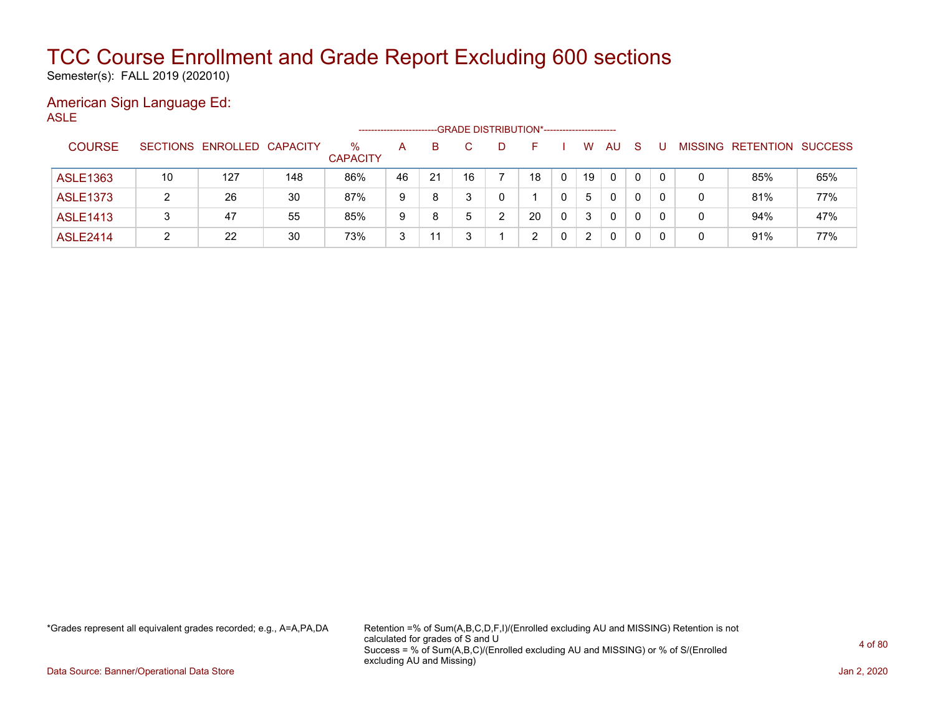Semester(s): FALL 2019 (202010)

### American Sign Language Ed: ASLE

|                 |    |                            |     |                         | ------------------- |    |    |              | -GRADE DISTRIBUTION*----------------------- |   |    |          |    |          |   |                   |                |
|-----------------|----|----------------------------|-----|-------------------------|---------------------|----|----|--------------|---------------------------------------------|---|----|----------|----|----------|---|-------------------|----------------|
| <b>COURSE</b>   |    | SECTIONS ENROLLED CAPACITY |     | $\%$<br><b>CAPACITY</b> | A                   | B. |    | $\mathbf{D}$ | н.                                          |   | W  | AU       | -S |          |   | MISSING RETENTION | <b>SUCCESS</b> |
| ASLE1363        | 10 | 127                        | 148 | 86%                     | 46                  | 21 | 16 |              | 18                                          | 0 | 19 | 0        | 0  | $\Omega$ | 0 | 85%               | 65%            |
| <b>ASLE1373</b> |    | 26                         | 30  | 87%                     | 9                   | 8  |    |              |                                             |   | 5  | $\Omega$ | 0  | 0        | 0 | 81%               | 77%            |
| <b>ASLE1413</b> |    | 47                         | 55  | 85%                     | 9                   | 8  | 5  | າ            | 20                                          | 0 | 3  | 0        | 0  | 0        | 0 | 94%               | 47%            |
| <b>ASLE2414</b> |    | 22                         | 30  | 73%                     | 3                   | 11 |    |              | 2                                           |   | 2  | 0        | 0  | - 0      | 0 | 91%               | 77%            |

\*Grades represent all equivalent grades recorded; e.g., A=A,PA,DA Retention =% of Sum(A,B,C,D,F,I)/(Enrolled excluding AU and MISSING) Retention is not calculated for grades of S and U Success = % of Sum(A,B,C)/(Enrolled excluding AU and MISSING) or % of S/(Enrolled excluding AU and Missing)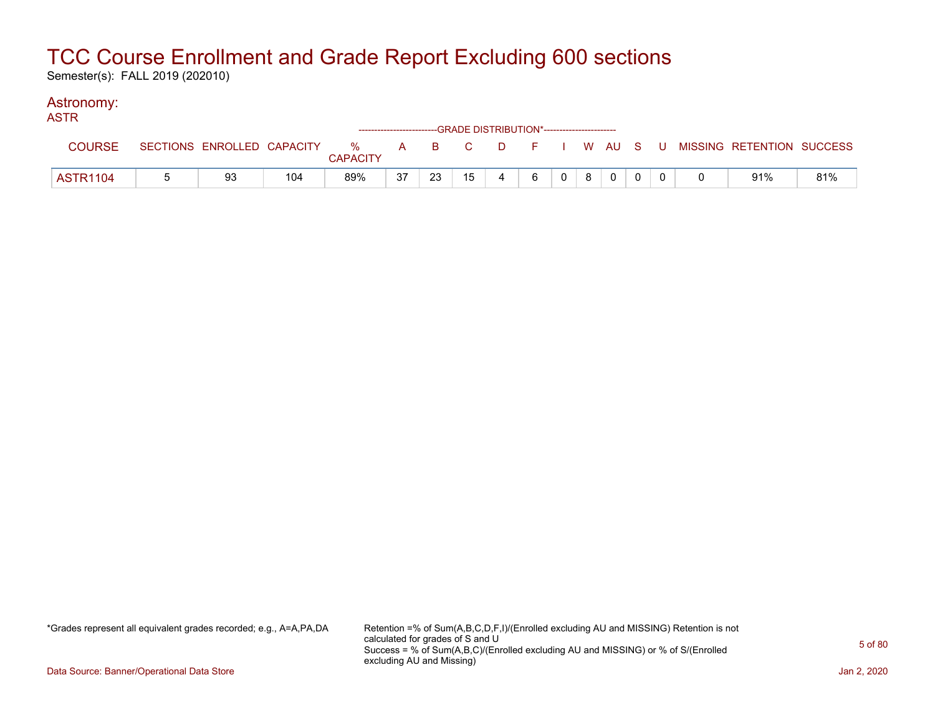Semester(s): FALL 2019 (202010)

#### Astronomy: ASTR

| AU LIN          |                            |     |                      |    |       | ------------------------GRADE DISTRIBUTION*----------------------- |        |   |                |   |  |  |                                        |     |
|-----------------|----------------------------|-----|----------------------|----|-------|--------------------------------------------------------------------|--------|---|----------------|---|--|--|----------------------------------------|-----|
| <b>COURSE</b>   | SECTIONS ENROLLED CAPACITY |     | %<br><b>CAPACITY</b> |    | A B C |                                                                    | $\Box$ |   |                |   |  |  | F I W AU S U MISSING RETENTION SUCCESS |     |
| <b>ASTR1104</b> | 93                         | 104 | 89%                  | 37 | 23    | 15                                                                 |        | 6 | 0 <sup>1</sup> | 8 |  |  | 91%                                    | 81% |

\*Grades represent all equivalent grades recorded; e.g., A=A,PA,DA Retention =% of Sum(A,B,C,D,F,I)/(Enrolled excluding AU and MISSING) Retention is not calculated for grades of S and U Success = % of Sum(A,B,C)/(Enrolled excluding AU and MISSING) or % of S/(Enrolled excluding AU and Missing)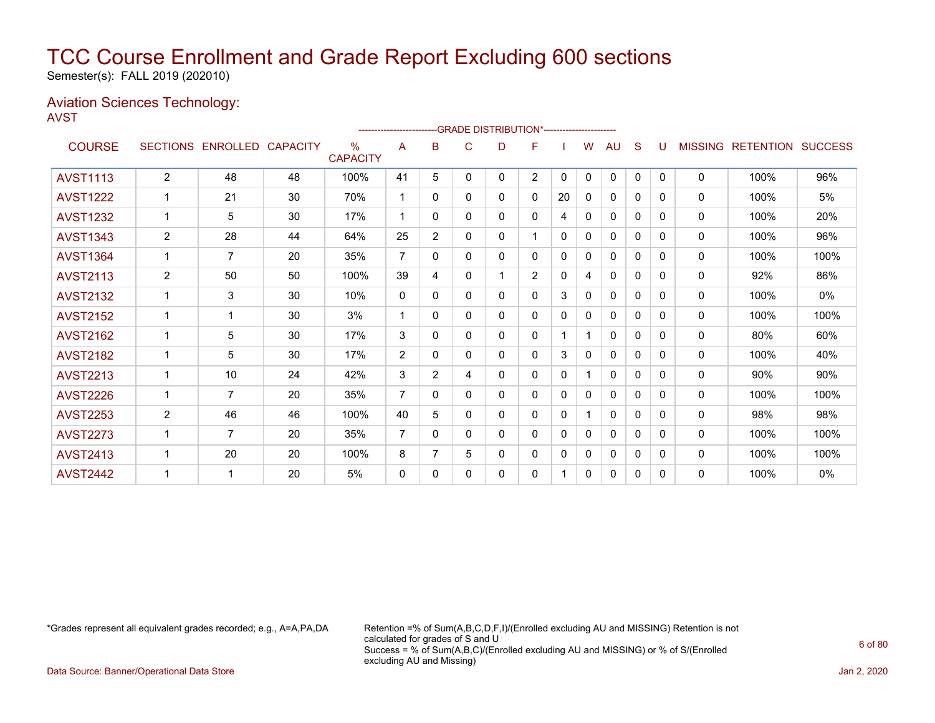Semester(s): FALL 2019 (202010)

### Aviation Sciences Technology: AVST

|                 |                |                            |    |                         |                |                |          | -------------------------GRADE DISTRIBUTION*---------------------- |                |              |              |              |              |              |                |                          |      |
|-----------------|----------------|----------------------------|----|-------------------------|----------------|----------------|----------|--------------------------------------------------------------------|----------------|--------------|--------------|--------------|--------------|--------------|----------------|--------------------------|------|
| <b>COURSE</b>   |                | SECTIONS ENROLLED CAPACITY |    | $\%$<br><b>CAPACITY</b> | A              | в              | C        | D                                                                  | F              |              | w            | AU           | S            | U            | <b>MISSING</b> | <b>RETENTION SUCCESS</b> |      |
| <b>AVST1113</b> | $\overline{2}$ | 48                         | 48 | 100%                    | 41             | 5              | 0        | 0                                                                  | $\overline{2}$ | $\mathbf{0}$ | $\mathbf{0}$ | 0            | $\mathbf{0}$ | $\Omega$     | 0              | 100%                     | 96%  |
| <b>AVST1222</b> | 1              | 21                         | 30 | 70%                     | -1             | 0              | 0        | 0                                                                  | 0              | 20           | 0            | 0            | 0            | 0            | 0              | 100%                     | 5%   |
| <b>AVST1232</b> | 1              | 5                          | 30 | 17%                     | 1              | 0              | 0        | 0                                                                  | 0              | 4            | 0            | 0            | 0            | 0            | 0              | 100%                     | 20%  |
| <b>AVST1343</b> | $\overline{2}$ | 28                         | 44 | 64%                     | 25             | $\overline{2}$ | 0        | 0                                                                  | 1              | 0            | 0            | 0            | 0            | <sup>0</sup> | $\mathbf{0}$   | 100%                     | 96%  |
| <b>AVST1364</b> | 1              | $\overline{7}$             | 20 | 35%                     | $\overline{7}$ | $\Omega$       | $\Omega$ | 0                                                                  | 0              | 0            | 0            | $\mathbf{0}$ | $\Omega$     | <sup>0</sup> | $\mathbf{0}$   | 100%                     | 100% |
| <b>AVST2113</b> | 2              | 50                         | 50 | 100%                    | 39             | 4              | $\Omega$ |                                                                    | $\overline{2}$ | $\Omega$     | 4            | $\mathbf{0}$ | 0            | <sup>0</sup> | 0              | 92%                      | 86%  |
| <b>AVST2132</b> |                | 3                          | 30 | 10%                     | $\mathbf{0}$   | $\Omega$       | 0        | 0                                                                  | 0              | 3            | 0            | $\mathbf{0}$ | $\Omega$     | 0            | 0              | 100%                     | 0%   |
| <b>AVST2152</b> |                |                            | 30 | 3%                      | $\mathbf 1$    | 0              | $\Omega$ | 0                                                                  | 0              | $\Omega$     | $\Omega$     | $\Omega$     | $\Omega$     | 0            | 0              | 100%                     | 100% |
| <b>AVST2162</b> | 1              | 5                          | 30 | 17%                     | 3              | 0              | 0        | 0                                                                  | 0              |              |              | $\mathbf{0}$ | $\Omega$     | <sup>0</sup> | 0              | 80%                      | 60%  |
| <b>AVST2182</b> | 1              | 5                          | 30 | 17%                     | 2              | $\mathbf{0}$   | 0        | 0                                                                  | 0              | 3            | 0            | 0            | $\mathbf{0}$ | 0            | 0              | 100%                     | 40%  |
| <b>AVST2213</b> | $\mathbf 1$    | 10                         | 24 | 42%                     | 3              | $\overline{2}$ | 4        | 0                                                                  | 0              | $\mathbf{0}$ |              | $\mathbf{0}$ | $\mathbf{0}$ | 0            | 0              | 90%                      | 90%  |
| <b>AVST2226</b> | $\mathbf{1}$   | $\overline{7}$             | 20 | 35%                     | $\overline{7}$ | 0              | $\Omega$ | 0                                                                  | 0              | $\Omega$     | $\mathbf{0}$ | $\Omega$     | $\Omega$     | $\Omega$     | 0              | 100%                     | 100% |
| <b>AVST2253</b> | $\overline{2}$ | 46                         | 46 | 100%                    | 40             | 5              | 0        | 0                                                                  | 0              | $\mathbf{0}$ |              | $\mathbf{0}$ | $\Omega$     | 0            | 0              | 98%                      | 98%  |
| <b>AVST2273</b> | 1              | 7                          | 20 | 35%                     | $\overline{7}$ | $\Omega$       | 0        | 0                                                                  | 0              | $\Omega$     | 0            | $\mathbf{0}$ | $\Omega$     | <sup>0</sup> | $\mathbf{0}$   | 100%                     | 100% |
| <b>AVST2413</b> | 1              | 20                         | 20 | 100%                    | 8              | 7              | 5        | 0                                                                  | 0              | $\mathbf{0}$ | 0            | $\mathbf{0}$ | $\mathbf 0$  | 0            | 0              | 100%                     | 100% |
| <b>AVST2442</b> |                | 1                          | 20 | 5%                      | $\mathbf{0}$   | 0              | 0        | 0                                                                  | 0              |              | 0            | $\mathbf{0}$ | 0            | 0            | 0              | 100%                     | 0%   |
|                 |                |                            |    |                         |                |                |          |                                                                    |                |              |              |              |              |              |                |                          |      |

\*Grades represent all equivalent grades recorded; e.g., A=A,PA,DA Retention =% of Sum(A,B,C,D,F,I)/(Enrolled excluding AU and MISSING) Retention is not calculated for grades of S and U Success = % of Sum(A,B,C)/(Enrolled excluding AU and MISSING) or % of S/(Enrolled excluding AU and Missing)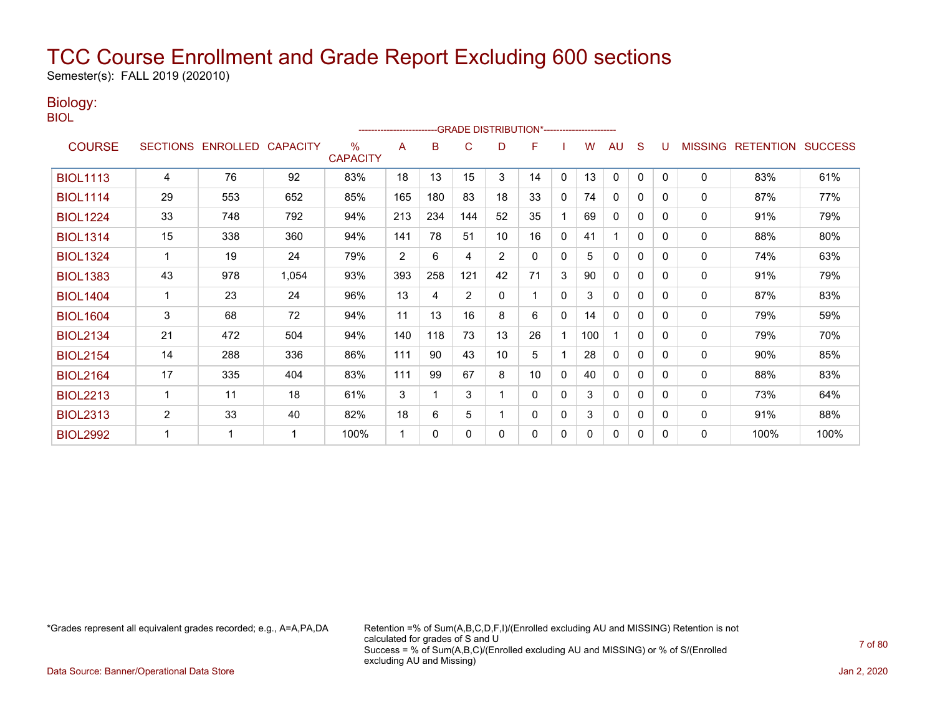Semester(s): FALL 2019 (202010)

### Biology:

| . .<br>۰.<br>× | ۰, |
|----------------|----|
|                |    |
| M.<br>۰.       |    |

|                 |                |                            |       |                      |     |     | -GRADE DISTRIBUTION*---------------------- |    |          |              |     |              |              |          |                |                          |      |
|-----------------|----------------|----------------------------|-------|----------------------|-----|-----|--------------------------------------------|----|----------|--------------|-----|--------------|--------------|----------|----------------|--------------------------|------|
| <b>COURSE</b>   |                | SECTIONS ENROLLED CAPACITY |       | ℅<br><b>CAPACITY</b> | A   | B   | C                                          | D  | F        |              | w   | AU           | S            |          | <b>MISSING</b> | <b>RETENTION SUCCESS</b> |      |
| <b>BIOL1113</b> | 4              | 76                         | 92    | 83%                  | 18  | 13  | 15                                         | 3  | 14       | $\mathbf{0}$ | 13  | $\mathbf{0}$ | $\mathbf{0}$ | $\Omega$ | 0              | 83%                      | 61%  |
| <b>BIOL1114</b> | 29             | 553                        | 652   | 85%                  | 165 | 180 | 83                                         | 18 | 33       | 0            | 74  | $\mathbf{0}$ | 0            | $\Omega$ | 0              | 87%                      | 77%  |
| <b>BIOL1224</b> | 33             | 748                        | 792   | 94%                  | 213 | 234 | 144                                        | 52 | 35       |              | 69  | $\mathbf{0}$ | $\mathbf{0}$ | 0        | 0              | 91%                      | 79%  |
| <b>BIOL1314</b> | 15             | 338                        | 360   | 94%                  | 141 | 78  | 51                                         | 10 | 16       | $\mathbf{0}$ | 41  |              | $\mathbf{0}$ | 0        | 0              | 88%                      | 80%  |
| <b>BIOL1324</b> | 1              | 19                         | 24    | 79%                  | 2   | 6   | 4                                          | 2  | $\Omega$ | 0            | 5   | $\mathbf{0}$ | $\Omega$     | $\Omega$ | 0              | 74%                      | 63%  |
| <b>BIOL1383</b> | 43             | 978                        | 1,054 | 93%                  | 393 | 258 | 121                                        | 42 | 71       | 3            | 90  | $\mathbf{0}$ | $\mathbf{0}$ | 0        | 0              | 91%                      | 79%  |
| <b>BIOL1404</b> | $\mathbf{1}$   | 23                         | 24    | 96%                  | 13  | 4   | $\overline{2}$                             | 0  |          | $\Omega$     | 3   | $\mathbf 0$  | $\mathbf{0}$ | 0        | 0              | 87%                      | 83%  |
| <b>BIOL1604</b> | 3              | 68                         | 72    | 94%                  | 11  | 13  | 16                                         | 8  | 6        | $\Omega$     | 14  | $\mathbf{0}$ | $\Omega$     | 0        | $\mathbf 0$    | 79%                      | 59%  |
| <b>BIOL2134</b> | 21             | 472                        | 504   | 94%                  | 140 | 118 | 73                                         | 13 | 26       |              | 100 |              | $\mathbf{0}$ | $\Omega$ | 0              | 79%                      | 70%  |
| <b>BIOL2154</b> | 14             | 288                        | 336   | 86%                  | 111 | 90  | 43                                         | 10 | 5        |              | 28  | 0            | $\mathbf{0}$ | 0        | 0              | 90%                      | 85%  |
| <b>BIOL2164</b> | 17             | 335                        | 404   | 83%                  | 111 | 99  | 67                                         | 8  | 10       | $\mathbf{0}$ | 40  | $\mathbf{0}$ | $\Omega$     | 0        | 0              | 88%                      | 83%  |
| <b>BIOL2213</b> | 1              | 11                         | 18    | 61%                  | 3   |     | 3                                          |    | $\Omega$ | 0            | 3   | $\mathbf{0}$ | 0            | 0        | $\mathbf{0}$   | 73%                      | 64%  |
| <b>BIOL2313</b> | $\overline{2}$ | 33                         | 40    | 82%                  | 18  | 6   | 5                                          |    | 0        | 0            | 3   | 0            | 0            | 0        | 0              | 91%                      | 88%  |
| <b>BIOL2992</b> | 1              |                            | 1     | 100%                 | 1   | 0   | $\Omega$                                   | 0  | 0        | 0            | 0   | 0            | 0            | 0        | 0              | 100%                     | 100% |

\*Grades represent all equivalent grades recorded; e.g., A=A,PA,DA Retention =% of Sum(A,B,C,D,F,I)/(Enrolled excluding AU and MISSING) Retention is not calculated for grades of S and U Success = % of Sum(A,B,C)/(Enrolled excluding AU and MISSING) or % of S/(Enrolled excluding AU and Missing)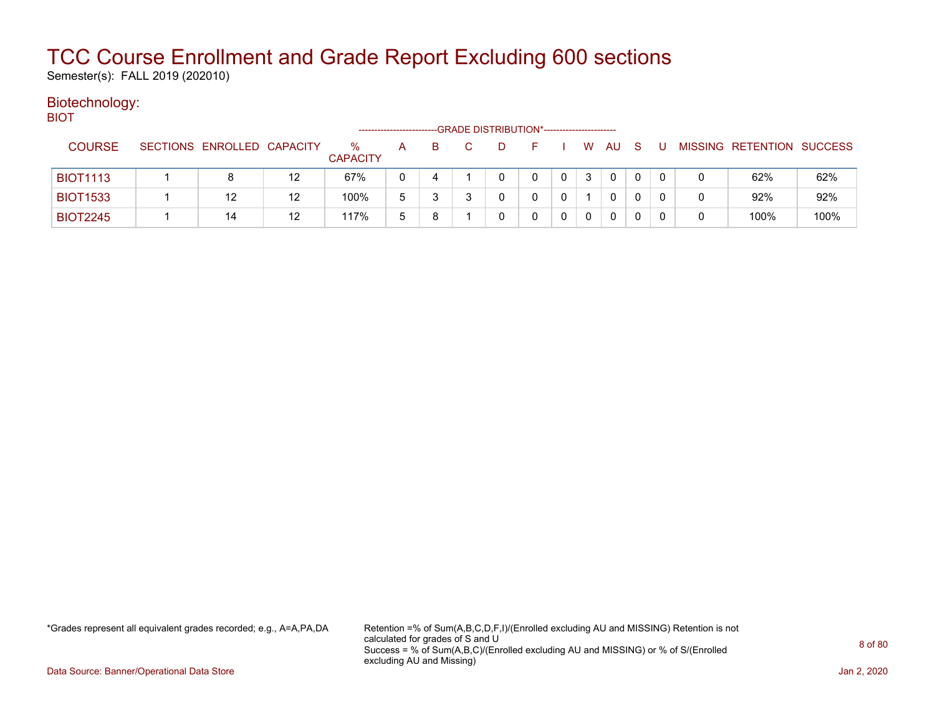Semester(s): FALL 2019 (202010)

#### Biotechnology: BIOT

|                 |                            |         |                         |              |   | -GRADE DISTRIBUTION*---------------------- |          |   |    |              |   |                           |      |
|-----------------|----------------------------|---------|-------------------------|--------------|---|--------------------------------------------|----------|---|----|--------------|---|---------------------------|------|
| <b>COURSE</b>   | SECTIONS ENROLLED CAPACITY |         | $\%$<br><b>CAPACITY</b> | A            | B | D                                          | <b>F</b> | W | AU | <sub>S</sub> |   | MISSING RETENTION SUCCESS |      |
| <b>BIOT1113</b> | 8                          | $12 \,$ | 67%                     |              |   |                                            |          |   | 0  | 0            |   | 62%                       | 62%  |
| <b>BIOT1533</b> | 12                         | 12      | 100%                    | 5            |   |                                            |          |   | 0  |              |   | 92%                       | 92%  |
| <b>BIOT2245</b> | 14                         | 12      | 117%                    | <sub>5</sub> |   |                                            |          |   | 0  |              | 0 | 100%                      | 100% |

\*Grades represent all equivalent grades recorded; e.g., A=A,PA,DA Retention =% of Sum(A,B,C,D,F,I)/(Enrolled excluding AU and MISSING) Retention is not calculated for grades of S and U Success = % of Sum(A,B,C)/(Enrolled excluding AU and MISSING) or % of S/(Enrolled excluding AU and Missing)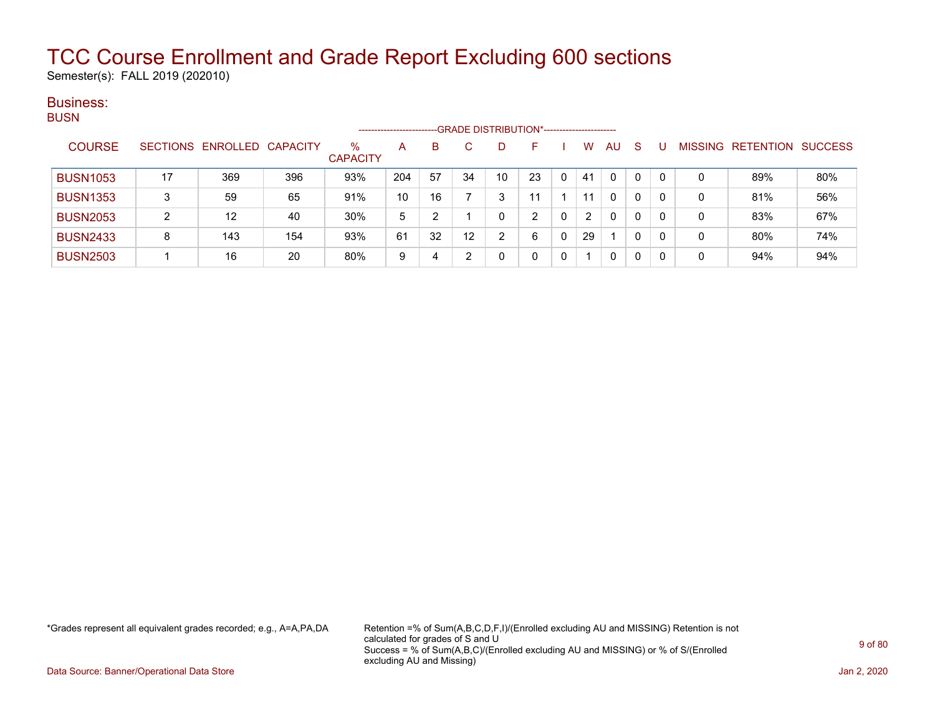Semester(s): FALL 2019 (202010)

### Business: **BUSN**

|                 |    |                            |     |                      | ---------------------- |    | -GRADE DISTRIBUTION*----------------------- |    |    |    |    |   |   |         |                  |                |
|-----------------|----|----------------------------|-----|----------------------|------------------------|----|---------------------------------------------|----|----|----|----|---|---|---------|------------------|----------------|
| <b>COURSE</b>   |    | SECTIONS ENROLLED CAPACITY |     | %<br><b>CAPACITY</b> | A                      | B  |                                             |    | н. | w  | AU | S |   | MISSING | <b>RETENTION</b> | <b>SUCCESS</b> |
| <b>BUSN1053</b> | 17 | 369                        | 396 | 93%                  | 204                    | 57 | 34                                          | 10 | 23 | 41 | 0  | 0 | 0 | 0       | 89%              | 80%            |
| <b>BUSN1353</b> | 3  | 59                         | 65  | 91%                  | 10                     | 16 |                                             |    |    |    | 0  | 0 | 0 | 0       | 81%              | 56%            |
| <b>BUSN2053</b> | 2  | 12                         | 40  | 30%                  | 5                      | ົ  |                                             |    | ົ  | 2  | 0  | 0 | 0 | 0       | 83%              | 67%            |
| <b>BUSN2433</b> | 8  | 143                        | 154 | 93%                  | 61                     | 32 | 12                                          |    | 6  | 29 |    | 0 | 0 | 0       | 80%              | 74%            |
| <b>BUSN2503</b> |    | 16                         | 20  | 80%                  | 9                      | 4  |                                             |    |    |    | 0  | 0 | 0 | 0       | 94%              | 94%            |

\*Grades represent all equivalent grades recorded; e.g., A=A,PA,DA Retention =% of Sum(A,B,C,D,F,I)/(Enrolled excluding AU and MISSING) Retention is not calculated for grades of S and U Success = % of Sum(A,B,C)/(Enrolled excluding AU and MISSING) or % of S/(Enrolled excluding AU and Missing)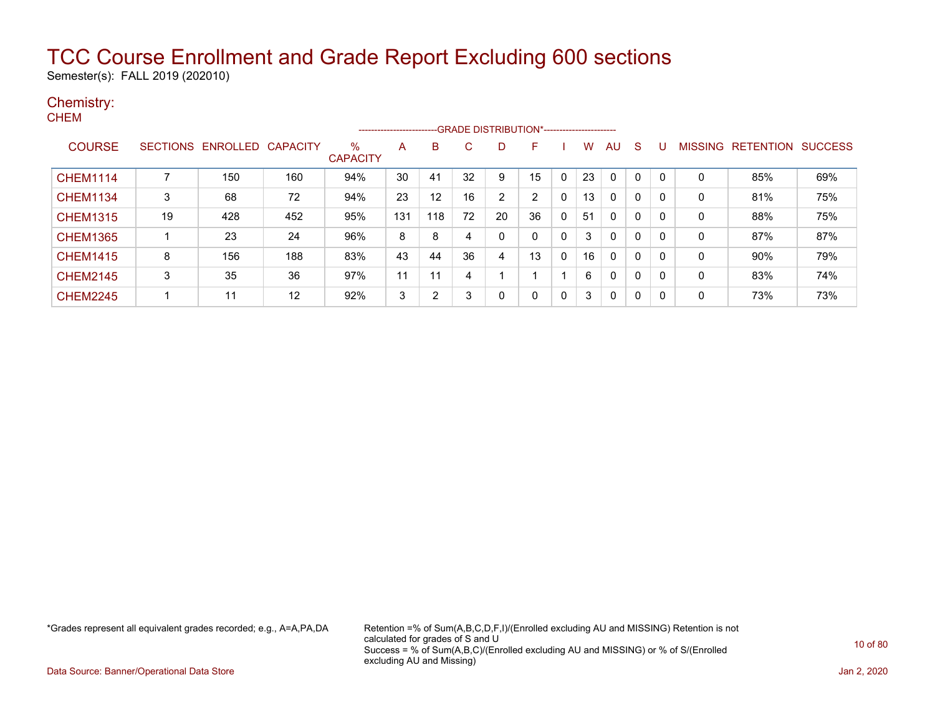Semester(s): FALL 2019 (202010)

### Chemistry: CHEM

|                 |                 |                   |     |                      | ----------------------- |     |    | --GRADE DISTRIBUTION*----------------------- |                |              |    |              |   |          |                |                  |                |
|-----------------|-----------------|-------------------|-----|----------------------|-------------------------|-----|----|----------------------------------------------|----------------|--------------|----|--------------|---|----------|----------------|------------------|----------------|
| <b>COURSE</b>   | <b>SECTIONS</b> | ENROLLED CAPACITY |     | %<br><b>CAPACITY</b> | А                       | B   | C  | D.                                           | F.             |              | w  | AU           | S |          | <b>MISSING</b> | <b>RETENTION</b> | <b>SUCCESS</b> |
| <b>CHEM1114</b> |                 | 150               | 160 | 94%                  | 30                      | 41  | 32 | 9                                            | 15             | $\mathbf{0}$ | 23 | $\mathbf{0}$ | 0 | $\Omega$ | 0              | 85%              | 69%            |
| <b>CHEM1134</b> | 3               | 68                | 72  | 94%                  | 23                      | 12  | 16 | 2                                            | $\overline{2}$ | 0            | 13 | 0            | 0 | 0        | 0              | 81%              | 75%            |
| <b>CHEM1315</b> | 19              | 428               | 452 | 95%                  | 131                     | 118 | 72 | 20                                           | 36             | 0            | 51 | 0            | 0 | $\Omega$ | 0              | 88%              | 75%            |
| <b>CHEM1365</b> |                 | 23                | 24  | 96%                  | 8                       | 8   | 4  | $\Omega$                                     | 0              | 0            | 3  | 0            | 0 | $\Omega$ | 0              | 87%              | 87%            |
| <b>CHEM1415</b> | 8               | 156               | 188 | 83%                  | 43                      | 44  | 36 | 4                                            | 13             | 0            | 16 | $\mathbf{0}$ | 0 | 0        | 0              | 90%              | 79%            |
| <b>CHEM2145</b> | 3               | 35                | 36  | 97%                  | 11                      | 11  | 4  |                                              |                |              | 6  | 0            | 0 | 0        | 0              | 83%              | 74%            |
| <b>CHEM2245</b> |                 | 11                | 12  | 92%                  | 3                       | 2   | 3  | $\Omega$                                     | 0              | 0            | 3  | 0            | 0 | $\Omega$ | 0              | 73%              | 73%            |

\*Grades represent all equivalent grades recorded; e.g., A=A,PA,DA Retention =% of Sum(A,B,C,D,F,I)/(Enrolled excluding AU and MISSING) Retention is not calculated for grades of S and U Success = % of Sum(A,B,C)/(Enrolled excluding AU and MISSING) or % of S/(Enrolled excluding AU and Missing)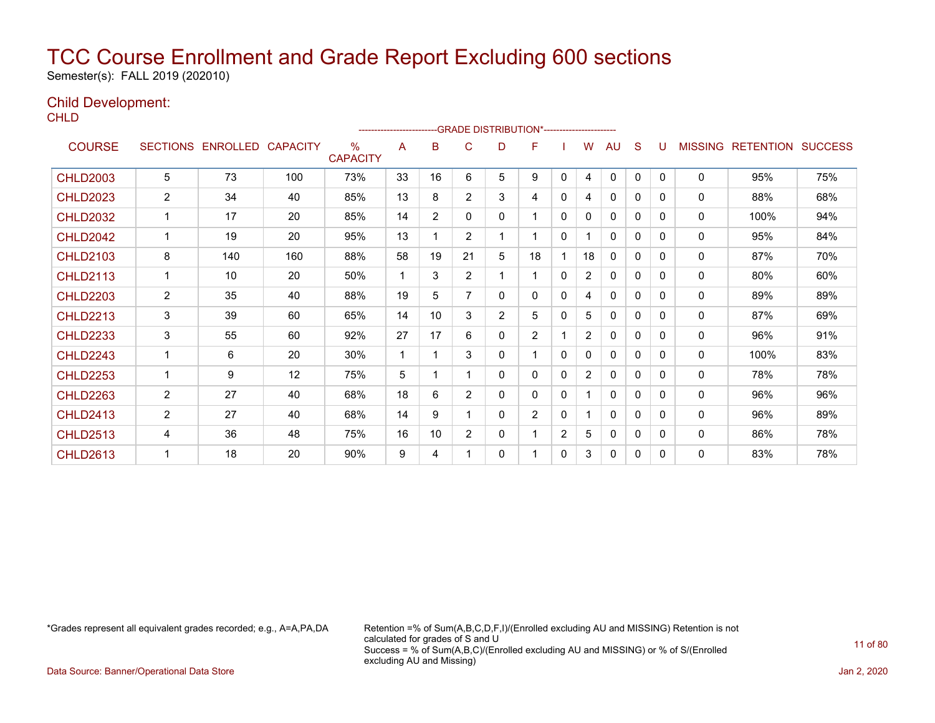Semester(s): FALL 2019 (202010)

### Child Development:

**CHLD** 

|                 |                 |                   |     |                         | ---------------------- |                |                |                | -GRADE DISTRIBUTION*---------------------- |                |                |              |              |              |                |                  |                |
|-----------------|-----------------|-------------------|-----|-------------------------|------------------------|----------------|----------------|----------------|--------------------------------------------|----------------|----------------|--------------|--------------|--------------|----------------|------------------|----------------|
| <b>COURSE</b>   | <b>SECTIONS</b> | ENROLLED CAPACITY |     | $\%$<br><b>CAPACITY</b> | A                      | B              | C              | D              | F                                          |                | W              | AU           | S            | U            | <b>MISSING</b> | <b>RETENTION</b> | <b>SUCCESS</b> |
| <b>CHLD2003</b> | 5               | 73                | 100 | 73%                     | 33                     | 16             | 6              | 5              | 9                                          | $\mathbf{0}$   | 4              | $\mathbf{0}$ | $\mathbf{0}$ | $\Omega$     | $\mathbf{0}$   | 95%              | 75%            |
| <b>CHLD2023</b> | 2               | 34                | 40  | 85%                     | 13                     | 8              | $\overline{2}$ | 3              | 4                                          | 0              | 4              | $\Omega$     | $\mathbf{0}$ | $\Omega$     | $\mathbf{0}$   | 88%              | 68%            |
| <b>CHLD2032</b> | 1               | 17                | 20  | 85%                     | 14                     | $\overline{2}$ | 0              | 0              |                                            | 0              | 0              | 0            | 0            | 0            | 0              | 100%             | 94%            |
| <b>CHLD2042</b> | 1               | 19                | 20  | 95%                     | 13                     |                | $\overline{2}$ | 1              |                                            | 0              |                | 0            | 0            | 0            | $\mathbf{0}$   | 95%              | 84%            |
| <b>CHLD2103</b> | 8               | 140               | 160 | 88%                     | 58                     | 19             | 21             | 5              | 18                                         |                | 18             | $\Omega$     | 0            | 0            | $\mathbf{0}$   | 87%              | 70%            |
| <b>CHLD2113</b> | 1               | 10                | 20  | 50%                     | 1                      | 3              | $\overline{2}$ | 1              | 1                                          | 0              | 2              | 0            | 0            | $\mathbf{0}$ | 0              | 80%              | 60%            |
| <b>CHLD2203</b> | $\overline{2}$  | 35                | 40  | 88%                     | 19                     | 5              | $\overline{7}$ | 0              | $\mathbf{0}$                               | 0              | 4              | $\mathbf{0}$ | 0            | $\Omega$     | $\mathbf{0}$   | 89%              | 89%            |
| <b>CHLD2213</b> | 3               | 39                | 60  | 65%                     | 14                     | 10             | 3              | $\overline{2}$ | 5                                          | 0              | 5              | $\mathbf 0$  | 0            | 0            | $\mathbf{0}$   | 87%              | 69%            |
| <b>CHLD2233</b> | 3               | 55                | 60  | 92%                     | 27                     | 17             | 6              | 0              | $\overline{2}$                             |                | $\overline{2}$ | 0            | 0            | $\Omega$     | $\mathbf{0}$   | 96%              | 91%            |
| <b>CHLD2243</b> |                 | 6                 | 20  | 30%                     | 1                      |                | 3              | 0              | 1                                          | 0              | 0              | $\mathbf{0}$ | 0            | $\Omega$     | $\mathbf{0}$   | 100%             | 83%            |
| <b>CHLD2253</b> |                 | 9                 | 12  | 75%                     | 5                      |                |                | 0              | $\mathbf{0}$                               | 0              | $\overline{2}$ | $\mathbf{0}$ | 0            | 0            | $\mathbf{0}$   | 78%              | 78%            |
| <b>CHLD2263</b> | $\overline{2}$  | 27                | 40  | 68%                     | 18                     | 6              | $\overline{2}$ | 0              | 0                                          | 0              | 1              | 0            | 0            | 0            | 0              | 96%              | 96%            |
| <b>CHLD2413</b> | 2               | 27                | 40  | 68%                     | 14                     | 9              |                | 0              | $\overline{2}$                             | 0              | 1              | $\mathbf{0}$ | $\Omega$     | 0            | $\mathbf{0}$   | 96%              | 89%            |
| <b>CHLD2513</b> | 4               | 36                | 48  | 75%                     | 16                     | 10             | $\overline{2}$ | 0              |                                            | $\overline{2}$ | 5              | $\Omega$     | 0            | $\Omega$     | $\mathbf{0}$   | 86%              | 78%            |
| <b>CHLD2613</b> |                 | 18                | 20  | 90%                     | 9                      | 4              |                | 0              |                                            | 0              | 3              | 0            | 0            | 0            | $\mathbf{0}$   | 83%              | 78%            |

\*Grades represent all equivalent grades recorded; e.g., A=A,PA,DA Retention =% of Sum(A,B,C,D,F,I)/(Enrolled excluding AU and MISSING) Retention is not calculated for grades of S and U Success = % of Sum(A,B,C)/(Enrolled excluding AU and MISSING) or % of S/(Enrolled excluding AU and Missing)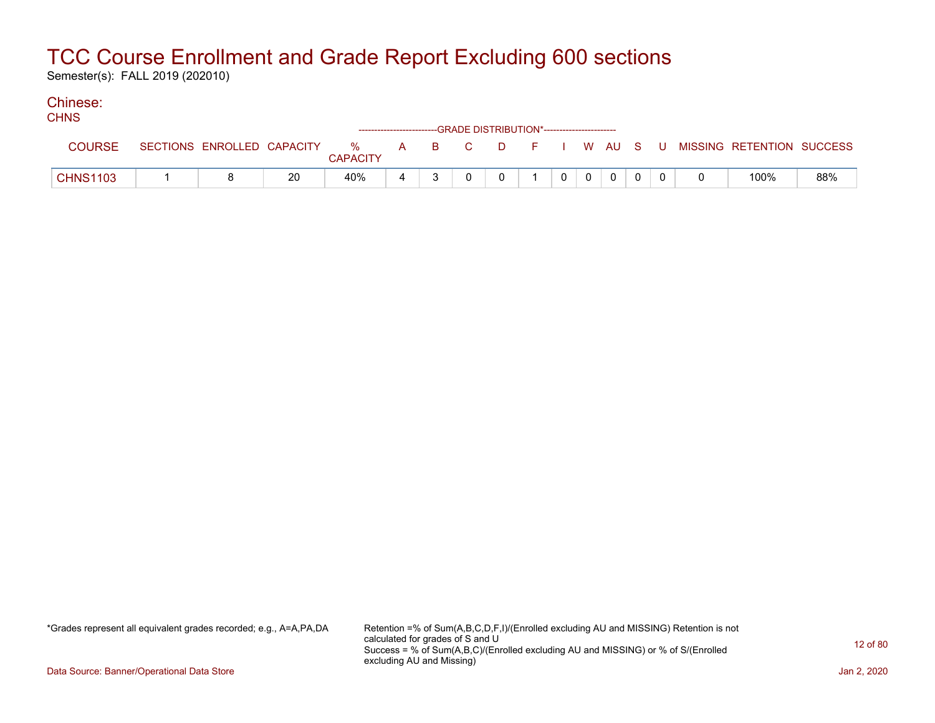Semester(s): FALL 2019 (202010)

#### Chinese: **CHNIC**

| סיוו וט         |                            |    |                      |   | ------------------------GRADE DISTRIBUTION*----------------------- |          |          |              |           |  |                           |     |
|-----------------|----------------------------|----|----------------------|---|--------------------------------------------------------------------|----------|----------|--------------|-----------|--|---------------------------|-----|
| <b>COURSE</b>   | SECTIONS ENROLLED CAPACITY |    | %<br><b>CAPACITY</b> |   | A B C                                                              | <b>D</b> |          |              | F I WAUSU |  | MISSING RETENTION SUCCESS |     |
| <b>CHNS1103</b> |                            | 20 | 40%                  | 4 |                                                                    | $\Omega$ | $\Omega$ | $\mathbf{0}$ |           |  | 100%                      | 88% |

\*Grades represent all equivalent grades recorded; e.g., A=A,PA,DA Retention =% of Sum(A,B,C,D,F,I)/(Enrolled excluding AU and MISSING) Retention is not calculated for grades of S and U Success = % of Sum(A,B,C)/(Enrolled excluding AU and MISSING) or % of S/(Enrolled excluding AU and Missing)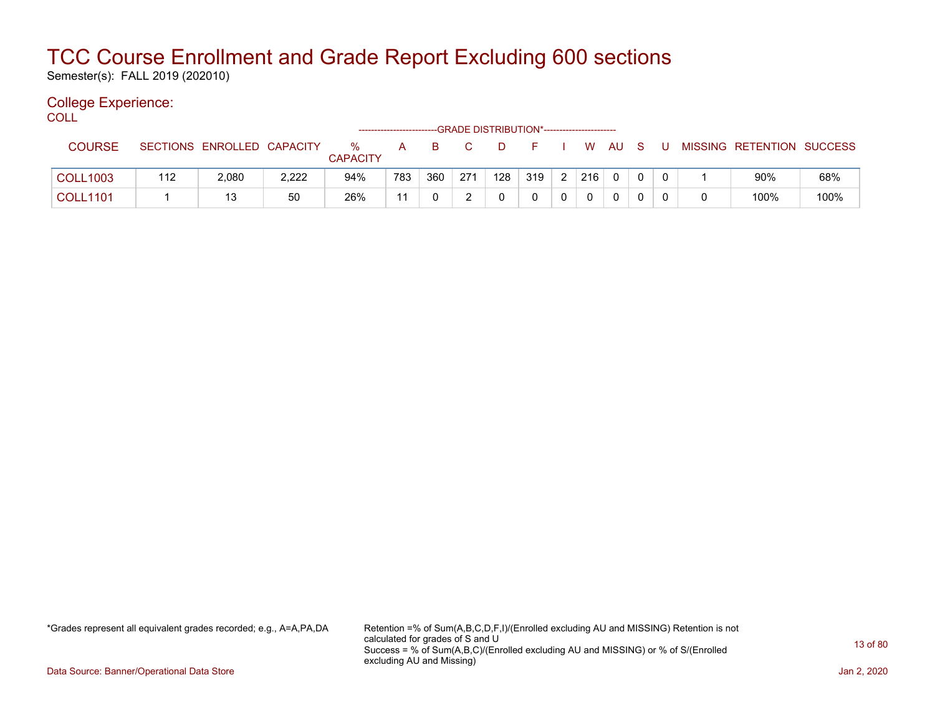Semester(s): FALL 2019 (202010)

### College Experience:

COLL<sup>'</sup>

|                 |     |                            |       |                      |     |     |     | -GRADE DISTRIBUTION*---------------------- |     |     |              |     |   |                           |      |
|-----------------|-----|----------------------------|-------|----------------------|-----|-----|-----|--------------------------------------------|-----|-----|--------------|-----|---|---------------------------|------|
| <b>COURSE</b>   |     | SECTIONS ENROLLED CAPACITY |       | %<br><b>CAPACITY</b> | A   | B.  |     | D                                          |     | W   | - AU         | - S | U | MISSING RETENTION SUCCESS |      |
| <b>COLL1003</b> | 112 | 2,080                      | 2,222 | 94%                  | 783 | 360 | 271 | 128                                        | 319 | 216 | $\Omega$     |     |   | 90%                       | 68%  |
| <b>COLL1101</b> |     | 13                         | 50    | 26%                  | 11  |     | _   |                                            |     |     | $\mathbf{0}$ |     |   | 100%                      | 100% |

\*Grades represent all equivalent grades recorded; e.g., A=A,PA,DA Retention =% of Sum(A,B,C,D,F,I)/(Enrolled excluding AU and MISSING) Retention is not calculated for grades of S and U Success = % of Sum(A,B,C)/(Enrolled excluding AU and MISSING) or % of S/(Enrolled excluding AU and Missing)

Data Source: Banner/Operational Data Store Jan 2, 2020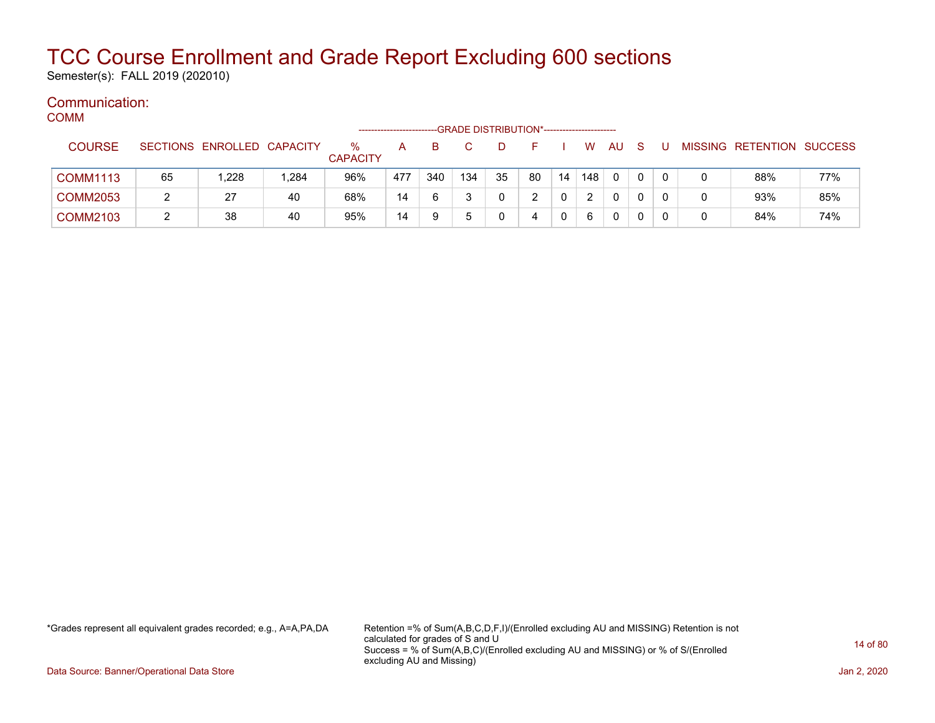Semester(s): FALL 2019 (202010)

#### Communication: **COMM**

| -----           |    |                            |       |                         | ------------------- |     |     | -GRADE DISTRIBUTION*----------------------- |    |              |     |              |          |   |                           |     |
|-----------------|----|----------------------------|-------|-------------------------|---------------------|-----|-----|---------------------------------------------|----|--------------|-----|--------------|----------|---|---------------------------|-----|
| <b>COURSE</b>   |    | SECTIONS ENROLLED CAPACITY |       | $\%$<br><b>CAPACITY</b> | А                   | B   |     |                                             |    |              | W.  | AU           | - S      |   | MISSING RETENTION SUCCESS |     |
| <b>COMM1113</b> | 65 | 1.228                      | 1,284 | 96%                     | 477                 | 340 | 134 | 35                                          | 80 | 14           | 148 | $\mathbf{0}$ | $\Omega$ |   | 88%                       | 77% |
| <b>COMM2053</b> |    | 27                         | 40    | 68%                     | 14                  | 6   |     |                                             |    | $\mathbf{0}$ | 2   | $\Omega$     | 0        | 0 | 93%                       | 85% |
| <b>COMM2103</b> |    | 38                         | 40    | 95%                     | 14                  | 9   |     |                                             | 4  | $\Omega$     | 6   | 0            | 0        | 0 | 84%                       | 74% |

\*Grades represent all equivalent grades recorded; e.g., A=A,PA,DA Retention =% of Sum(A,B,C,D,F,I)/(Enrolled excluding AU and MISSING) Retention is not calculated for grades of S and U Success = % of Sum(A,B,C)/(Enrolled excluding AU and MISSING) or % of S/(Enrolled excluding AU and Missing)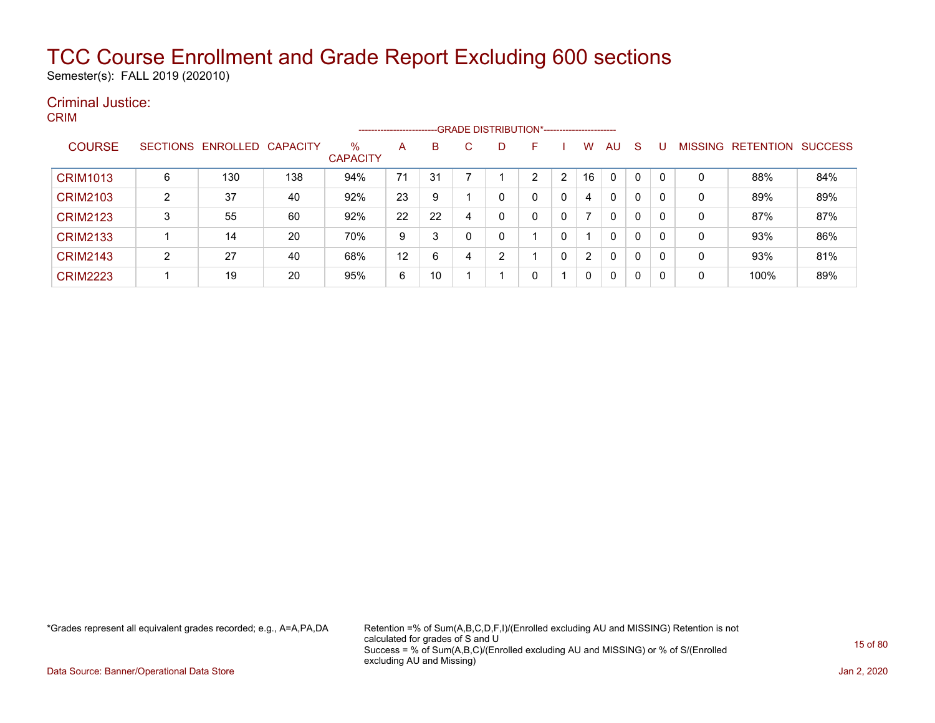Semester(s): FALL 2019 (202010)

#### Criminal Justice: CRIM

|                 |                 |          |                 |                         | --------------------- |    |   |   | -GRADE DISTRIBUTION*----------------------- |   |    |              |              |   |                |                  |                |
|-----------------|-----------------|----------|-----------------|-------------------------|-----------------------|----|---|---|---------------------------------------------|---|----|--------------|--------------|---|----------------|------------------|----------------|
| <b>COURSE</b>   | <b>SECTIONS</b> | ENROLLED | <b>CAPACITY</b> | $\%$<br><b>CAPACITY</b> | A                     | B  |   | D | F                                           |   | w  | AU           | <sub>S</sub> |   | <b>MISSING</b> | <b>RETENTION</b> | <b>SUCCESS</b> |
| <b>CRIM1013</b> | 6               | 130      | 138             | 94%                     | 71                    | 31 |   |   | ົ                                           | 2 | 16 | $\mathbf{0}$ | 0            |   | 0              | 88%              | 84%            |
| <b>CRIM2103</b> | $\overline{2}$  | 37       | 40              | 92%                     | 23                    | 9  |   |   | 0                                           | 0 | 4  | $\mathbf{0}$ | 0            | 0 | 0              | 89%              | 89%            |
| <b>CRIM2123</b> | 3               | 55       | 60              | 92%                     | 22                    | 22 | 4 |   | 0                                           | 0 |    | $\mathbf{0}$ | 0            | 0 | 0              | 87%              | 87%            |
| <b>CRIM2133</b> |                 | 14       | 20              | 70%                     | 9                     | 3  |   |   |                                             |   |    | $\mathbf{0}$ | 0            | 0 | 0              | 93%              | 86%            |
| <b>CRIM2143</b> | 2               | 27       | 40              | 68%                     | 12                    | 6  | 4 | ົ |                                             | 0 | 2  | $\mathbf{0}$ | 0            | 0 | 0              | 93%              | 81%            |
| <b>CRIM2223</b> |                 | 19       | 20              | 95%                     | 6                     | 10 |   |   | 0                                           |   | 0  | 0            | 0            | 0 | 0              | 100%             | 89%            |

\*Grades represent all equivalent grades recorded; e.g., A=A,PA,DA Retention =% of Sum(A,B,C,D,F,I)/(Enrolled excluding AU and MISSING) Retention is not calculated for grades of S and U Success = % of Sum(A,B,C)/(Enrolled excluding AU and MISSING) or % of S/(Enrolled excluding AU and Missing)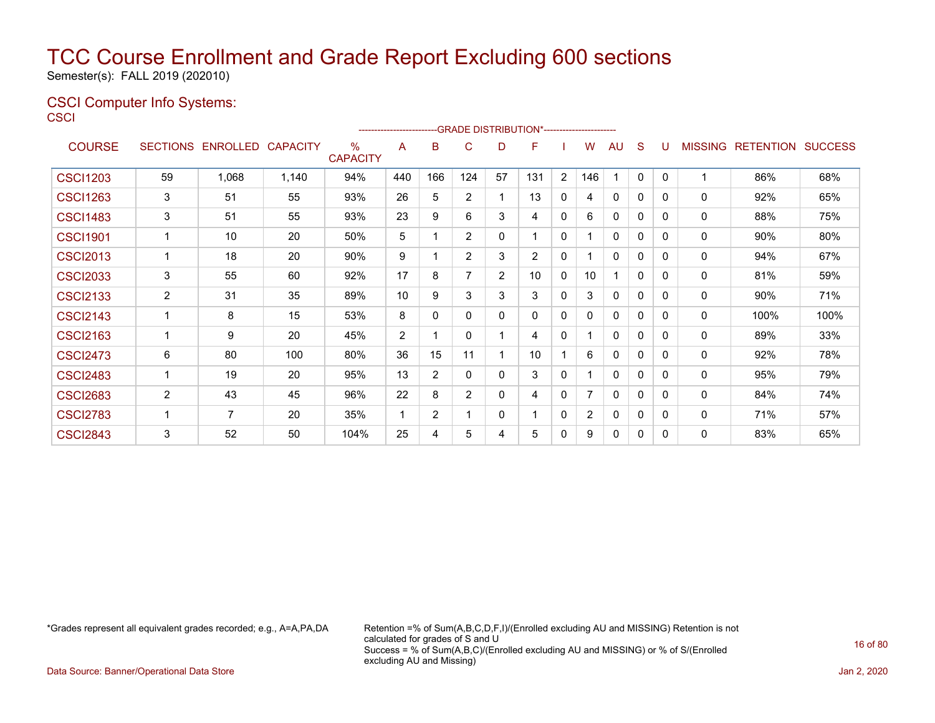Semester(s): FALL 2019 (202010)

### CSCI Computer Info Systems: **CSCI**

|                 |                |                            |       |                      | --------------------- |                |                |             | -GRADE DISTRIBUTION*---------------------- |                |                 |              |              |          |                |                          |      |
|-----------------|----------------|----------------------------|-------|----------------------|-----------------------|----------------|----------------|-------------|--------------------------------------------|----------------|-----------------|--------------|--------------|----------|----------------|--------------------------|------|
| <b>COURSE</b>   |                | SECTIONS ENROLLED CAPACITY |       | ℅<br><b>CAPACITY</b> | A                     | в              | C              | D           | F                                          |                | W               | AU           | S            | U        | <b>MISSING</b> | <b>RETENTION SUCCESS</b> |      |
| <b>CSCI1203</b> | 59             | 1,068                      | 1,140 | 94%                  | 440                   | 166            | 124            | 57          | 131                                        | $\overline{2}$ | 146             |              | $\mathbf 0$  | $\Omega$ | 1              | 86%                      | 68%  |
| <b>CSCI1263</b> | 3              | 51                         | 55    | 93%                  | 26                    | 5              | 2              |             | 13                                         | 0              | 4               | $\mathbf{0}$ | 0            | 0        | $\mathbf{0}$   | 92%                      | 65%  |
| <b>CSCI1483</b> | 3              | 51                         | 55    | 93%                  | 23                    | 9              | 6              | 3           | 4                                          | $\Omega$       | 6               | $\Omega$     | $\Omega$     | 0        | $\mathbf 0$    | 88%                      | 75%  |
| <b>CSCI1901</b> | $\mathbf{1}$   | 10                         | 20    | 50%                  | 5                     |                | 2              | $\Omega$    |                                            | 0              |                 | 0            | $\mathbf{0}$ | 0        | 0              | 90%                      | 80%  |
| <b>CSCI2013</b> | 1              | 18                         | 20    | 90%                  | 9                     |                | 2              | 3           | 2                                          | $\Omega$       |                 | $\Omega$     | $\Omega$     | 0        | 0              | 94%                      | 67%  |
| <b>CSCI2033</b> | 3              | 55                         | 60    | 92%                  | 17                    | 8              | 7              | 2           | 10                                         | $\Omega$       | 10 <sup>°</sup> |              | $\mathbf{0}$ | 0        | $\mathbf{0}$   | 81%                      | 59%  |
| <b>CSCI2133</b> | $\overline{2}$ | 31                         | 35    | 89%                  | 10                    | 9              | 3              | 3           | 3                                          | $\Omega$       | 3               | $\mathbf{0}$ | $\mathbf{0}$ | 0        | 0              | 90%                      | 71%  |
| <b>CSCI2143</b> | 1              | 8                          | 15    | 53%                  | 8                     | 0              | $\Omega$       | $\Omega$    | 0                                          | 0              | 0               | $\mathbf{0}$ | $\mathbf{0}$ | $\Omega$ | $\mathbf 0$    | 100%                     | 100% |
| <b>CSCI2163</b> | 1              | 9                          | 20    | 45%                  | 2                     |                | $\Omega$       |             | 4                                          | 0              |                 | 0            | $\Omega$     | 0        | 0              | 89%                      | 33%  |
| <b>CSCI2473</b> | 6              | 80                         | 100   | 80%                  | 36                    | 15             | 11             |             | 10                                         |                | 6               | $\mathbf{0}$ | 0            | 0        | $\mathbf{0}$   | 92%                      | 78%  |
| <b>CSCI2483</b> | 1              | 19                         | 20    | 95%                  | 13                    | $\overline{2}$ | $\Omega$       | $\mathbf 0$ | 3                                          | $\Omega$       |                 | $\mathbf{0}$ | 0            | 0        | 0              | 95%                      | 79%  |
| <b>CSCI2683</b> | $\overline{2}$ | 43                         | 45    | 96%                  | 22                    | 8              | $\overline{2}$ | $\Omega$    | 4                                          | 0              |                 | 0            | $\mathbf{0}$ | $\Omega$ | 0              | 84%                      | 74%  |
| <b>CSCI2783</b> | 1              | 7                          | 20    | 35%                  | 1                     | 2              |                | $\Omega$    |                                            | $\Omega$       | $\overline{2}$  | $\Omega$     | 0            | 0        | $\mathbf{0}$   | 71%                      | 57%  |
| <b>CSCI2843</b> | 3              | 52                         | 50    | 104%                 | 25                    | 4              | 5              | 4           | 5                                          | 0              | 9               | $\mathbf{0}$ | 0            | $\Omega$ | $\mathbf 0$    | 83%                      | 65%  |

\*Grades represent all equivalent grades recorded; e.g., A=A,PA,DA Retention =% of Sum(A,B,C,D,F,I)/(Enrolled excluding AU and MISSING) Retention is not calculated for grades of S and U Success = % of Sum(A,B,C)/(Enrolled excluding AU and MISSING) or % of S/(Enrolled excluding AU and Missing)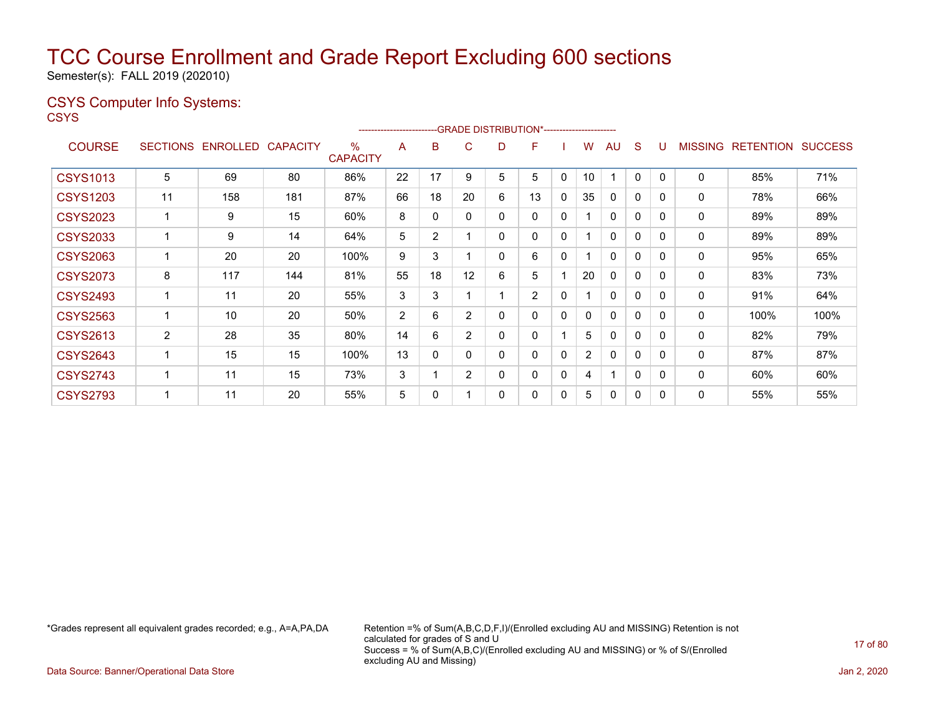Semester(s): FALL 2019 (202010)

### CSYS Computer Info Systems:

**CSYS** 

|                 |                 |                 |                 |                         | ----------------------- |                | --GRADE DISTRIBUTION*------------------------ |   |                |              |                |              |              |              |                |                  |                |
|-----------------|-----------------|-----------------|-----------------|-------------------------|-------------------------|----------------|-----------------------------------------------|---|----------------|--------------|----------------|--------------|--------------|--------------|----------------|------------------|----------------|
| <b>COURSE</b>   | <b>SECTIONS</b> | <b>ENROLLED</b> | <b>CAPACITY</b> | $\%$<br><b>CAPACITY</b> | A                       | B              | C                                             | D | F              |              | w              | AU           | S            |              | <b>MISSING</b> | <b>RETENTION</b> | <b>SUCCESS</b> |
| <b>CSYS1013</b> | 5               | 69              | 80              | 86%                     | 22                      | 17             | 9                                             | 5 | 5              | $\mathbf{0}$ | 10             | ٠            | $\mathbf{0}$ | $\mathbf{0}$ | 0              | 85%              | 71%            |
| <b>CSYS1203</b> | 11              | 158             | 181             | 87%                     | 66                      | 18             | 20                                            | 6 | 13             | 0            | 35             | 0            | 0            | 0            | $\mathbf 0$    | 78%              | 66%            |
| <b>CSYS2023</b> |                 | 9               | 15              | 60%                     | 8                       | 0              | 0                                             | 0 | 0              | 0            |                | $\mathbf{0}$ | 0            | 0            | 0              | 89%              | 89%            |
| <b>CSYS2033</b> |                 | 9               | 14              | 64%                     | 5                       | $\overline{2}$ |                                               | 0 | 0              | 0            |                | $\Omega$     | 0            | $\mathbf{0}$ | 0              | 89%              | 89%            |
| <b>CSYS2063</b> |                 | 20              | 20              | 100%                    | 9                       | 3              |                                               | 0 | 6              | 0            |                | 0            | 0            | 0            | 0              | 95%              | 65%            |
| <b>CSYS2073</b> | 8               | 117             | 144             | 81%                     | 55                      | 18             | 12                                            | 6 | 5              |              | 20             | 0            | 0            | $\mathbf{0}$ | $\mathbf 0$    | 83%              | 73%            |
| <b>CSYS2493</b> |                 | 11              | 20              | 55%                     | 3                       | 3              |                                               |   | $\overline{2}$ | 0            |                | $\mathbf{0}$ | 0            | $\Omega$     | 0              | 91%              | 64%            |
| <b>CSYS2563</b> |                 | 10              | 20              | 50%                     | $\overline{2}$          | 6              | $\overline{2}$                                | 0 | 0              | 0            | 0              | 0            | 0            | 0            | 0              | 100%             | 100%           |
| <b>CSYS2613</b> | $\overline{2}$  | 28              | 35              | 80%                     | 14                      | 6              | 2                                             | 0 | 0              |              | 5              | $\mathbf{0}$ | 0            | $\mathbf{0}$ | 0              | 82%              | 79%            |
| <b>CSYS2643</b> |                 | 15              | 15              | 100%                    | 13                      | 0              | ი                                             | 0 | 0              | 0            | $\overline{2}$ | $\Omega$     | 0            | $\mathbf{0}$ | 0              | 87%              | 87%            |
| <b>CSYS2743</b> |                 | 11              | 15              | 73%                     | 3                       |                | $\overline{2}$                                | 0 | 0              | 0            | 4              | 1            | 0            | 0            | 0              | 60%              | 60%            |
| <b>CSYS2793</b> |                 | 11              | 20              | 55%                     | 5                       | 0              |                                               | 0 | 0              | 0            | 5              | $\mathbf 0$  | 0            | 0            | 0              | 55%              | 55%            |

\*Grades represent all equivalent grades recorded; e.g., A=A,PA,DA Retention =% of Sum(A,B,C,D,F,I)/(Enrolled excluding AU and MISSING) Retention is not calculated for grades of S and U Success = % of Sum(A,B,C)/(Enrolled excluding AU and MISSING) or % of S/(Enrolled excluding AU and Missing)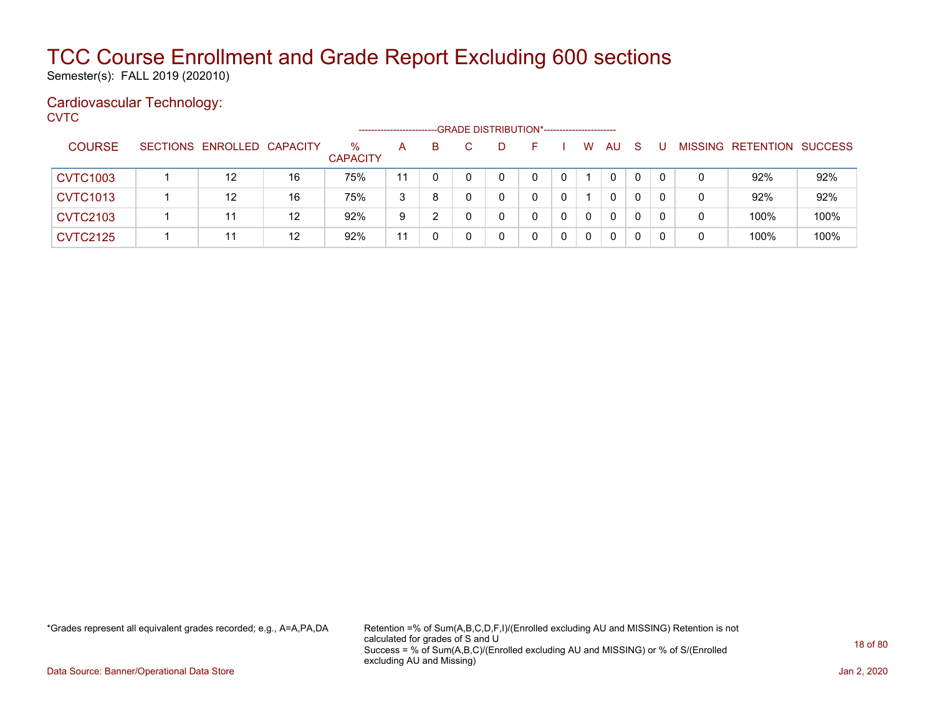Semester(s): FALL 2019 (202010)

### Cardiovascular Technology:

**CVTC** 

|                 |                            |    |                         | ---------------------- |    |  | -- GRADE DISTRIBUTION*------------------------ |   |             |              |              |   |                           |      |
|-----------------|----------------------------|----|-------------------------|------------------------|----|--|------------------------------------------------|---|-------------|--------------|--------------|---|---------------------------|------|
| <b>COURSE</b>   | SECTIONS ENROLLED CAPACITY |    | $\%$<br><b>CAPACITY</b> | A                      | B. |  |                                                |   | W           | AU           | -S           |   | MISSING RETENTION SUCCESS |      |
| <b>CVTC1003</b> | 12                         | 16 | 75%                     | 11                     |    |  | 0                                              |   |             | $\mathbf{0}$ | 0            |   | 92%                       | 92%  |
| <b>CVTC1013</b> | $12 \overline{ }$          | 16 | 75%                     | 3                      | 8  |  | 0                                              |   |             | $\mathbf{0}$ | $\mathbf{0}$ |   | 92%                       | 92%  |
| <b>CVTC2103</b> | 11                         | 12 | 92%                     | 9                      |    |  |                                                | 0 | $\mathbf 0$ | $\mathbf{0}$ | 0            | 0 | 100%                      | 100% |
| <b>CVTC2125</b> | 11                         | 12 | 92%                     | 11                     |    |  |                                                |   | $\mathbf 0$ | $\mathbf{0}$ | 0            |   | 100%                      | 100% |

\*Grades represent all equivalent grades recorded; e.g., A=A,PA,DA Retention =% of Sum(A,B,C,D,F,I)/(Enrolled excluding AU and MISSING) Retention is not calculated for grades of S and U Success = % of Sum(A,B,C)/(Enrolled excluding AU and MISSING) or % of S/(Enrolled excluding AU and Missing)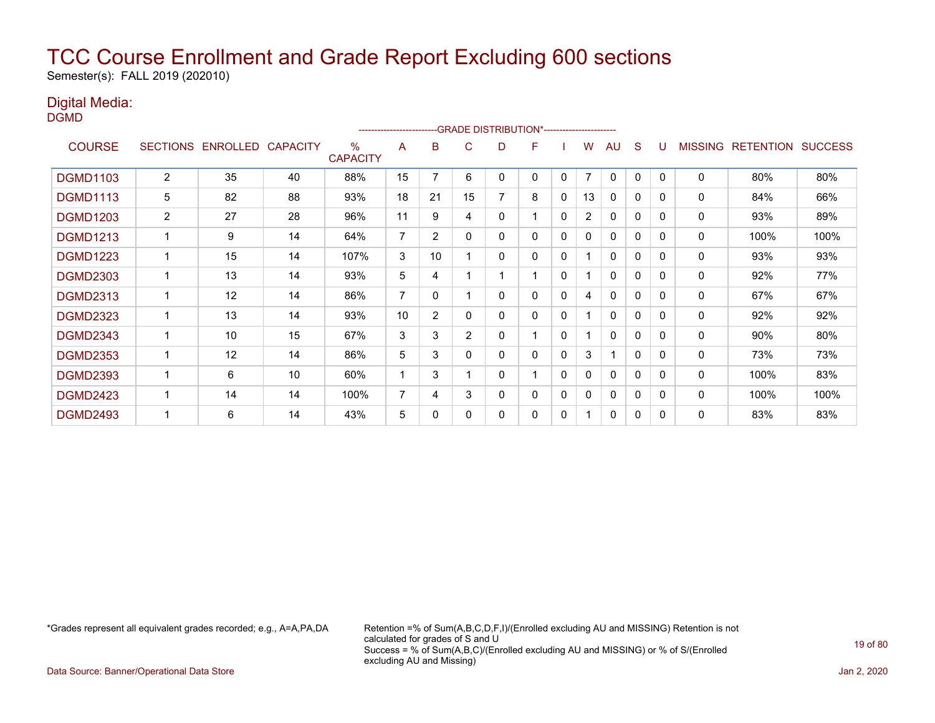Semester(s): FALL 2019 (202010)

### Digital Media:

DGMD

|                 |                 |                 |                 |                         | ------------------------ |                |                | -- GRADE DISTRIBUTION*----------------------- |                          |              |                |              |              |          |                |                  |                |
|-----------------|-----------------|-----------------|-----------------|-------------------------|--------------------------|----------------|----------------|-----------------------------------------------|--------------------------|--------------|----------------|--------------|--------------|----------|----------------|------------------|----------------|
| <b>COURSE</b>   | <b>SECTIONS</b> | <b>ENROLLED</b> | <b>CAPACITY</b> | $\%$<br><b>CAPACITY</b> | A                        | в              | C              | D                                             | F                        |              | w              | AU           | S            |          | <b>MISSING</b> | <b>RETENTION</b> | <b>SUCCESS</b> |
| <b>DGMD1103</b> | $\overline{2}$  | 35              | 40              | 88%                     | 15                       | 7              | 6              | 0                                             | 0                        | 0            | $\overline{7}$ | 0            | 0            | $\Omega$ | 0              | 80%              | 80%            |
| <b>DGMD1113</b> | 5               | 82              | 88              | 93%                     | 18                       | 21             | 15             | 7                                             | 8                        | 0            | 13             | 0            | 0            | 0        | 0              | 84%              | 66%            |
| <b>DGMD1203</b> | $\overline{2}$  | 27              | 28              | 96%                     | 11                       | 9              | 4              | 0                                             |                          | 0            | $\overline{2}$ | 0            | $\mathbf 0$  | $\Omega$ | 0              | 93%              | 89%            |
| <b>DGMD1213</b> | 1               | 9               | 14              | 64%                     | $\overline{7}$           | $\overline{2}$ | 0              | 0                                             | 0                        | 0            | $\mathbf{0}$   | $\mathbf{0}$ | $\mathbf{0}$ | 0        | 0              | 100%             | 100%           |
| <b>DGMD1223</b> |                 | 15              | 14              | 107%                    | 3                        | 10             |                | 0                                             | 0                        | 0            |                | $\Omega$     | $\mathbf{0}$ | $\Omega$ | 0              | 93%              | 93%            |
| <b>DGMD2303</b> |                 | 13              | 14              | 93%                     | 5                        | 4              |                |                                               |                          | $\mathbf{0}$ |                | 0            | $\mathbf{0}$ | 0        | 0              | 92%              | 77%            |
| <b>DGMD2313</b> | 1               | 12              | 14              | 86%                     | 7                        | 0              |                | 0                                             | 0                        | 0            | 4              | $\Omega$     | $\mathbf{0}$ | $\Omega$ | 0              | 67%              | 67%            |
| <b>DGMD2323</b> | 1               | 13              | 14              | 93%                     | 10                       | $\overline{2}$ | 0              | 0                                             | 0                        | $\Omega$     |                | $\Omega$     | $\mathbf{0}$ | $\Omega$ | 0              | 92%              | 92%            |
| <b>DGMD2343</b> | $\mathbf 1$     | 10              | 15              | 67%                     | 3                        | 3              | $\overline{2}$ | 0                                             |                          | $\mathbf{0}$ |                | 0            | $\mathbf{0}$ | $\Omega$ | 0              | 90%              | 80%            |
| <b>DGMD2353</b> | 1               | 12              | 14              | 86%                     | 5                        | 3              | 0              | 0                                             | 0                        | $\mathbf{0}$ | 3              | 1            | $\mathbf{0}$ | $\Omega$ | 0              | 73%              | 73%            |
| <b>DGMD2393</b> | 1               | 6               | 10              | 60%                     |                          | 3              |                | 0                                             | $\overline{\phantom{a}}$ | $\mathbf{0}$ | $\mathbf{0}$   | $\mathbf{0}$ | $\mathbf 0$  | $\Omega$ | $\Omega$       | 100%             | 83%            |
| <b>DGMD2423</b> |                 | 14              | 14              | 100%                    | 7                        | 4              | 3              | 0                                             | 0                        | $\mathbf{0}$ | $\mathbf{0}$   | $\mathbf{0}$ | $\mathbf 0$  | $\Omega$ | 0              | 100%             | 100%           |
| <b>DGMD2493</b> |                 | 6               | 14              | 43%                     | 5                        | 0              | 0              | 0                                             | 0                        | $\mathbf{0}$ |                | 0            | 0            | $\Omega$ | $\Omega$       | 83%              | 83%            |

\*Grades represent all equivalent grades recorded; e.g., A=A,PA,DA Retention =% of Sum(A,B,C,D,F,I)/(Enrolled excluding AU and MISSING) Retention is not calculated for grades of S and U Success = % of Sum(A,B,C)/(Enrolled excluding AU and MISSING) or % of S/(Enrolled excluding AU and Missing)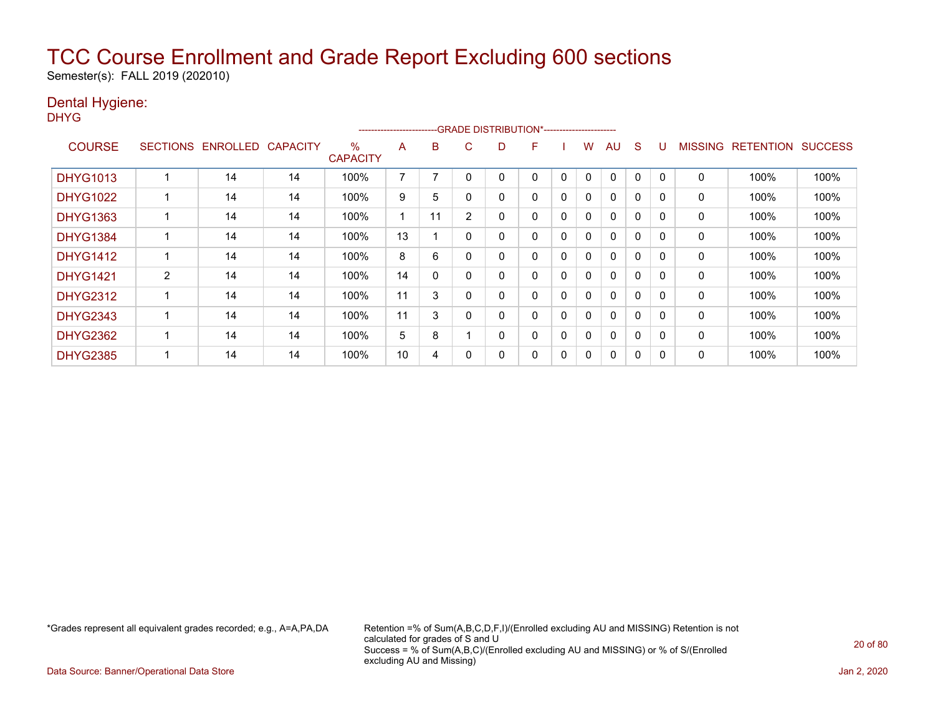Semester(s): FALL 2019 (202010)

### Dental Hygiene:

DHYG

|                 |                 |                 |                 |                         | ----------------------- |          |                | --GRADE DISTRIBUTION*----------------------- |   |              |              |              |              |          |                |                  |                |
|-----------------|-----------------|-----------------|-----------------|-------------------------|-------------------------|----------|----------------|----------------------------------------------|---|--------------|--------------|--------------|--------------|----------|----------------|------------------|----------------|
| <b>COURSE</b>   | <b>SECTIONS</b> | <b>ENROLLED</b> | <b>CAPACITY</b> | $\%$<br><b>CAPACITY</b> | A                       | B        | C              | D                                            | F |              | W            | AU           | <sub>S</sub> |          | <b>MISSING</b> | <b>RETENTION</b> | <b>SUCCESS</b> |
| <b>DHYG1013</b> |                 | 14              | 14              | 100%                    | $\overline{ }$          |          |                |                                              | 0 | 0            | $\mathbf{0}$ | $\mathbf{0}$ | 0            |          | 0              | 100%             | 100%           |
| <b>DHYG1022</b> |                 | 14              | 14              | 100%                    | 9                       | 5        |                | 0                                            | 0 | $\mathbf{0}$ | $\mathbf{0}$ | $\mathbf{0}$ | $\mathbf{0}$ | $\Omega$ | 0              | 100%             | 100%           |
| <b>DHYG1363</b> |                 | 14              | 14              | 100%                    |                         | 11       | $\overline{2}$ | 0                                            | 0 | 0            | 0            | $\mathbf{0}$ | 0            | $\Omega$ | 0              | 100%             | 100%           |
| <b>DHYG1384</b> |                 | 14              | 14              | 100%                    | 13                      |          |                | 0                                            | 0 | $\mathbf{0}$ | 0            | $\mathbf{0}$ | $\Omega$     | $\Omega$ | 0              | 100%             | 100%           |
| <b>DHYG1412</b> |                 | 14              | 14              | 100%                    | 8                       | 6        |                | 0                                            | 0 | 0            | 0            | $\mathbf{0}$ | $\mathbf{0}$ | $\Omega$ | 0              | 100%             | 100%           |
| <b>DHYG1421</b> | 2               | 14              | 14              | 100%                    | 14                      | $\Omega$ |                | 0                                            | 0 | $\mathbf{0}$ | $\mathbf{0}$ | $\mathbf{0}$ | $\Omega$     | $\Omega$ | 0              | 100%             | 100%           |
| <b>DHYG2312</b> |                 | 14              | 14              | 100%                    | 11                      | 3        |                | 0                                            | 0 | $\mathbf{0}$ | $\mathbf{0}$ | $\mathbf{0}$ | $\mathbf{0}$ |          | 0              | 100%             | 100%           |
| <b>DHYG2343</b> |                 | 14              | 14              | 100%                    | 11                      | 3        |                | 0                                            | 0 | $\mathbf{0}$ | $\mathbf{0}$ | $\mathbf{0}$ | $\mathbf{0}$ | $\Omega$ | 0              | 100%             | 100%           |
| <b>DHYG2362</b> |                 | 14              | 14              | 100%                    | 5                       | 8        |                | 0                                            | 0 | 0            | 0            | $\mathbf{0}$ | 0            | $\Omega$ | 0              | 100%             | 100%           |
| <b>DHYG2385</b> |                 | 14              | 14              | 100%                    | 10                      | 4        |                | 0                                            | 0 | 0            | 0            | $\mathbf{0}$ | 0            |          | 0              | 100%             | 100%           |

\*Grades represent all equivalent grades recorded; e.g., A=A,PA,DA Retention =% of Sum(A,B,C,D,F,I)/(Enrolled excluding AU and MISSING) Retention is not calculated for grades of S and U Success = % of Sum(A,B,C)/(Enrolled excluding AU and MISSING) or % of S/(Enrolled excluding AU and Missing)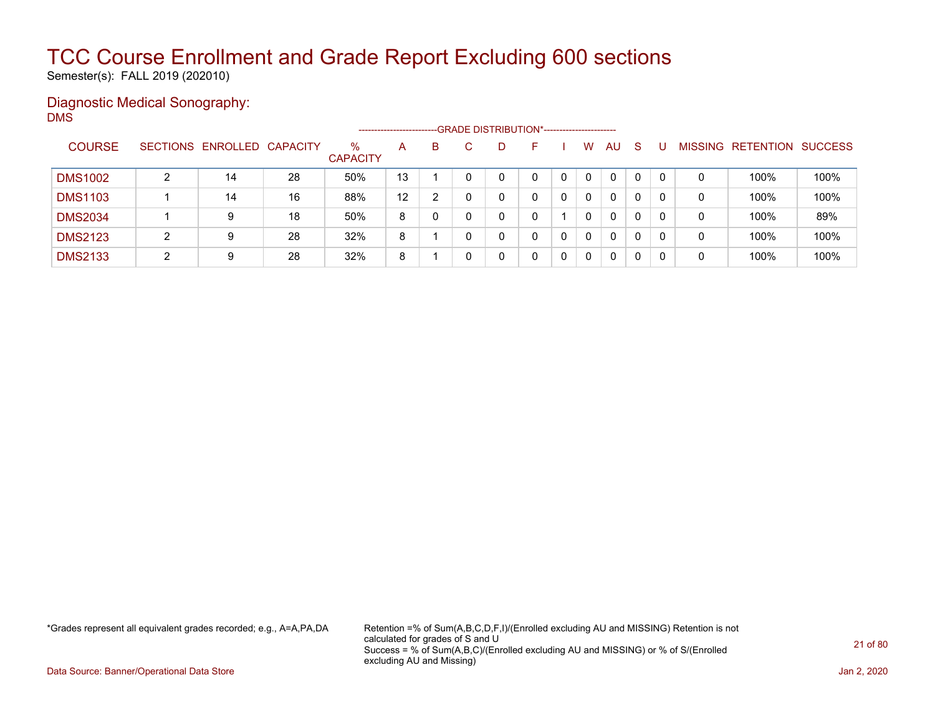Semester(s): FALL 2019 (202010)

### Diagnostic Medical Sonography: DMS

|                |   |                            |    |                         | ------------------------ |   | --GRADE DISTRIBUTION*------------------------ |   |   |   |              |              |    |          |                |                  |                |
|----------------|---|----------------------------|----|-------------------------|--------------------------|---|-----------------------------------------------|---|---|---|--------------|--------------|----|----------|----------------|------------------|----------------|
| <b>COURSE</b>  |   | SECTIONS ENROLLED CAPACITY |    | $\%$<br><b>CAPACITY</b> | A                        | B |                                               | D |   |   | W            | AU           | -S |          | <b>MISSING</b> | <b>RETENTION</b> | <b>SUCCESS</b> |
| <b>DMS1002</b> | ົ | 14                         | 28 | 50%                     | 13                       |   |                                               |   | 0 |   | $\mathbf{0}$ | 0            | 0  |          | 0              | 100%             | 100%           |
| <b>DMS1103</b> |   | 14                         | 16 | 88%                     | 12                       | າ |                                               |   |   |   | $\mathbf{0}$ | $\mathbf{0}$ | 0  |          | 0              | 100%             | 100%           |
| <b>DMS2034</b> |   | 9                          | 18 | 50%                     | 8                        |   |                                               |   |   |   | 0            | 0            | 0  |          | 0              | 100%             | 89%            |
| <b>DMS2123</b> | ົ | 9                          | 28 | 32%                     | 8                        |   |                                               |   | 0 | 0 | $\Omega$     | 0            | 0  | $\Omega$ | 0              | 100%             | 100%           |
| <b>DMS2133</b> | ◠ | 9                          | 28 | 32%                     | 8                        |   |                                               |   |   |   | 0            | 0            | 0  |          | 0              | 100%             | 100%           |

\*Grades represent all equivalent grades recorded; e.g., A=A,PA,DA Retention =% of Sum(A,B,C,D,F,I)/(Enrolled excluding AU and MISSING) Retention is not calculated for grades of S and U Success = % of Sum(A,B,C)/(Enrolled excluding AU and MISSING) or % of S/(Enrolled excluding AU and Missing)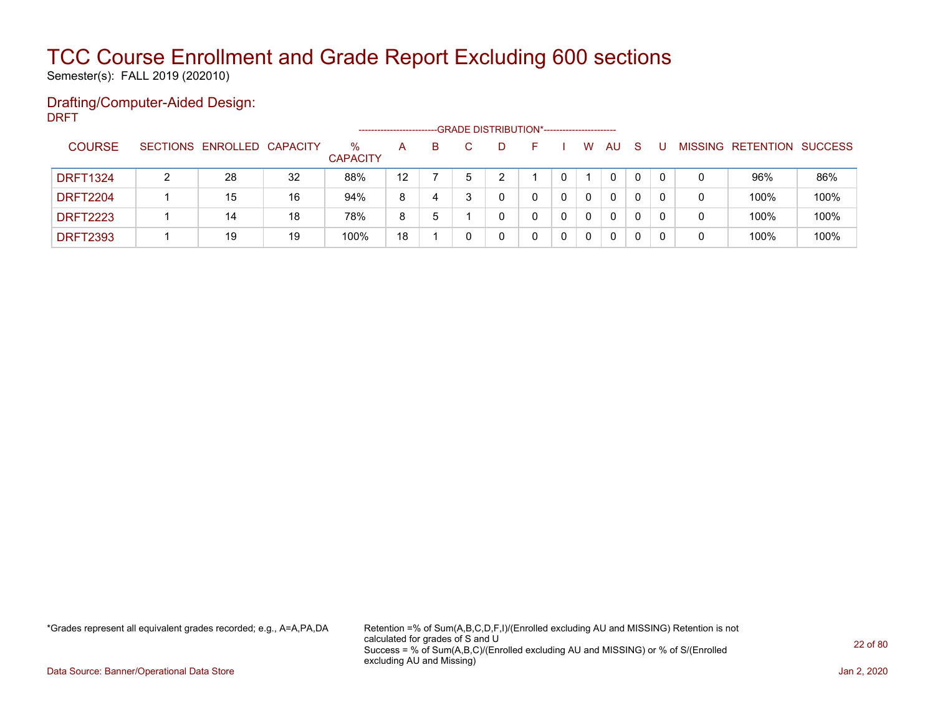Semester(s): FALL 2019 (202010)

### Drafting/Computer-Aided Design: DRFT

|                 |                            |    |                      |                   |    |   | -- GRADE DISTRIBUTION*------------------------ |   |              |              |  |                           |      |
|-----------------|----------------------------|----|----------------------|-------------------|----|---|------------------------------------------------|---|--------------|--------------|--|---------------------------|------|
| <b>COURSE</b>   | SECTIONS ENROLLED CAPACITY |    | %<br><b>CAPACITY</b> | A                 | B. |   | н.                                             | w | AU           | <sub>S</sub> |  | MISSING RETENTION SUCCESS |      |
| <b>DRFT1324</b> | 28                         | 32 | 88%                  | $12 \overline{ }$ |    | ົ |                                                |   | $\mathbf{0}$ | $\mathbf{0}$ |  | 96%                       | 86%  |
| <b>DRFT2204</b> | 15                         | 16 | 94%                  | 8                 | 4  |   |                                                | 0 | $\mathbf{0}$ | 0            |  | 100%                      | 100% |
| <b>DRFT2223</b> | 14                         | 18 | 78%                  | 8                 | 5  |   |                                                | 0 | $\mathbf{0}$ | 0            |  | 100%                      | 100% |
| <b>DRFT2393</b> | 19                         | 19 | 100%                 | 18                |    |   |                                                | 0 | 0            |              |  | 100%                      | 100% |

\*Grades represent all equivalent grades recorded; e.g., A=A,PA,DA Retention =% of Sum(A,B,C,D,F,I)/(Enrolled excluding AU and MISSING) Retention is not calculated for grades of S and U Success = % of Sum(A,B,C)/(Enrolled excluding AU and MISSING) or % of S/(Enrolled excluding AU and Missing)

Data Source: Banner/Operational Data Store Jan 2, 2020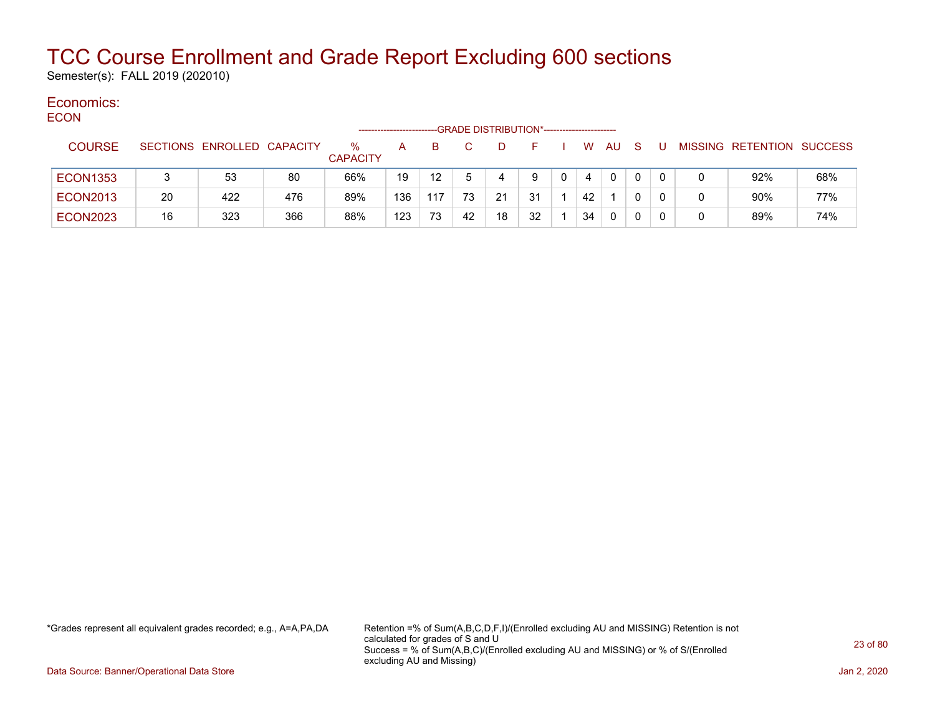Semester(s): FALL 2019 (202010)

#### Economics: **ECON**

| ----            |    |                            |     | ------------------      |     |     |    | -GRADE DISTRIBUTION*---------------------- |    |    |              |              |  |                           |     |
|-----------------|----|----------------------------|-----|-------------------------|-----|-----|----|--------------------------------------------|----|----|--------------|--------------|--|---------------------------|-----|
| <b>COURSE</b>   |    | SECTIONS ENROLLED CAPACITY |     | $\%$<br><b>CAPACITY</b> | A   | B.  |    | D                                          |    | W. | AU           | <sub>S</sub> |  | MISSING RETENTION SUCCESS |     |
| <b>ECON1353</b> |    | 53                         | 80  | 66%                     | 19  | 12  |    |                                            | 9  | 4  | $\mathbf{0}$ |              |  | 92%                       | 68% |
| <b>ECON2013</b> | 20 | 422                        | 476 | 89%                     | 136 | 117 | 73 | 21                                         | 31 | 42 |              |              |  | 90%                       | 77% |
| <b>ECON2023</b> | 16 | 323                        | 366 | 88%                     | 123 | 73  | 42 | 18                                         | 32 | 34 | 0            |              |  | 89%                       | 74% |

\*Grades represent all equivalent grades recorded; e.g., A=A,PA,DA Retention =% of Sum(A,B,C,D,F,I)/(Enrolled excluding AU and MISSING) Retention is not calculated for grades of S and U Success = % of Sum(A,B,C)/(Enrolled excluding AU and MISSING) or % of S/(Enrolled excluding AU and Missing)

Data Source: Banner/Operational Data Store Jan 2, 2020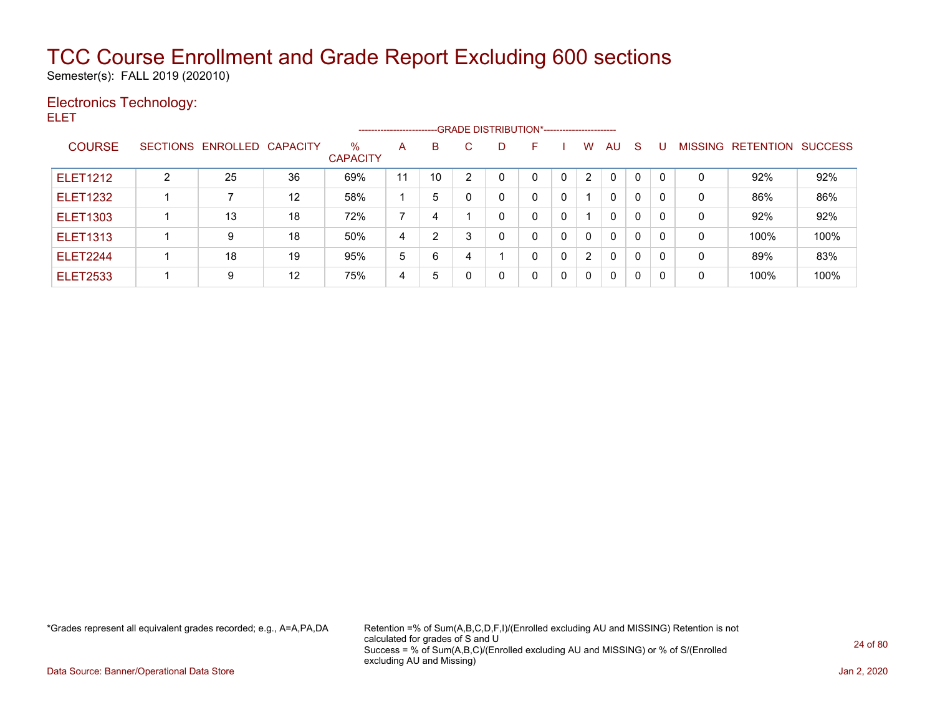Semester(s): FALL 2019 (202010)

### Electronics Technology:

ELET

|                 |   |                            |                   |                         | ----------------------- |                |   |          | --GRADE DISTRIBUTION*---------------------- |              |                |              |              |          |                |           |                |
|-----------------|---|----------------------------|-------------------|-------------------------|-------------------------|----------------|---|----------|---------------------------------------------|--------------|----------------|--------------|--------------|----------|----------------|-----------|----------------|
| <b>COURSE</b>   |   | SECTIONS ENROLLED CAPACITY |                   | $\%$<br><b>CAPACITY</b> | A                       | В              | C | D        | F                                           |              | W              | AU.          | -S           |          | <b>MISSING</b> | RETENTION | <b>SUCCESS</b> |
| <b>ELET1212</b> | ົ | 25                         | 36                | 69%                     | 11                      | 10             | ◠ | 0        | 0                                           | 0            | $\overline{2}$ | $\mathbf{0}$ | 0            | -0       | 0              | 92%       | 92%            |
| <b>ELET1232</b> |   |                            | $12 \overline{ }$ | 58%                     |                         | 5              |   | 0        | 0                                           | 0            |                | $\mathbf{0}$ | 0            | $\Omega$ | 0              | 86%       | 86%            |
| <b>ELET1303</b> |   | 13                         | 18                | 72%                     | ⇁                       | 4              |   | 0        | 0                                           | 0            |                | $\mathbf{0}$ | $\mathbf{0}$ | -0       | 0              | 92%       | 92%            |
| <b>ELET1313</b> |   | 9                          | 18                | 50%                     | 4                       | $\overline{2}$ | 3 | $\Omega$ | 0                                           | $\mathbf{0}$ | $\mathbf{0}$   | $\mathbf{0}$ | $\mathbf{0}$ | 0        | 0              | 100%      | 100%           |
| <b>ELET2244</b> |   | 18                         | 19                | 95%                     | 5                       | 6              |   |          | 0                                           | 0            | $\overline{2}$ | $\mathbf{0}$ | 0            | -0       | 0              | 89%       | 83%            |
| <b>ELET2533</b> |   | 9                          | 12                | 75%                     | 4                       | 5              |   | 0        | 0                                           | 0            | $\Omega$       | 0            | 0            | -0       | 0              | 100%      | 100%           |

\*Grades represent all equivalent grades recorded; e.g., A=A,PA,DA Retention =% of Sum(A,B,C,D,F,I)/(Enrolled excluding AU and MISSING) Retention is not calculated for grades of S and U Success = % of Sum(A,B,C)/(Enrolled excluding AU and MISSING) or % of S/(Enrolled excluding AU and Missing)

Data Source: Banner/Operational Data Store Jan 2, 2020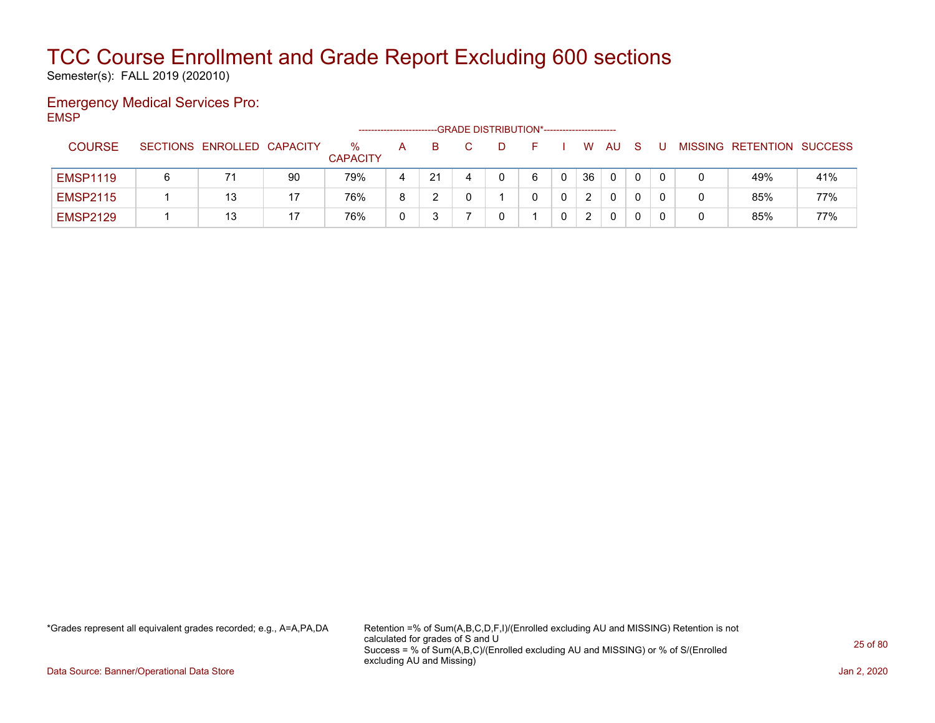Semester(s): FALL 2019 (202010)

### Emergency Medical Services Pro: EMSP

|                 |   |                            |    |                         | ---------------------- |    | -- GRADE DISTRIBUTION*------------------------ |   |    |              |              |  |                           |     |
|-----------------|---|----------------------------|----|-------------------------|------------------------|----|------------------------------------------------|---|----|--------------|--------------|--|---------------------------|-----|
| <b>COURSE</b>   |   | SECTIONS ENROLLED CAPACITY |    | $\%$<br><b>CAPACITY</b> | А                      |    |                                                |   | W  | AU           | <sub>S</sub> |  | MISSING RETENTION SUCCESS |     |
| <b>EMSP1119</b> | 6 | 71                         | 90 | 79%                     | 4                      | 21 | 4                                              | 6 | 36 | 0            | 0            |  | 49%                       | 41% |
| <b>EMSP2115</b> |   | 13                         | 17 | 76%                     | 8                      |    |                                                |   |    | 0            |              |  | 85%                       | 77% |
| <b>EMSP2129</b> |   | 13                         | 17 | 76%                     |                        |    |                                                |   |    | $\mathbf{0}$ |              |  | 85%                       | 77% |

\*Grades represent all equivalent grades recorded; e.g., A=A,PA,DA Retention =% of Sum(A,B,C,D,F,I)/(Enrolled excluding AU and MISSING) Retention is not calculated for grades of S and U Success = % of Sum(A,B,C)/(Enrolled excluding AU and MISSING) or % of S/(Enrolled excluding AU and Missing)

Data Source: Banner/Operational Data Store Jan 2, 2020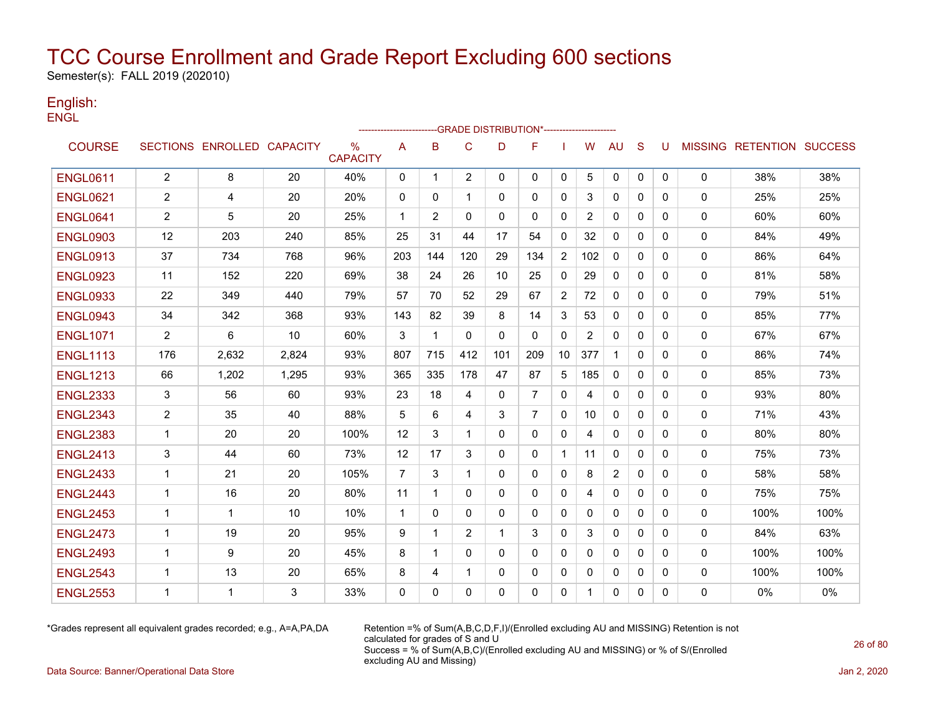Semester(s): FALL 2019 (202010)

### English: **ENGL**

|                 |                |                            |       |                         |                | -----------------------GRADE                    DISTRIBUTION*--------------------- |              |              |                |                |                |                |              |              |          |                                  |      |
|-----------------|----------------|----------------------------|-------|-------------------------|----------------|------------------------------------------------------------------------------------|--------------|--------------|----------------|----------------|----------------|----------------|--------------|--------------|----------|----------------------------------|------|
| <b>COURSE</b>   |                | SECTIONS ENROLLED CAPACITY |       | $\%$<br><b>CAPACITY</b> | A              | B                                                                                  | $\mathsf{C}$ | D            | F              |                | W              | AU             | S            | U            |          | <b>MISSING RETENTION SUCCESS</b> |      |
| <b>ENGL0611</b> | $\overline{2}$ | 8                          | 20    | 40%                     | 0              | $\mathbf{1}$                                                                       | 2            | $\mathbf{0}$ | $\mathbf{0}$   | 0              | 5              | 0              | 0            | $\mathbf{0}$ | 0        | 38%                              | 38%  |
| <b>ENGL0621</b> | $\overline{2}$ | 4                          | 20    | 20%                     | 0              | 0                                                                                  | 1            | 0            | 0              | 0              | 3              | $\mathbf{0}$   | 0            | 0            | 0        | 25%                              | 25%  |
| <b>ENGL0641</b> | $\overline{2}$ | 5                          | 20    | 25%                     | $\mathbf{1}$   | 2                                                                                  | $\Omega$     | $\mathbf{0}$ | $\mathbf{0}$   | 0              | $\overline{2}$ | 0              | $\mathbf{0}$ | $\Omega$     | 0        | 60%                              | 60%  |
| <b>ENGL0903</b> | 12             | 203                        | 240   | 85%                     | 25             | 31                                                                                 | 44           | 17           | 54             | $\mathbf{0}$   | 32             | $\mathbf{0}$   | $\mathbf{0}$ | 0            | 0        | 84%                              | 49%  |
| <b>ENGL0913</b> | 37             | 734                        | 768   | 96%                     | 203            | 144                                                                                | 120          | 29           | 134            | $\overline{2}$ | 102            | $\mathbf{0}$   | $\Omega$     | 0            | 0        | 86%                              | 64%  |
| <b>ENGL0923</b> | 11             | 152                        | 220   | 69%                     | 38             | 24                                                                                 | 26           | 10           | 25             | $\mathbf{0}$   | 29             | 0              | $\mathbf{0}$ | 0            | 0        | 81%                              | 58%  |
| <b>ENGL0933</b> | 22             | 349                        | 440   | 79%                     | 57             | 70                                                                                 | 52           | 29           | 67             | 2              | 72             | 0              | $\mathbf{0}$ | $\mathbf{0}$ | 0        | 79%                              | 51%  |
| <b>ENGL0943</b> | 34             | 342                        | 368   | 93%                     | 143            | 82                                                                                 | 39           | 8            | 14             | 3              | 53             | 0              | $\mathbf{0}$ | $\Omega$     | 0        | 85%                              | 77%  |
| <b>ENGL1071</b> | $\overline{2}$ | 6                          | 10    | 60%                     | 3              | $\mathbf 1$                                                                        | $\mathbf{0}$ | $\mathbf{0}$ | $\mathbf{0}$   | $\Omega$       | $\overline{2}$ | $\mathbf{0}$   | $\Omega$     | $\Omega$     | 0        | 67%                              | 67%  |
| <b>ENGL1113</b> | 176            | 2,632                      | 2,824 | 93%                     | 807            | 715                                                                                | 412          | 101          | 209            | 10             | 377            | $\mathbf{1}$   | $\Omega$     | $\Omega$     | 0        | 86%                              | 74%  |
| <b>ENGL1213</b> | 66             | 1,202                      | 1,295 | 93%                     | 365            | 335                                                                                | 178          | 47           | 87             | 5              | 185            | 0              | $\Omega$     | $\Omega$     | 0        | 85%                              | 73%  |
| <b>ENGL2333</b> | 3              | 56                         | 60    | 93%                     | 23             | 18                                                                                 | 4            | 0            | $\overline{7}$ | 0              | 4              | 0              | $\mathbf{0}$ | 0            | 0        | 93%                              | 80%  |
| <b>ENGL2343</b> | 2              | 35                         | 40    | 88%                     | 5              | 6                                                                                  | 4            | 3            | 7              | 0              | 10             | 0              | 0            | 0            | 0        | 71%                              | 43%  |
| <b>ENGL2383</b> | $\mathbf 1$    | 20                         | 20    | 100%                    | 12             | 3                                                                                  | $\mathbf 1$  | $\mathbf{0}$ | $\mathbf{0}$   | $\mathbf{0}$   | 4              | 0              | $\mathbf{0}$ | $\mathbf{0}$ | 0        | 80%                              | 80%  |
| <b>ENGL2413</b> | 3              | 44                         | 60    | 73%                     | 12             | 17                                                                                 | 3            | $\Omega$     | $\Omega$       | $\mathbf 1$    | 11             | $\Omega$       | $\Omega$     | $\Omega$     | 0        | 75%                              | 73%  |
| <b>ENGL2433</b> | $\overline{1}$ | 21                         | 20    | 105%                    | $\overline{7}$ | 3                                                                                  | 1            | $\mathbf{0}$ | $\mathbf{0}$   | 0              | 8              | $\overline{2}$ | $\mathbf{0}$ | $\mathbf{0}$ | 0        | 58%                              | 58%  |
| <b>ENGL2443</b> | $\mathbf 1$    | 16                         | 20    | 80%                     | 11             | 1                                                                                  | $\Omega$     | $\mathbf{0}$ | $\mathbf{0}$   | $\mathbf{0}$   | 4              | $\Omega$       | $\mathbf{0}$ | $\Omega$     | 0        | 75%                              | 75%  |
| <b>ENGL2453</b> | -1             | 1                          | 10    | 10%                     | $\mathbf{1}$   | 0                                                                                  | 0            | 0            | $\mathbf{0}$   | 0              | 0              | $\mathbf{0}$   | $\mathbf{0}$ | 0            | 0        | 100%                             | 100% |
| <b>ENGL2473</b> | $\mathbf{1}$   | 19                         | 20    | 95%                     | 9              | $\mathbf 1$                                                                        | 2            | 1            | 3              | $\mathbf{0}$   | 3              | $\Omega$       | $\Omega$     | $\Omega$     | 0        | 84%                              | 63%  |
| <b>ENGL2493</b> | $\mathbf 1$    | 9                          | 20    | 45%                     | 8              | 1                                                                                  | $\Omega$     | $\Omega$     | $\mathbf{0}$   | $\mathbf{0}$   | $\Omega$       | 0              | $\Omega$     | $\Omega$     | 0        | 100%                             | 100% |
| <b>ENGL2543</b> | 1              | 13                         | 20    | 65%                     | 8              | 4                                                                                  | $\mathbf 1$  | 0            | 0              | 0              | 0              | 0              | 0            | 0            | 0        | 100%                             | 100% |
| <b>ENGL2553</b> | -1             | 1                          | 3     | 33%                     | $\Omega$       | 0                                                                                  | $\mathbf{0}$ | $\Omega$     | $\Omega$       | 0              |                | 0              | 0            | 0            | $\Omega$ | 0%                               | 0%   |

\*Grades represent all equivalent grades recorded; e.g., A=A,PA,DA Retention =% of Sum(A,B,C,D,F,I)/(Enrolled excluding AU and MISSING) Retention is not calculated for grades of S and U Success = % of Sum(A,B,C)/(Enrolled excluding AU and MISSING) or % of S/(Enrolled excluding AU and Missing)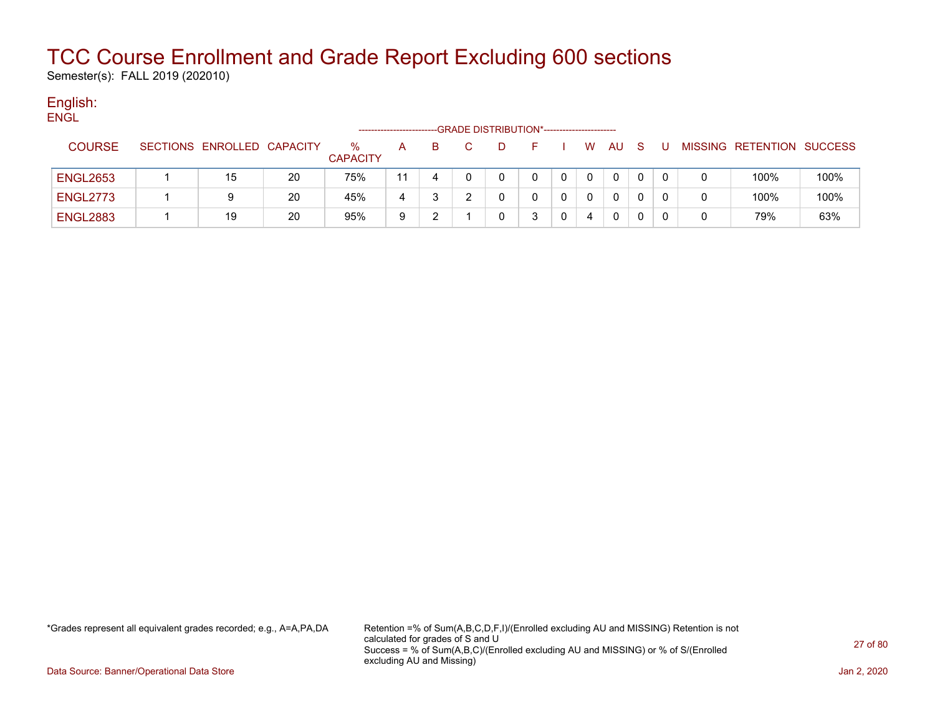Semester(s): FALL 2019 (202010)

#### English: **ENGL**

|                 |                            |    |                      |    |    |    | -GRADE DISTRIBUTION*----------------------- |   |              |     |  |                           |      |
|-----------------|----------------------------|----|----------------------|----|----|----|---------------------------------------------|---|--------------|-----|--|---------------------------|------|
| <b>COURSE</b>   | SECTIONS ENROLLED CAPACITY |    | ℅<br><b>CAPACITY</b> | A  | B. | D. | F.                                          | W | AU           | - S |  | MISSING RETENTION SUCCESS |      |
| <b>ENGL2653</b> | 15                         | 20 | 75%                  | 11 |    |    | 0                                           |   | $\mathbf{0}$ |     |  | 100%                      | 100% |
| <b>ENGL2773</b> | 9                          | 20 | 45%                  | 4  |    |    |                                             |   | 0            |     |  | 100%                      | 100% |
| <b>ENGL2883</b> | 19                         | 20 | 95%                  | 9  |    |    |                                             | 4 | $\Omega$     |     |  | 79%                       | 63%  |

\*Grades represent all equivalent grades recorded; e.g., A=A,PA,DA Retention =% of Sum(A,B,C,D,F,I)/(Enrolled excluding AU and MISSING) Retention is not calculated for grades of S and U Success = % of Sum(A,B,C)/(Enrolled excluding AU and MISSING) or % of S/(Enrolled excluding AU and Missing)

Data Source: Banner/Operational Data Store Jan 2, 2020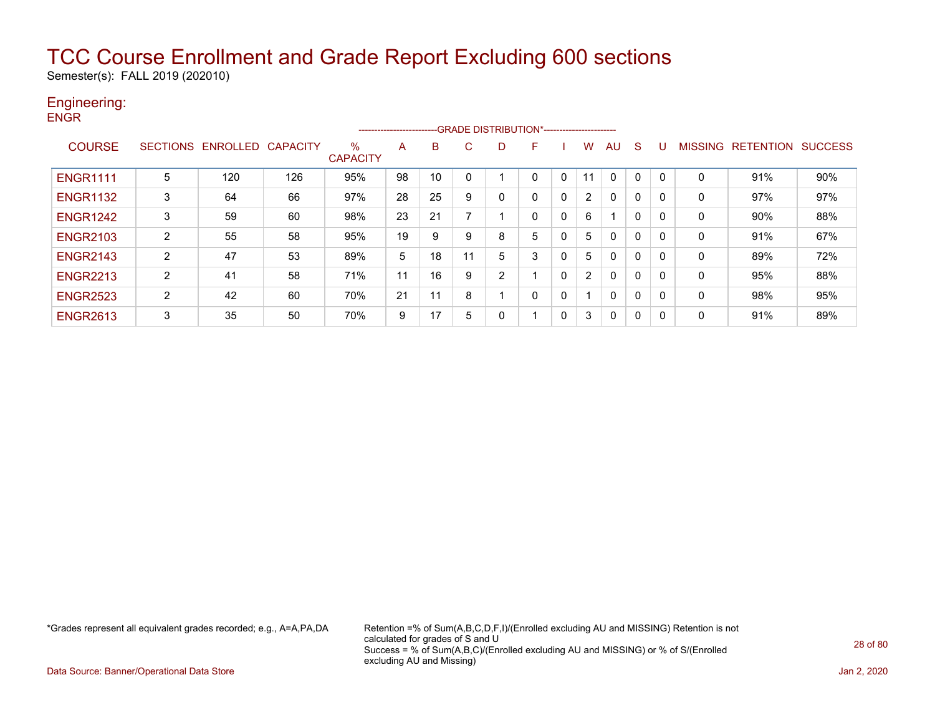Semester(s): FALL 2019 (202010)

### Engineering:

| <b>ENGR</b>     |                 |          |                 |                         |    | ------------------------GRADE                DISTRIBUTION*---------------------- |    |                |              |              |    |              |              |              |              |                   |                |
|-----------------|-----------------|----------|-----------------|-------------------------|----|----------------------------------------------------------------------------------|----|----------------|--------------|--------------|----|--------------|--------------|--------------|--------------|-------------------|----------------|
| <b>COURSE</b>   | <b>SECTIONS</b> | ENROLLED | <b>CAPACITY</b> | $\%$<br><b>CAPACITY</b> | A  | в                                                                                | С  | D              | F            |              | w  | AU           | <sub>S</sub> | U            |              | MISSING RETENTION | <b>SUCCESS</b> |
| <b>ENGR1111</b> | 5               | 120      | 126             | 95%                     | 98 | 10                                                                               | 0  |                | 0            | 0            | 11 | $\mathbf{0}$ | $\mathbf{0}$ | $\Omega$     | 0            | 91%               | 90%            |
| <b>ENGR1132</b> | 3               | 64       | 66              | 97%                     | 28 | 25                                                                               | 9  | 0              | $\mathbf{0}$ | $\mathbf{0}$ | 2  | $\mathbf{0}$ | 0            | $\Omega$     | $\mathbf{0}$ | 97%               | 97%            |
| <b>ENGR1242</b> | 3               | 59       | 60              | 98%                     | 23 | 21                                                                               | 7  |                | 0            | 0            | 6  |              | $\Omega$     | $\mathbf{0}$ | 0            | 90%               | 88%            |
| <b>ENGR2103</b> | $\overline{2}$  | 55       | 58              | 95%                     | 19 | 9                                                                                | 9  | 8              | 5            | 0            | 5  | 0            | 0            | $\mathbf{0}$ | 0            | 91%               | 67%            |
| <b>ENGR2143</b> | $\overline{2}$  | 47       | 53              | 89%                     | 5  | 18                                                                               | 11 | 5              | 3            | 0            | 5  | 0            | 0            | $\Omega$     | $\Omega$     | 89%               | 72%            |
| <b>ENGR2213</b> | $\overline{2}$  | 41       | 58              | 71%                     | 11 | 16                                                                               | 9  | $\overline{2}$ |              | 0            | 2  | $\mathbf{0}$ | 0            | $\mathbf{0}$ | 0            | 95%               | 88%            |
| <b>ENGR2523</b> | $\overline{2}$  | 42       | 60              | 70%                     | 21 | 11                                                                               | 8  |                | $\mathbf{0}$ | 0            |    | $\mathbf{0}$ | 0            | $\Omega$     | 0            | 98%               | 95%            |
| <b>ENGR2613</b> | 3               | 35       | 50              | 70%                     | 9  | 17                                                                               | 5  | 0              |              | 0            | 3  | 0            | 0            | $\mathbf{0}$ | 0            | 91%               | 89%            |

\*Grades represent all equivalent grades recorded; e.g., A=A,PA,DA Retention =% of Sum(A,B,C,D,F,I)/(Enrolled excluding AU and MISSING) Retention is not calculated for grades of S and U Success = % of Sum(A,B,C)/(Enrolled excluding AU and MISSING) or % of S/(Enrolled excluding AU and Missing)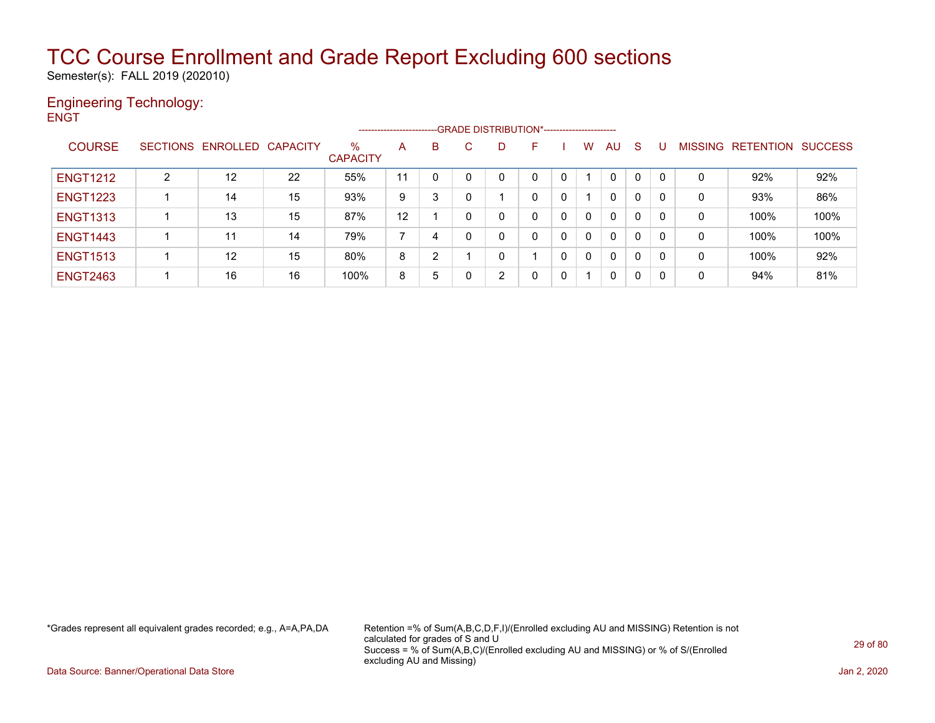Semester(s): FALL 2019 (202010)

### Engineering Technology: **ENGT**

|                 |   |                            |    |                         | ----------------------- |   |          |    | --GRADE DISTRIBUTION*----------------------- |   |          |              |              |                |           |                |
|-----------------|---|----------------------------|----|-------------------------|-------------------------|---|----------|----|----------------------------------------------|---|----------|--------------|--------------|----------------|-----------|----------------|
| <b>COURSE</b>   |   | SECTIONS ENROLLED CAPACITY |    | $\%$<br><b>CAPACITY</b> | A                       | B | C.       | D. | F                                            |   | w        | AU           | -S           | <b>MISSING</b> | RETENTION | <b>SUCCESS</b> |
| <b>ENGT1212</b> | 2 | 12                         | 22 | 55%                     | 11                      | 0 | $\Omega$ |    | 0                                            | 0 |          | 0            | 0            | 0              | 92%       | 92%            |
| <b>ENGT1223</b> |   | 14                         | 15 | 93%                     | 9                       | 3 |          |    | 0                                            | 0 |          | $\mathbf{0}$ | $\mathbf{0}$ | 0              | 93%       | 86%            |
| <b>ENGT1313</b> |   | 13                         | 15 | 87%                     | 12                      |   | $\Omega$ |    | 0                                            | 0 | $\Omega$ | $\mathbf{0}$ | $\mathbf{0}$ | 0              | 100%      | 100%           |
| <b>ENGT1443</b> |   | 11                         | 14 | 79%                     |                         | 4 |          |    | 0                                            | 0 | $\Omega$ | $\mathbf{0}$ | $\mathbf{0}$ | $\mathbf 0$    | 100%      | 100%           |
| <b>ENGT1513</b> |   | 12                         | 15 | 80%                     | 8                       | 2 |          | ∩  |                                              | 0 | $\Omega$ | $\mathbf{0}$ | $\mathbf{0}$ | 0              | 100%      | 92%            |
| <b>ENGT2463</b> |   | 16                         | 16 | 100%                    | 8                       | 5 |          | 2  | 0                                            | 0 |          | $\mathbf{0}$ | $\mathbf{0}$ | 0              | 94%       | 81%            |

\*Grades represent all equivalent grades recorded; e.g., A=A,PA,DA Retention =% of Sum(A,B,C,D,F,I)/(Enrolled excluding AU and MISSING) Retention is not calculated for grades of S and U Success = % of Sum(A,B,C)/(Enrolled excluding AU and MISSING) or % of S/(Enrolled excluding AU and Missing)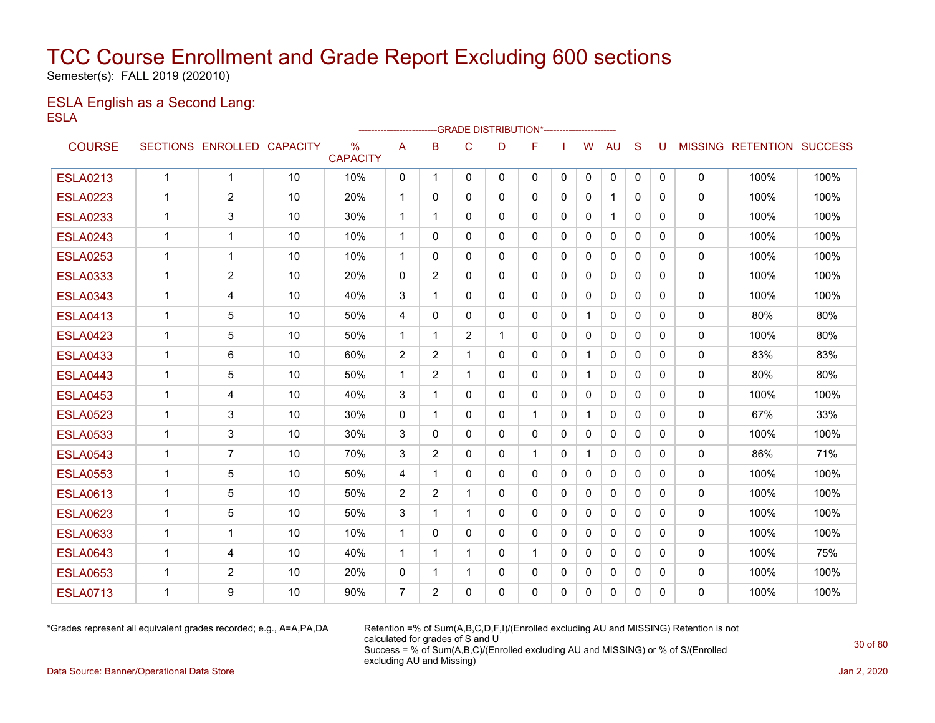Semester(s): FALL 2019 (202010)

### ESLA English as a Second Lang: ESLA

|                 |              |                            |    |                                  | ------------------------ |                |                |              | --GRADE DISTRIBUTION*---------------------- |              |              |              |              |          |              |                           |      |
|-----------------|--------------|----------------------------|----|----------------------------------|--------------------------|----------------|----------------|--------------|---------------------------------------------|--------------|--------------|--------------|--------------|----------|--------------|---------------------------|------|
| <b>COURSE</b>   |              | SECTIONS ENROLLED CAPACITY |    | $\frac{0}{0}$<br><b>CAPACITY</b> | A                        | B              | $\mathsf{C}$   | D            | F                                           |              | W            | <b>AU</b>    | S            | U        |              | MISSING RETENTION SUCCESS |      |
| <b>ESLA0213</b> | $\mathbf{1}$ | $\mathbf{1}$               | 10 | 10%                              | 0                        | $\overline{1}$ | 0              | $\mathbf{0}$ | 0                                           | 0            | 0            | 0            | $\mathbf{0}$ | 0        | $\mathbf 0$  | 100%                      | 100% |
| <b>ESLA0223</b> | $\mathbf 1$  | $\overline{2}$             | 10 | 20%                              | $\mathbf 1$              | 0              | 0              | 0            | 0                                           | $\mathbf{0}$ | 0            | $\mathbf{1}$ | $\mathbf{0}$ | 0        | 0            | 100%                      | 100% |
| <b>ESLA0233</b> | $\mathbf 1$  | 3                          | 10 | 30%                              | $\mathbf{1}$             | -1             | $\mathbf{0}$   | $\Omega$     | 0                                           | $\Omega$     | $\mathbf{0}$ | $\mathbf 1$  | $\Omega$     | 0        | 0            | 100%                      | 100% |
| <b>ESLA0243</b> | 1            | 1                          | 10 | 10%                              | 1                        | 0              | 0              | $\mathbf{0}$ | 0                                           | 0            | 0            | $\mathbf{0}$ | $\mathbf{0}$ | 0        | 0            | 100%                      | 100% |
| <b>ESLA0253</b> | 1            | 1                          | 10 | 10%                              | $\mathbf 1$              | 0              | 0              | $\mathbf{0}$ | 0                                           | 0            | 0            | $\mathbf{0}$ | $\mathbf{0}$ | 0        | 0            | 100%                      | 100% |
| <b>ESLA0333</b> | 1            | $\overline{2}$             | 10 | 20%                              | $\mathbf{0}$             | $\overline{2}$ | 0              | $\mathbf{0}$ | $\mathbf{0}$                                | 0            | 0            | $\Omega$     | $\Omega$     | 0        | 0            | 100%                      | 100% |
| <b>ESLA0343</b> | 1            | 4                          | 10 | 40%                              | 3                        | 1              | $\mathbf{0}$   | 0            | 0                                           | 0            | 0            | $\mathbf{0}$ | 0            | 0        | 0            | 100%                      | 100% |
| <b>ESLA0413</b> | $\mathbf 1$  | 5                          | 10 | 50%                              | 4                        | $\Omega$       | $\mathbf{0}$   | $\mathbf{0}$ | $\mathbf{0}$                                | $\mathbf{0}$ | $\mathbf{1}$ | $\mathbf{0}$ | $\Omega$     | 0        | 0            | 80%                       | 80%  |
| <b>ESLA0423</b> | $\mathbf 1$  | 5                          | 10 | 50%                              | $\mathbf 1$              | 1              | $\overline{2}$ | 1            | 0                                           | 0            | 0            | $\mathbf{0}$ | $\mathbf{0}$ | 0        | 0            | 100%                      | 80%  |
| <b>ESLA0433</b> | 1            | 6                          | 10 | 60%                              | 2                        | 2              | 1              | $\mathbf{0}$ | 0                                           | $\Omega$     | $\mathbf{1}$ | $\mathbf{0}$ | $\Omega$     | 0        | 0            | 83%                       | 83%  |
| <b>ESLA0443</b> | 1            | 5                          | 10 | 50%                              | $\mathbf{1}$             | 2              | $\mathbf 1$    | $\mathbf{0}$ | $\mathbf{0}$                                | $\mathbf{0}$ | $\mathbf{1}$ | $\mathbf{0}$ | $\Omega$     | $\Omega$ | 0            | 80%                       | 80%  |
| <b>ESLA0453</b> | $\mathbf 1$  | 4                          | 10 | 40%                              | 3                        | 1              | $\mathbf{0}$   | $\Omega$     | 0                                           | $\mathbf{0}$ | $\mathbf{0}$ | $\mathbf{0}$ | $\Omega$     | $\Omega$ | 0            | 100%                      | 100% |
| <b>ESLA0523</b> | $\mathbf 1$  | 3                          | 10 | 30%                              | $\mathbf{0}$             | 1              | $\mathbf{0}$   | $\Omega$     | 1                                           | $\Omega$     |              | $\mathbf{0}$ | $\Omega$     | $\Omega$ | $\mathbf 0$  | 67%                       | 33%  |
| <b>ESLA0533</b> | $\mathbf 1$  | 3                          | 10 | 30%                              | 3                        | $\Omega$       | 0              | $\mathbf{0}$ | 0                                           | $\Omega$     | 0            | $\mathbf{0}$ | 0            | 0        | 0            | 100%                      | 100% |
| <b>ESLA0543</b> | 1            | $\overline{7}$             | 10 | 70%                              | 3                        | $\overline{2}$ | $\Omega$       | $\mathbf{0}$ | 1                                           | $\Omega$     | 1            | $\mathbf{0}$ | $\Omega$     | $\Omega$ | 0            | 86%                       | 71%  |
| <b>ESLA0553</b> | $\mathbf 1$  | 5                          | 10 | 50%                              | 4                        | -1             | $\mathbf{0}$   | $\mathbf{0}$ | $\mathbf{0}$                                | 0            | $\mathbf 0$  | $\mathbf{0}$ | $\mathbf{0}$ | 0        | 0            | 100%                      | 100% |
| <b>ESLA0613</b> | $\mathbf 1$  | 5                          | 10 | 50%                              | 2                        | 2              | 1              | $\mathbf{0}$ | $\Omega$                                    | $\mathbf{0}$ | $\mathbf{0}$ | $\mathbf{0}$ | $\Omega$     | $\Omega$ | 0            | 100%                      | 100% |
| <b>ESLA0623</b> | $\mathbf 1$  | 5                          | 10 | 50%                              | 3                        | 1              | 1              | $\Omega$     | 0                                           | $\Omega$     | $\mathbf{0}$ | $\mathbf{0}$ | $\Omega$     | $\Omega$ | $\mathbf{0}$ | 100%                      | 100% |
| <b>ESLA0633</b> | $\mathbf 1$  | 1                          | 10 | 10%                              | $\mathbf{1}$             | $\Omega$       | $\mathbf{0}$   | $\Omega$     | 0                                           | $\Omega$     | $\mathbf{0}$ | $\Omega$     | $\Omega$     | $\Omega$ | 0            | 100%                      | 100% |
| <b>ESLA0643</b> | 1            | 4                          | 10 | 40%                              | $\mathbf{1}$             | 1              | 1              | $\mathbf{0}$ | 1                                           | $\Omega$     | $\Omega$     | $\Omega$     | $\Omega$     | $\Omega$ | 0            | 100%                      | 75%  |
| <b>ESLA0653</b> | $\mathbf 1$  | $\overline{2}$             | 10 | 20%                              | $\mathbf 0$              | 1              | $\mathbf 1$    | $\Omega$     | 0                                           | $\Omega$     | $\mathbf{0}$ | $\mathbf{0}$ | $\Omega$     | $\Omega$ | 0            | 100%                      | 100% |
| <b>ESLA0713</b> | 1            | 9                          | 10 | 90%                              | $\overline{7}$           | 2              | $\Omega$       | $\Omega$     | $\Omega$                                    | $\Omega$     | $\Omega$     | $\Omega$     | $\Omega$     | $\Omega$ | $\Omega$     | 100%                      | 100% |

\*Grades represent all equivalent grades recorded; e.g., A=A,PA,DA Retention =% of Sum(A,B,C,D,F,I)/(Enrolled excluding AU and MISSING) Retention is not calculated for grades of S and U Success = % of Sum(A,B,C)/(Enrolled excluding AU and MISSING) or % of S/(Enrolled excluding AU and Missing)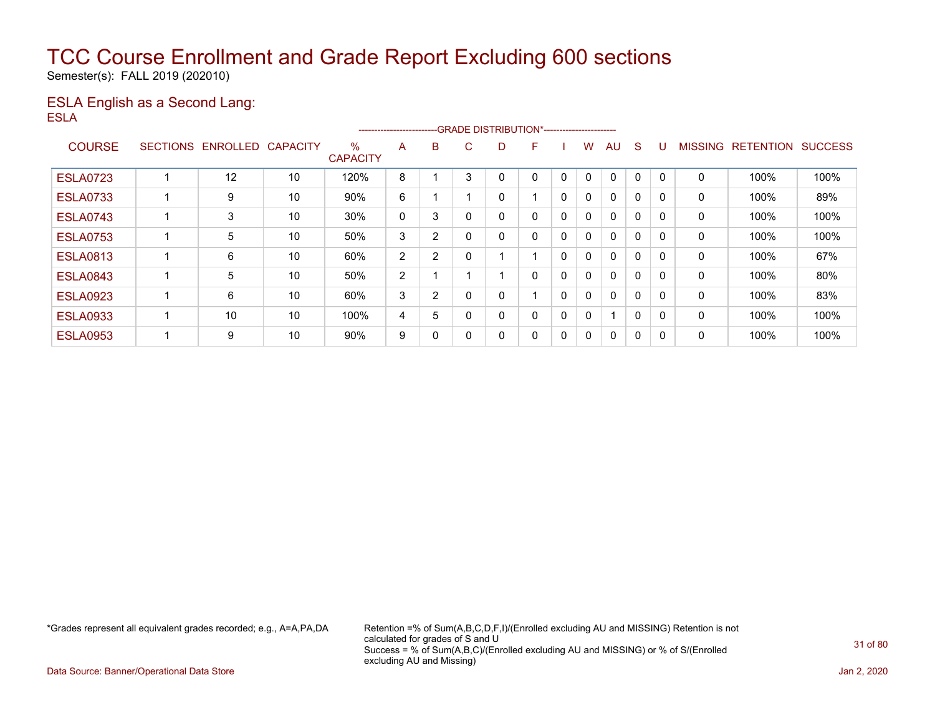Semester(s): FALL 2019 (202010)

### ESLA English as a Second Lang: ESLA

|                 |                 |          |                 |                      | ----------------------- |   |     |    | --GRADE DISTRIBUTION*----------------------- |   |              |              |              |          |                |                  |                |
|-----------------|-----------------|----------|-----------------|----------------------|-------------------------|---|-----|----|----------------------------------------------|---|--------------|--------------|--------------|----------|----------------|------------------|----------------|
| <b>COURSE</b>   | <b>SECTIONS</b> | ENROLLED | <b>CAPACITY</b> | %<br><b>CAPACITY</b> | A                       | B | C.  | D. | F                                            |   | w            | AU           | S            |          | <b>MISSING</b> | <b>RETENTION</b> | <b>SUCCESS</b> |
| <b>ESLA0723</b> |                 | 12       | 10              | 120%                 | 8                       |   | 3   |    | 0                                            | 0 | 0            | $\mathbf{0}$ | 0            |          | 0              | 100%             | 100%           |
| <b>ESLA0733</b> |                 | 9        | 10              | 90%                  | 6                       |   |     |    |                                              | 0 | $\mathbf{0}$ | $\mathbf{0}$ | 0            |          | 0              | 100%             | 89%            |
| <b>ESLA0743</b> |                 | 3        | 10              | 30%                  | 0                       | 3 |     | 0  | 0                                            | 0 | $\mathbf{0}$ | $\mathbf{0}$ | 0            | $\Omega$ | 0              | 100%             | 100%           |
| <b>ESLA0753</b> |                 | 5        | 10              | 50%                  | 3                       | 2 |     |    | 0                                            | 0 | 0            | 0            | 0            | $\Omega$ | 0              | 100%             | 100%           |
| <b>ESLA0813</b> |                 | 6        | 10              | 60%                  | $\overline{2}$          | 2 |     |    |                                              | 0 | $\mathbf{0}$ | $\Omega$     | 0            |          | 0              | 100%             | 67%            |
| <b>ESLA0843</b> |                 | 5        | 10              | 50%                  | $\overline{2}$          |   |     |    | 0                                            | 0 | 0            | $\mathbf{0}$ | 0            | $\Omega$ | 0              | 100%             | 80%            |
| <b>ESLA0923</b> |                 | 6        | 10              | 60%                  | 3                       | 2 |     |    |                                              | 0 | $\mathbf{0}$ | $\mathbf{0}$ | 0            | $\Omega$ | 0              | 100%             | 83%            |
| <b>ESLA0933</b> |                 | 10       | 10              | 100%                 | 4                       | 5 |     |    | 0                                            | 0 | 0            | 1            | $\mathbf{0}$ | $\Omega$ | 0              | 100%             | 100%           |
| <b>ESLA0953</b> |                 | 9        | 10              | 90%                  | 9                       | 0 | - 0 |    | 0                                            | 0 | 0            | $\mathbf{0}$ | 0            | 0        | 0              | 100%             | 100%           |

\*Grades represent all equivalent grades recorded; e.g., A=A,PA,DA Retention =% of Sum(A,B,C,D,F,I)/(Enrolled excluding AU and MISSING) Retention is not calculated for grades of S and U Success = % of Sum(A,B,C)/(Enrolled excluding AU and MISSING) or % of S/(Enrolled excluding AU and Missing)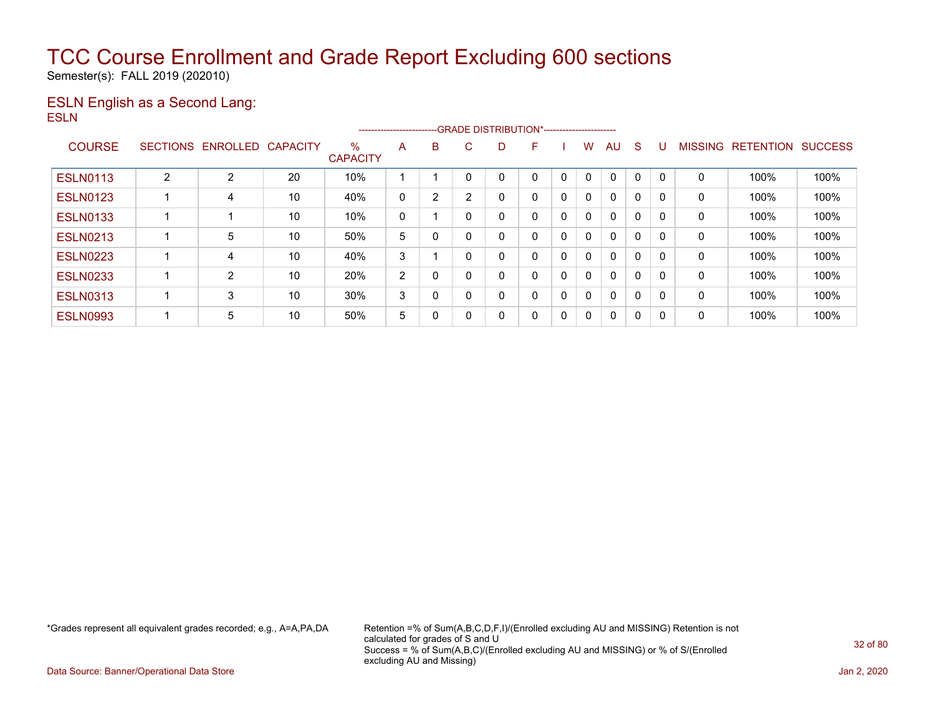Semester(s): FALL 2019 (202010)

### ESLN English as a Second Lang: ESLN

|                 |                 |                   |    |                                  | ----------------------- |   | --GRADE DISTRIBUTION*----------------------- |   |   |   |              |              |              |          |                |                  |                |
|-----------------|-----------------|-------------------|----|----------------------------------|-------------------------|---|----------------------------------------------|---|---|---|--------------|--------------|--------------|----------|----------------|------------------|----------------|
| <b>COURSE</b>   | <b>SECTIONS</b> | ENROLLED CAPACITY |    | $\frac{0}{0}$<br><b>CAPACITY</b> | A                       | B | C.                                           | D | F |   | w            | AU           | S            |          | <b>MISSING</b> | <b>RETENTION</b> | <b>SUCCESS</b> |
| <b>ESLN0113</b> | $\overline{2}$  | 2                 | 20 | 10%                              |                         |   |                                              |   |   | 0 |              | $\Omega$     | 0            |          | 0              | 100%             | 100%           |
| <b>ESLN0123</b> |                 | 4                 | 10 | 40%                              | 0                       | 2 | 2                                            |   | 0 | 0 | 0            | $\mathbf{0}$ | 0            | $\Omega$ | 0              | 100%             | 100%           |
| <b>ESLN0133</b> |                 |                   | 10 | 10%                              | 0                       |   |                                              |   | 0 | 0 | 0            | $\mathbf{0}$ | 0            | $\Omega$ | 0              | 100%             | 100%           |
| <b>ESLN0213</b> |                 | 5                 | 10 | 50%                              | 5                       | 0 |                                              | ۵ | 0 | 0 | $\mathbf{0}$ | $\Omega$     | $\mathbf{0}$ |          | 0              | 100%             | 100%           |
| <b>ESLN0223</b> |                 | 4                 | 10 | 40%                              | 3                       |   | - 0                                          |   | 0 | 0 | 0            | $\mathbf{0}$ | 0            | $\Omega$ | 0              | 100%             | 100%           |
| <b>ESLN0233</b> |                 | $\overline{2}$    | 10 | 20%                              | $\overline{2}$          | 0 |                                              |   | 0 | 0 | 0            | $\mathbf{0}$ | 0            |          | 0              | 100%             | 100%           |
| <b>ESLN0313</b> |                 | 3                 | 10 | 30%                              | 3                       | 0 |                                              | 0 | 0 | 0 | $\mathbf{0}$ | $\mathbf{0}$ | $\mathbf{0}$ | $\Omega$ | 0              | 100%             | 100%           |
| <b>ESLN0993</b> |                 | 5                 | 10 | 50%                              | 5                       | 0 | $\Omega$                                     | 0 | 0 | 0 | 0            | $\mathbf{0}$ | 0            | 0        | 0              | 100%             | 100%           |

\*Grades represent all equivalent grades recorded; e.g., A=A,PA,DA Retention =% of Sum(A,B,C,D,F,I)/(Enrolled excluding AU and MISSING) Retention is not calculated for grades of S and U Success = % of Sum(A,B,C)/(Enrolled excluding AU and MISSING) or % of S/(Enrolled excluding AU and Missing)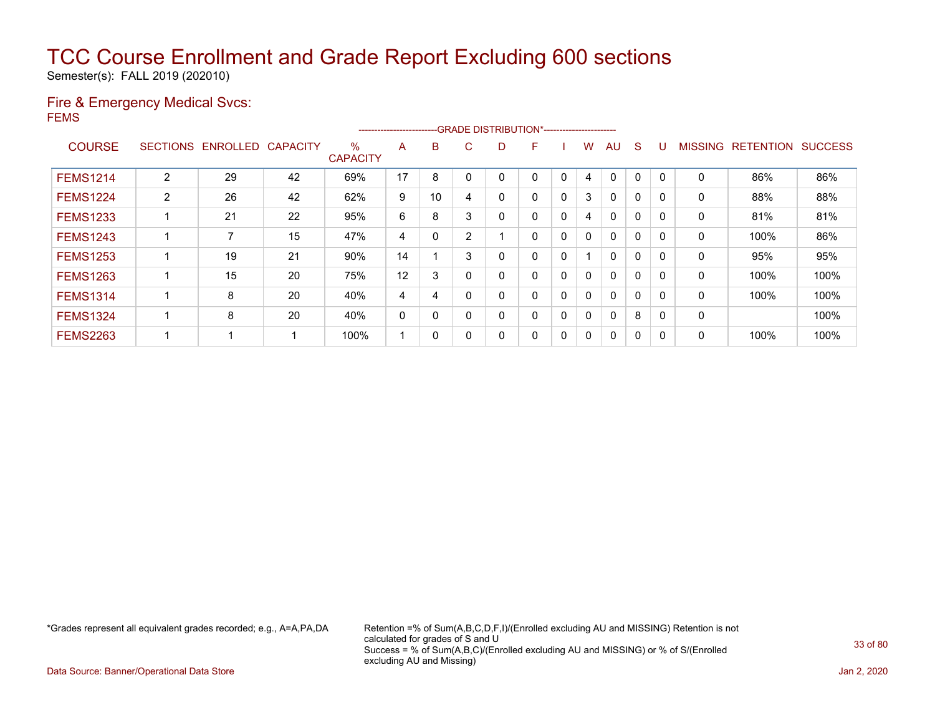Semester(s): FALL 2019 (202010)

### Fire & Emergency Medical Svcs: FEMS

|                 |                 |                 |                 |                      | ----------------------- |    |          |    | --GRADE DISTRIBUTION*----------------------- |   |   |              |              |          |                |                  |                |
|-----------------|-----------------|-----------------|-----------------|----------------------|-------------------------|----|----------|----|----------------------------------------------|---|---|--------------|--------------|----------|----------------|------------------|----------------|
| <b>COURSE</b>   | <b>SECTIONS</b> | <b>ENROLLED</b> | <b>CAPACITY</b> | %<br><b>CAPACITY</b> | A                       | B  | C.       | D. | F                                            |   | w | AU           | S            |          | <b>MISSING</b> | <b>RETENTION</b> | <b>SUCCESS</b> |
| <b>FEMS1214</b> | 2               | 29              | 42              | 69%                  | 17                      | 8  |          |    | 0                                            | 0 | 4 | $\mathbf{0}$ | 0            | 0        | 0              | 86%              | 86%            |
| <b>FEMS1224</b> | $\overline{2}$  | 26              | 42              | 62%                  | 9                       | 10 | 4        |    | 0                                            | 0 | 3 | $\mathbf{0}$ | 0            |          | 0              | 88%              | 88%            |
| <b>FEMS1233</b> |                 | 21              | 22              | 95%                  | 6                       | 8  | 3        | 0  | 0                                            | 0 | 4 | $\mathbf{0}$ | 0            | $\Omega$ | 0              | 81%              | 81%            |
| <b>FEMS1243</b> |                 | 7               | 15              | 47%                  | 4                       | 0  | 2        |    | 0                                            | 0 | 0 | 0            | 0            | $\Omega$ | 0              | 100%             | 86%            |
| <b>FEMS1253</b> |                 | 19              | 21              | 90%                  | 14                      |    | 3        |    | 0                                            | 0 |   | $\mathbf{0}$ | $\mathbf{0}$ |          | 0              | 95%              | 95%            |
| <b>FEMS1263</b> |                 | 15              | 20              | 75%                  | 12                      | 3  | $\Omega$ |    | 0                                            | 0 | 0 | $\mathbf{0}$ | 0            | $\Omega$ | 0              | 100%             | 100%           |
| <b>FEMS1314</b> |                 | 8               | 20              | 40%                  | 4                       | 4  |          |    | 0                                            | 0 | 0 | $\mathbf{0}$ | 0            | $\Omega$ | 0              | 100%             | 100%           |
| <b>FEMS1324</b> |                 | 8               | 20              | 40%                  | 0                       | 0  |          |    | 0                                            | 0 | 0 | $\mathbf{0}$ | 8            | $\Omega$ | 0              |                  | 100%           |
| <b>FEMS2263</b> |                 |                 |                 | 100%                 |                         | 0  | 0        |    | 0                                            | 0 | 0 | $\mathbf{0}$ | 0            | 0        | 0              | 100%             | 100%           |

\*Grades represent all equivalent grades recorded; e.g., A=A,PA,DA Retention =% of Sum(A,B,C,D,F,I)/(Enrolled excluding AU and MISSING) Retention is not calculated for grades of S and U Success = % of Sum(A,B,C)/(Enrolled excluding AU and MISSING) or % of S/(Enrolled excluding AU and Missing)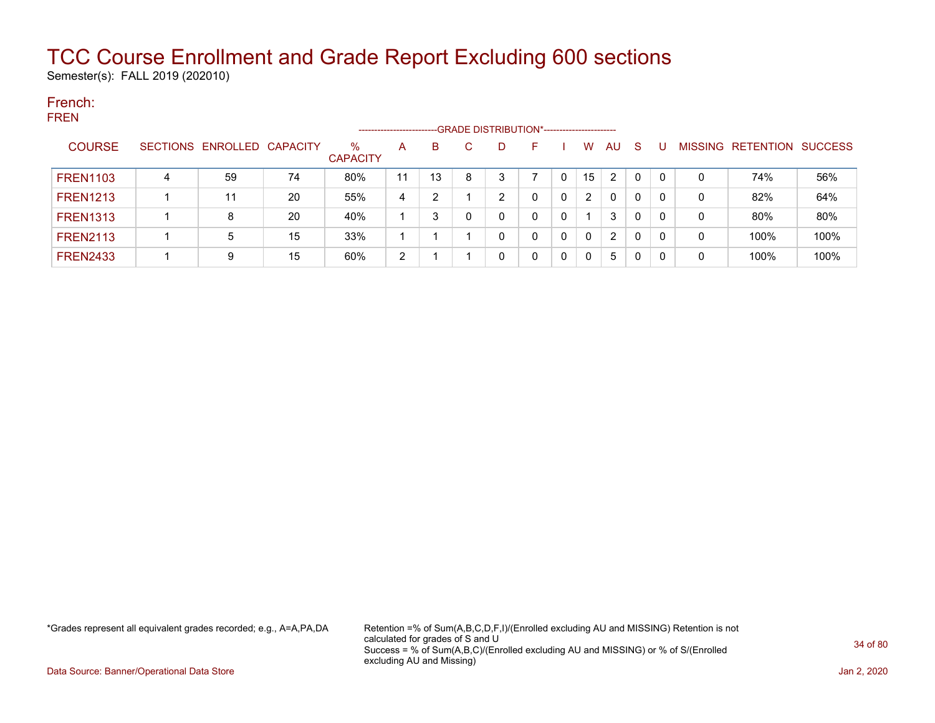Semester(s): FALL 2019 (202010)

### French: FREN

|                 |                 |                          |    |                         | ---------------------- |    |   | --GRADE DISTRIBUTION*----------------------- |   |   |          |    |          |    |                |                  |                |
|-----------------|-----------------|--------------------------|----|-------------------------|------------------------|----|---|----------------------------------------------|---|---|----------|----|----------|----|----------------|------------------|----------------|
| <b>COURSE</b>   | <b>SECTIONS</b> | <b>ENROLLED CAPACITY</b> |    | $\%$<br><b>CAPACITY</b> | A                      | B  | C | D                                            | F |   | W        | AU | <b>S</b> |    | <b>MISSING</b> | <b>RETENTION</b> | <b>SUCCESS</b> |
| <b>FREN1103</b> | 4               | 59                       | 74 | 80%                     | 11                     | 13 | 8 | 3                                            |   |   | 15       | 2  | 0        | -0 | 0              | 74%              | 56%            |
| <b>FREN1213</b> |                 | 11                       | 20 | 55%                     | 4                      | 2  |   | າ                                            | 0 |   | 2        | 0  | 0        | -0 | 0              | 82%              | 64%            |
| <b>FREN1313</b> |                 | 8                        | 20 | 40%                     |                        | າ  |   | 0                                            | 0 | 0 |          | 3  | 0        |    | 0              | 80%              | 80%            |
| <b>FREN2113</b> |                 | 5                        | 15 | 33%                     |                        |    |   | 0                                            | 0 |   | $\Omega$ | 2  | 0        | -0 | 0              | 100%             | 100%           |
| <b>FREN2433</b> |                 | 9                        | 15 | 60%                     | 2                      |    |   | 0                                            | 0 |   | 0        | 5  | 0        | -0 | 0              | 100%             | 100%           |

\*Grades represent all equivalent grades recorded; e.g., A=A,PA,DA Retention =% of Sum(A,B,C,D,F,I)/(Enrolled excluding AU and MISSING) Retention is not calculated for grades of S and U Success = % of Sum(A,B,C)/(Enrolled excluding AU and MISSING) or % of S/(Enrolled excluding AU and Missing)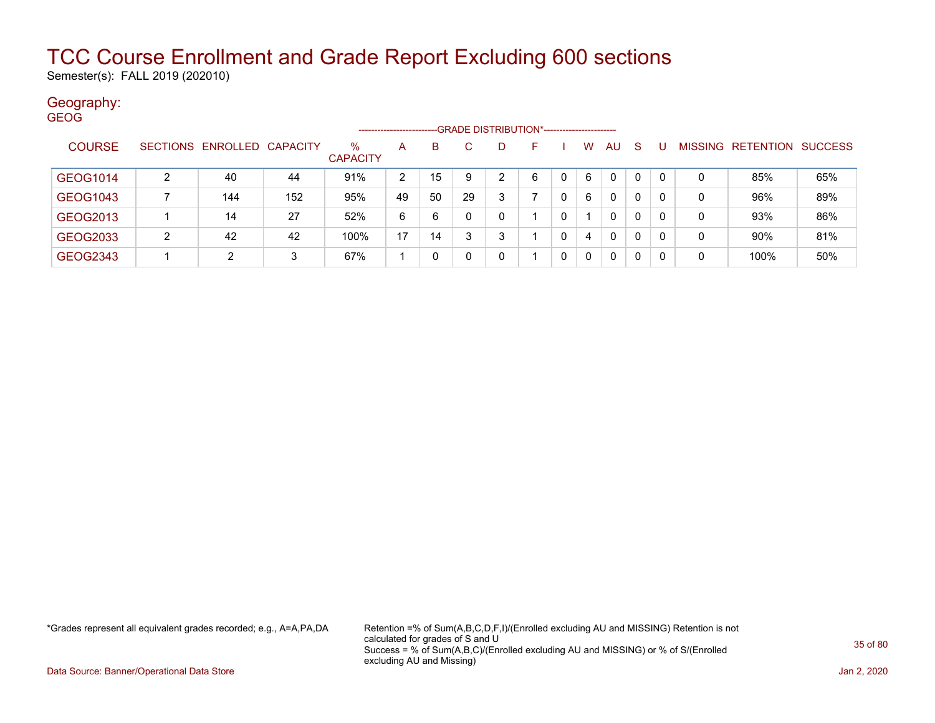Semester(s): FALL 2019 (202010)

### Geography: GEOG

|               |                 |                   |     |                         | --------------------- |              |    | --GRADE DISTRIBUTION*----------------------- |   |   |              |              |    |                |                  |                |
|---------------|-----------------|-------------------|-----|-------------------------|-----------------------|--------------|----|----------------------------------------------|---|---|--------------|--------------|----|----------------|------------------|----------------|
| <b>COURSE</b> | <b>SECTIONS</b> | ENROLLED CAPACITY |     | $\%$<br><b>CAPACITY</b> | A                     | <sub>B</sub> | C  | D                                            | F | W | AU           | <sub>S</sub> |    | <b>MISSING</b> | <b>RETENTION</b> | <b>SUCCESS</b> |
| GEOG1014      | 2               | 40                | 44  | 91%                     | 2                     | 15           | 9  | 2                                            | 6 | 6 | $\mathbf{0}$ | 0            | 0  | 0              | 85%              | 65%            |
| GEOG1043      |                 | 144               | 152 | 95%                     | 49                    | 50           | 29 | 3                                            |   | 6 | 0            | 0            | -0 | 0              | 96%              | 89%            |
| GEOG2013      |                 | 14                | 27  | 52%                     | 6                     | 6            |    | 0                                            |   |   | 0            | 0            | -0 | 0              | 93%              | 86%            |
| GEOG2033      | 2               | 42                | 42  | 100%                    | 17                    | 14           |    | 3                                            |   | 4 | 0            | 0            | -0 | 0              | 90%              | 81%            |
| GEOG2343      |                 | 2                 | 3   | 67%                     |                       |              |    | 0                                            |   | 0 | 0            | 0            | -0 | 0              | 100%             | 50%            |

\*Grades represent all equivalent grades recorded; e.g., A=A,PA,DA Retention =% of Sum(A,B,C,D,F,I)/(Enrolled excluding AU and MISSING) Retention is not calculated for grades of S and U Success = % of Sum(A,B,C)/(Enrolled excluding AU and MISSING) or % of S/(Enrolled excluding AU and Missing)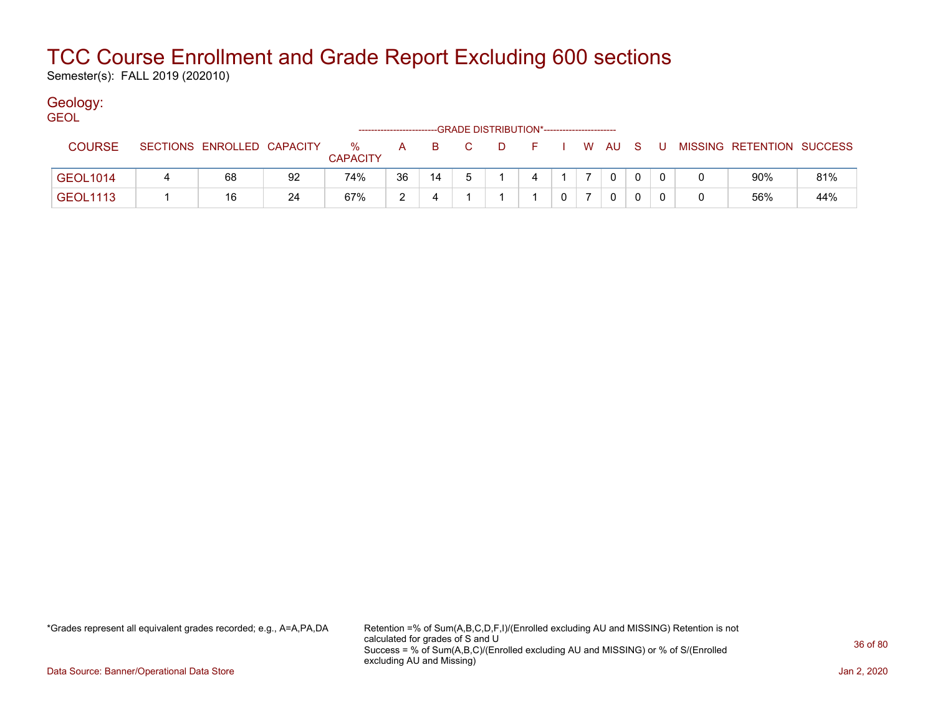Semester(s): FALL 2019 (202010)

### Geology:

| <b>GEOL</b>                                 |                 |  |                            |    |                      |     |    |             |          |            |  |  |              |   |                           |     |
|---------------------------------------------|-----------------|--|----------------------------|----|----------------------|-----|----|-------------|----------|------------|--|--|--------------|---|---------------------------|-----|
| -GRADE DISTRIBUTION*----------------------- |                 |  |                            |    |                      |     |    |             |          |            |  |  |              |   |                           |     |
|                                             | <b>COURSE</b>   |  | SECTIONS ENROLLED CAPACITY |    | %<br><b>CAPACITY</b> | A a |    | B C         | <b>D</b> | F I W AU S |  |  |              | U | MISSING RETENTION SUCCESS |     |
|                                             | <b>GEOL1014</b> |  | 68                         | 92 | 74%                  | 36  | 14 | $5^{\circ}$ |          |            |  |  | $\Omega$     |   | 90%                       | 81% |
|                                             | <b>GEOL1113</b> |  | 16                         | 24 | 67%                  | ົ   |    |             |          |            |  |  | $\mathbf{0}$ |   | 56%                       | 44% |

\*Grades represent all equivalent grades recorded; e.g., A=A,PA,DA Retention =% of Sum(A,B,C,D,F,I)/(Enrolled excluding AU and MISSING) Retention is not calculated for grades of S and U Success = % of Sum(A,B,C)/(Enrolled excluding AU and MISSING) or % of S/(Enrolled excluding AU and Missing)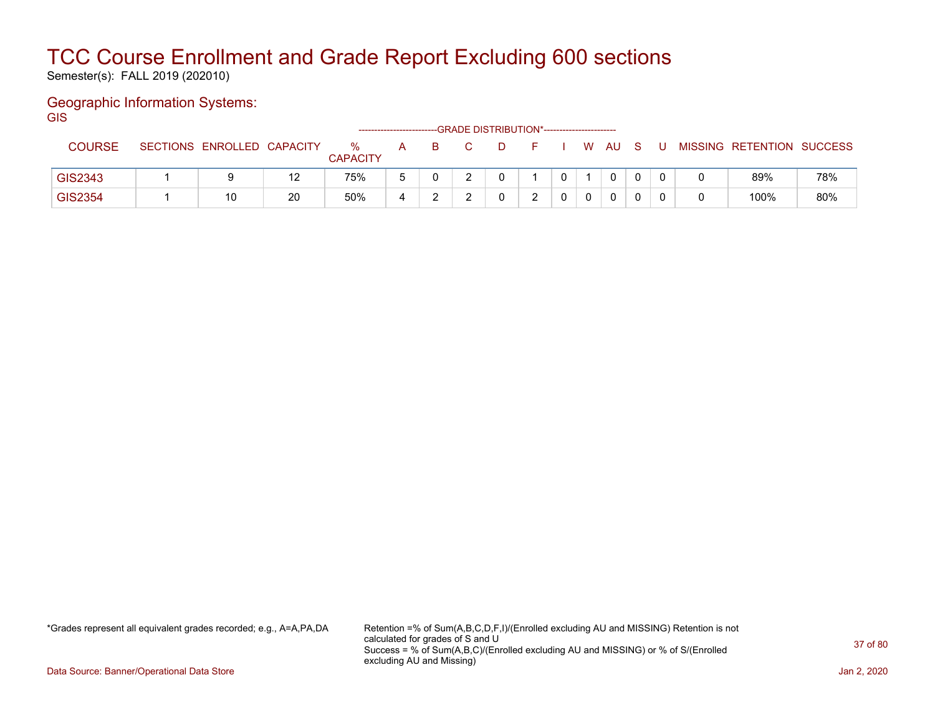Semester(s): FALL 2019 (202010)

### Geographic Information Systems:

**GIS** 

|               |                            |    |                      | ------------------------ |  | --GRADE DISTRIBUTION*---------------------- |   |     |  |                           |     |
|---------------|----------------------------|----|----------------------|--------------------------|--|---------------------------------------------|---|-----|--|---------------------------|-----|
| <b>COURSE</b> | SECTIONS ENROLLED CAPACITY |    | %<br><b>CAPACITY</b> | А                        |  |                                             | W | -AU |  | MISSING RETENTION SUCCESS |     |
| GIS2343       |                            | 12 | 75%                  |                          |  |                                             |   | 0   |  | 89%                       | 78% |
| GIS2354       | 10                         | 20 | 50%                  |                          |  | ົ                                           | 0 | 0   |  | 100%                      | 80% |

\*Grades represent all equivalent grades recorded; e.g., A=A,PA,DA Retention =% of Sum(A,B,C,D,F,I)/(Enrolled excluding AU and MISSING) Retention is not calculated for grades of S and U Success = % of Sum(A,B,C)/(Enrolled excluding AU and MISSING) or % of S/(Enrolled excluding AU and Missing)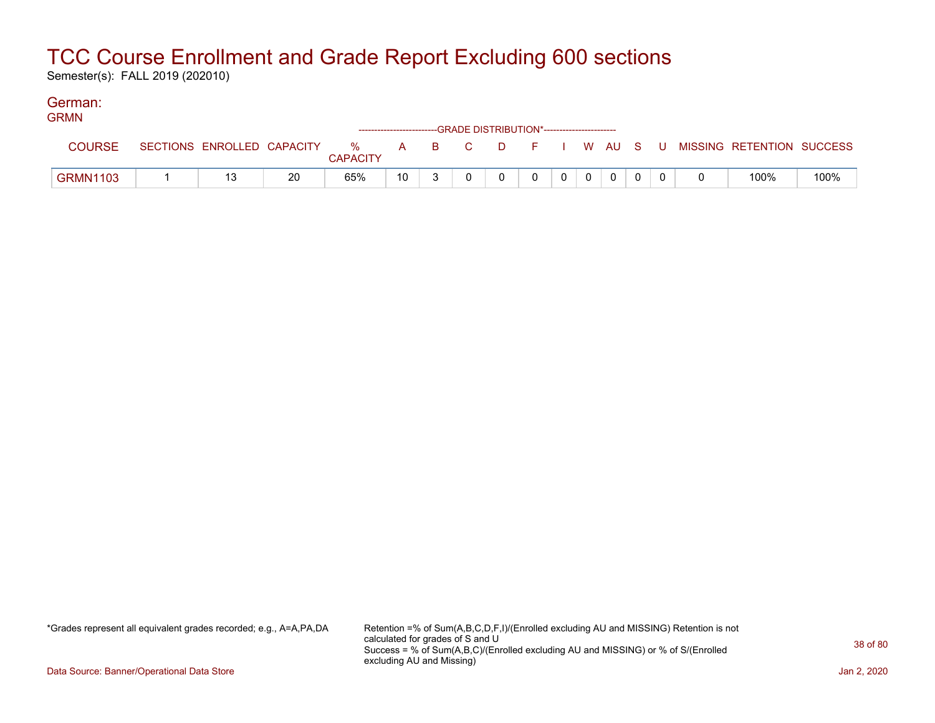Semester(s): FALL 2019 (202010)

#### German: **CDMM**

| UNIVIIV         |                            |    |                         | ------------------------GRADE DISTRIBUTION*----------------------- |          |    |    |  |          |  |                           |      |
|-----------------|----------------------------|----|-------------------------|--------------------------------------------------------------------|----------|----|----|--|----------|--|---------------------------|------|
| <b>COURSE</b>   | SECTIONS ENROLLED CAPACITY |    | $\%$<br><b>CAPACITY</b> | $\mathsf{A}$                                                       | <b>B</b> | C. | D. |  | I W AU S |  | MISSING RETENTION SUCCESS |      |
| <b>GRMN1103</b> |                            | 20 | 65%                     | 10                                                                 |          |    |    |  |          |  | 100%                      | 100% |

\*Grades represent all equivalent grades recorded; e.g., A=A,PA,DA Retention =% of Sum(A,B,C,D,F,I)/(Enrolled excluding AU and MISSING) Retention is not calculated for grades of S and U Success = % of Sum(A,B,C)/(Enrolled excluding AU and MISSING) or % of S/(Enrolled excluding AU and Missing)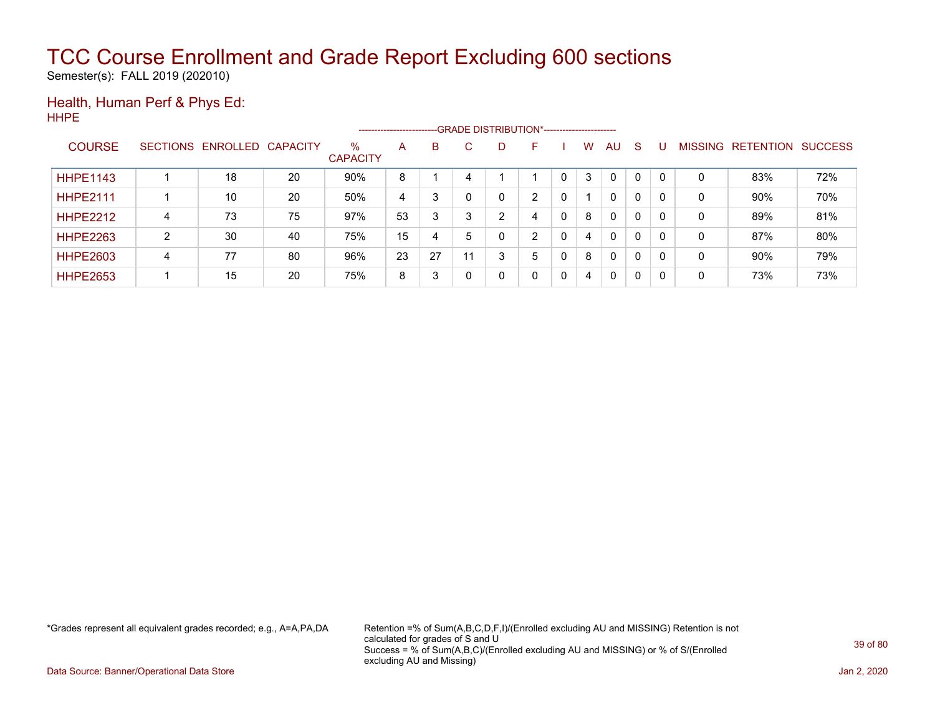Semester(s): FALL 2019 (202010)

#### Health, Human Perf & Phys Ed: HHPE

|                 |   |                   |                 |                         | ----------------------- |    |    |   | --GRADE DISTRIBUTION*----------------------- |   |              |              |                |                  |                |
|-----------------|---|-------------------|-----------------|-------------------------|-------------------------|----|----|---|----------------------------------------------|---|--------------|--------------|----------------|------------------|----------------|
| <b>COURSE</b>   |   | SECTIONS ENROLLED | <b>CAPACITY</b> | $\%$<br><b>CAPACITY</b> | A                       | B  | C. | D | н.                                           | W | AU           | <sub>S</sub> | <b>MISSING</b> | <b>RETENTION</b> | <b>SUCCESS</b> |
| <b>HHPE1143</b> |   | 18                | 20              | 90%                     | 8                       |    | 4  |   |                                              | 3 | 0            | 0            | 0              | 83%              | 72%            |
| <b>HHPE2111</b> |   | 10                | 20              | 50%                     | 4                       | 3  |    |   | ົ                                            |   | $\mathbf{0}$ | 0            | 0              | 90%              | 70%            |
| <b>HHPE2212</b> | 4 | 73                | 75              | 97%                     | 53                      | 3  |    | ົ | 4                                            | 8 | $\mathbf{0}$ | 0            | 0              | 89%              | 81%            |
| <b>HHPE2263</b> | ົ | 30                | 40              | 75%                     | 15                      | 4  |    |   | ົ                                            | 4 | $\mathbf{0}$ | 0            | 0              | 87%              | 80%            |
| <b>HHPE2603</b> | 4 | 77                | 80              | 96%                     | 23                      | 27 | 11 | 3 | 5                                            | 8 | $\mathbf{0}$ | 0            | 0              | 90%              | 79%            |
| <b>HHPE2653</b> |   | 15                | 20              | 75%                     | 8                       | 3  |    |   | 0                                            | 4 | $\mathbf{0}$ | 0            | 0              | 73%              | 73%            |

\*Grades represent all equivalent grades recorded; e.g., A=A,PA,DA Retention =% of Sum(A,B,C,D,F,I)/(Enrolled excluding AU and MISSING) Retention is not calculated for grades of S and U Success = % of Sum(A,B,C)/(Enrolled excluding AU and MISSING) or % of S/(Enrolled excluding AU and Missing)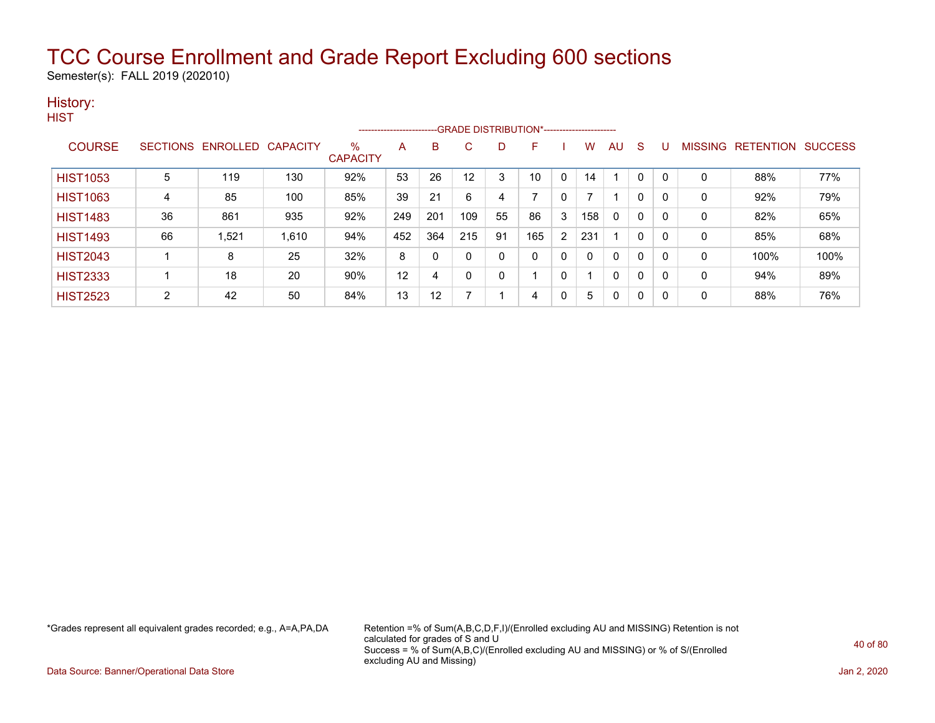Semester(s): FALL 2019 (202010)

#### History: **HIST**

|                 |                |                            |       |                      |     |                   | --------------------------GRADE DISTRIBUTION*---------------------- |    |     |              |     |    |             |   |                |                  |                |
|-----------------|----------------|----------------------------|-------|----------------------|-----|-------------------|---------------------------------------------------------------------|----|-----|--------------|-----|----|-------------|---|----------------|------------------|----------------|
| <b>COURSE</b>   |                | SECTIONS ENROLLED CAPACITY |       | %<br><b>CAPACITY</b> | Α   | B                 | C.                                                                  | D  | F   |              | W   | AU | S           |   | <b>MISSING</b> | <b>RETENTION</b> | <b>SUCCESS</b> |
| <b>HIST1053</b> | 5              | 119                        | 130   | 92%                  | 53  | 26                | 12                                                                  | 3  | 10  | $\Omega$     | 14  |    | 0           | 0 | 0              | 88%              | 77%            |
| <b>HIST1063</b> | 4              | 85                         | 100   | 85%                  | 39  | 21                | 6                                                                   | 4  |     | $\Omega$     |     |    | $\mathbf 0$ | 0 | 0              | 92%              | 79%            |
| <b>HIST1483</b> | 36             | 861                        | 935   | 92%                  | 249 | 201               | 109                                                                 | 55 | 86  | 3            | 158 | 0  | 0           | 0 | 0              | 82%              | 65%            |
| <b>HIST1493</b> | 66             | 1,521                      | 1,610 | 94%                  | 452 | 364               | 215                                                                 | 91 | 165 | 2            | 231 |    | 0           | 0 | 0              | 85%              | 68%            |
| <b>HIST2043</b> |                | 8                          | 25    | 32%                  | 8   | 0                 | 0                                                                   | 0  | 0   | $\mathbf 0$  | 0   | 0  | 0           | 0 | 0              | 100%             | 100%           |
| <b>HIST2333</b> |                | 18                         | 20    | 90%                  | 12  | 4                 | 0                                                                   | 0  |     | $\mathbf 0$  |     | 0  | 0           | 0 | 0              | 94%              | 89%            |
| <b>HIST2523</b> | $\overline{2}$ | 42                         | 50    | 84%                  | 13  | $12 \overline{ }$ |                                                                     |    | 4   | $\mathbf{0}$ | 5   | 0  | 0           | 0 | 0              | 88%              | 76%            |

\*Grades represent all equivalent grades recorded; e.g., A=A,PA,DA Retention =% of Sum(A,B,C,D,F,I)/(Enrolled excluding AU and MISSING) Retention is not calculated for grades of S and U Success = % of Sum(A,B,C)/(Enrolled excluding AU and MISSING) or % of S/(Enrolled excluding AU and Missing)

Data Source: Banner/Operational Data Store Jan 2, 2020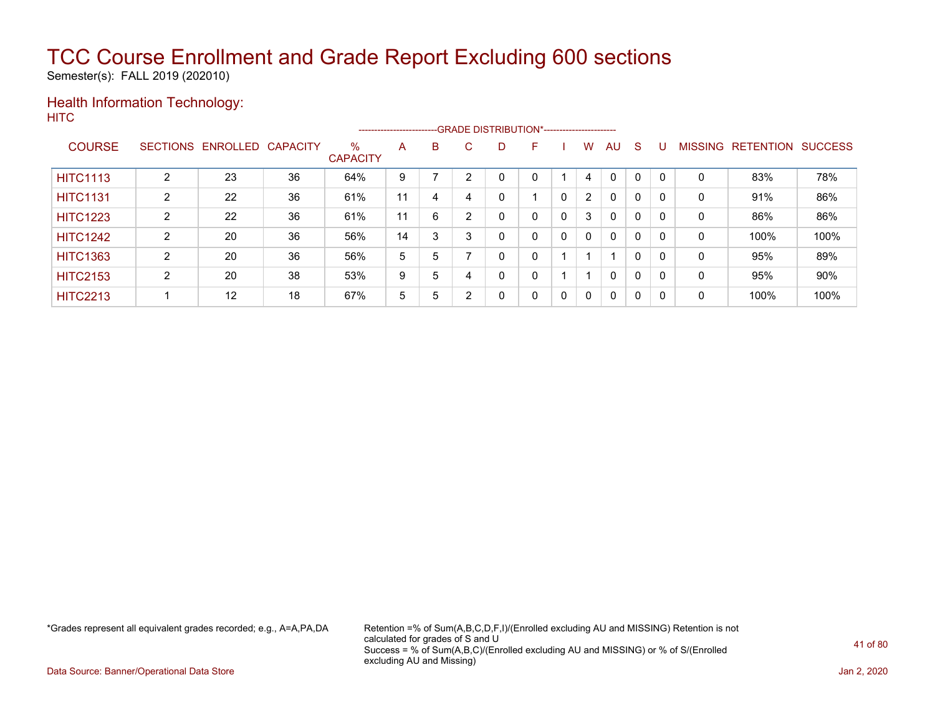Semester(s): FALL 2019 (202010)

#### Health Information Technology: **HITC**

|                 |   |                            |    |                         |    |   |        |   | -------------------------GRADE DISTRIBUTION*---------------------- |   |                |              |              |   |                |                  |                |
|-----------------|---|----------------------------|----|-------------------------|----|---|--------|---|--------------------------------------------------------------------|---|----------------|--------------|--------------|---|----------------|------------------|----------------|
| <b>COURSE</b>   |   | SECTIONS ENROLLED CAPACITY |    | $\%$<br><b>CAPACITY</b> | A  | B | C.     | D | F                                                                  |   | w              | AU           | <sub>S</sub> |   | <b>MISSING</b> | <b>RETENTION</b> | <b>SUCCESS</b> |
| <b>HITC1113</b> | 2 | 23                         | 36 | 64%                     | 9  |   |        |   |                                                                    |   | 4              | $\Omega$     | $\Omega$     |   | 0              | 83%              | 78%            |
| <b>HITC1131</b> | 2 | 22                         | 36 | 61%                     | 11 | 4 |        | 0 |                                                                    |   | $\overline{2}$ | $\mathbf{0}$ | 0            | 0 | 0              | 91%              | 86%            |
| <b>HITC1223</b> | 2 | 22                         | 36 | 61%                     | 11 | 6 | $\sim$ |   | 0                                                                  | 0 | 3              | $\mathbf{0}$ | 0            |   | 0              | 86%              | 86%            |
| <b>HITC1242</b> | 2 | 20                         | 36 | 56%                     | 14 | 3 | 3      |   | 0                                                                  | 0 | $\mathbf{0}$   | $\mathbf{0}$ | 0            |   | 0              | 100%             | 100%           |
| <b>HITC1363</b> | 2 | 20                         | 36 | 56%                     | 5  | 5 |        |   | 0                                                                  |   |                |              | 0            |   | 0              | 95%              | 89%            |
| <b>HITC2153</b> | ົ | 20                         | 38 | 53%                     | 9  | 5 |        | 0 | 0                                                                  |   |                | $\mathbf{0}$ | 0            |   | 0              | 95%              | 90%            |
| <b>HITC2213</b> |   | 12                         | 18 | 67%                     | 5  | 5 | ◠      | 0 | 0                                                                  | 0 | $\mathbf{0}$   | $\mathbf{0}$ | 0            | 0 | 0              | 100%             | 100%           |

\*Grades represent all equivalent grades recorded; e.g., A=A,PA,DA Retention =% of Sum(A,B,C,D,F,I)/(Enrolled excluding AU and MISSING) Retention is not calculated for grades of S and U Success = % of Sum(A,B,C)/(Enrolled excluding AU and MISSING) or % of S/(Enrolled excluding AU and Missing)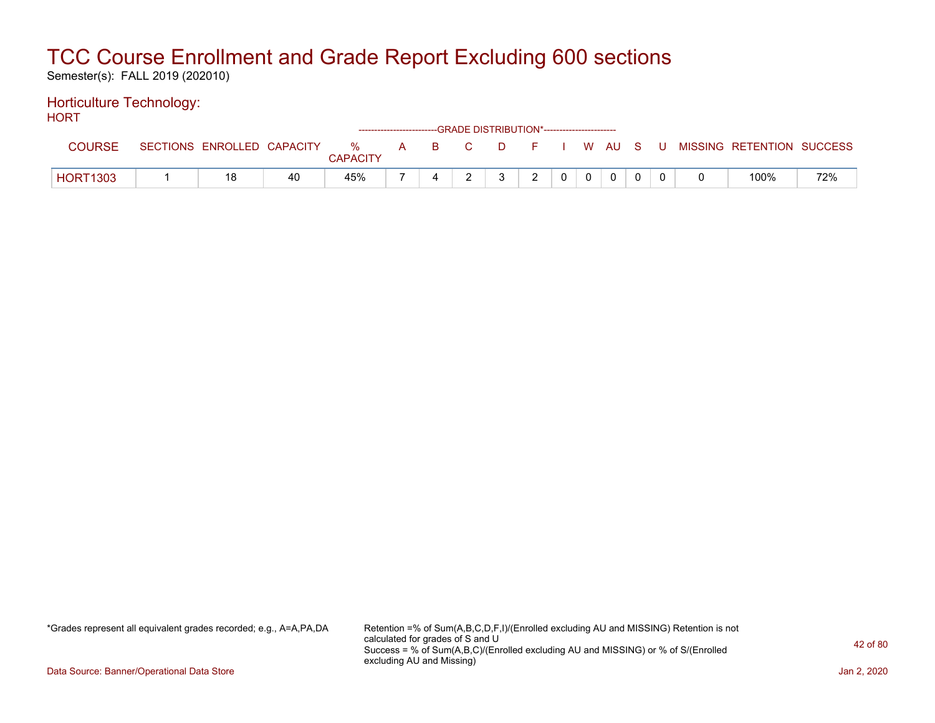Semester(s): FALL 2019 (202010)

#### Horticulture Technology: HORT

| .               |                            |    |                 |  | ------------------------GRADE DISTRIBUTION*----------------------- |   |               |                |          |  |                                                  |     |
|-----------------|----------------------------|----|-----------------|--|--------------------------------------------------------------------|---|---------------|----------------|----------|--|--------------------------------------------------|-----|
| COURSE          | SECTIONS ENROLLED CAPACITY |    | <b>CAPACITY</b> |  |                                                                    |   |               |                |          |  | % A B C D F I W AU S U MISSING RETENTION SUCCESS |     |
| <b>HORT1303</b> |                            | 40 | 45%             |  |                                                                    | 2 | $\mathcal{D}$ | 0 <sup>1</sup> | $\Omega$ |  | 100%                                             | 72% |

\*Grades represent all equivalent grades recorded; e.g., A=A,PA,DA Retention =% of Sum(A,B,C,D,F,I)/(Enrolled excluding AU and MISSING) Retention is not calculated for grades of S and U Success = % of Sum(A,B,C)/(Enrolled excluding AU and MISSING) or % of S/(Enrolled excluding AU and Missing)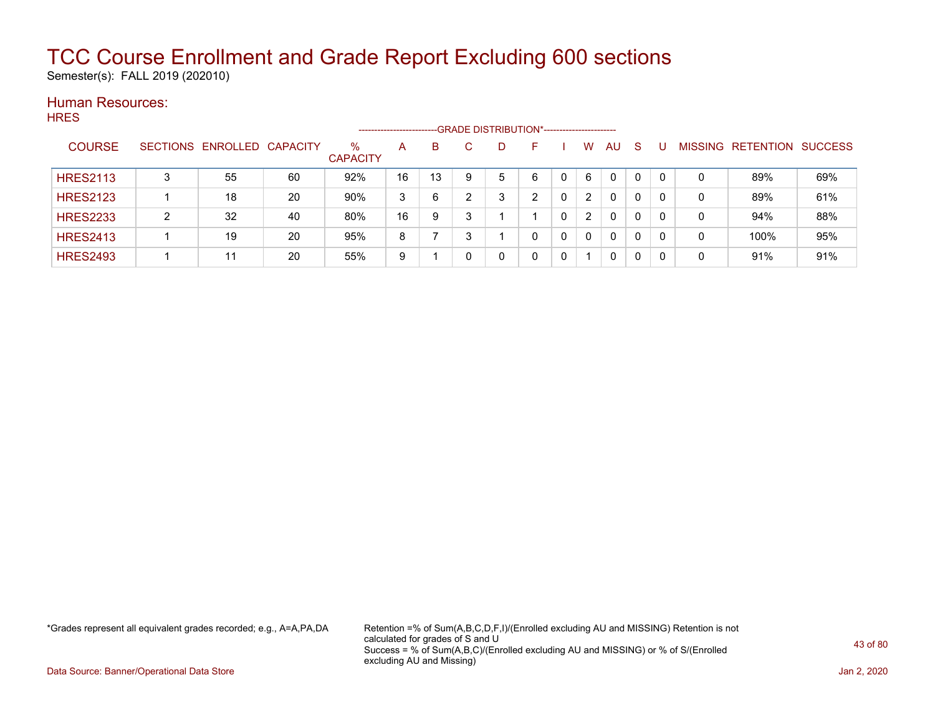Semester(s): FALL 2019 (202010)

#### Human Resources: **HRES**

|                 |   |                            |    |                      | ---------------------- |    | --GRADE DISTRIBUTION*----------------------- |   |    |   |          |              |              |   |                   |                |
|-----------------|---|----------------------------|----|----------------------|------------------------|----|----------------------------------------------|---|----|---|----------|--------------|--------------|---|-------------------|----------------|
| <b>COURSE</b>   |   | SECTIONS ENROLLED CAPACITY |    | %<br><b>CAPACITY</b> | A                      | B  |                                              | D | н. |   | w        | AU           | S            |   | MISSING RETENTION | <b>SUCCESS</b> |
| <b>HRES2113</b> | 3 | 55                         | 60 | 92%                  | 16                     | 13 | 9                                            | 5 | 6  |   | 6        | $\mathbf{0}$ | 0            |   | 89%               | 69%            |
| <b>HRES2123</b> |   | 18                         | 20 | 90%                  | 3                      | 6  |                                              | ົ | ົ  |   | 2        | 0            | 0            | 0 | 89%               | 61%            |
| <b>HRES2233</b> | ົ | 32                         | 40 | 80%                  | 16                     | 9  |                                              |   |    |   | 2        | $\mathbf{0}$ | $\mathbf{0}$ | 0 | 94%               | 88%            |
| <b>HRES2413</b> |   | 19                         | 20 | 95%                  | 8                      |    |                                              |   | 0  | 0 | $\Omega$ | $\mathbf{0}$ | 0            | 0 | 100%              | 95%            |
| <b>HRES2493</b> |   | 11                         | 20 | 55%                  | 9                      |    |                                              |   | 0  | 0 |          | $\mathbf{0}$ | 0            | 0 | 91%               | 91%            |

\*Grades represent all equivalent grades recorded; e.g., A=A,PA,DA Retention =% of Sum(A,B,C,D,F,I)/(Enrolled excluding AU and MISSING) Retention is not calculated for grades of S and U Success = % of Sum(A,B,C)/(Enrolled excluding AU and MISSING) or % of S/(Enrolled excluding AU and Missing)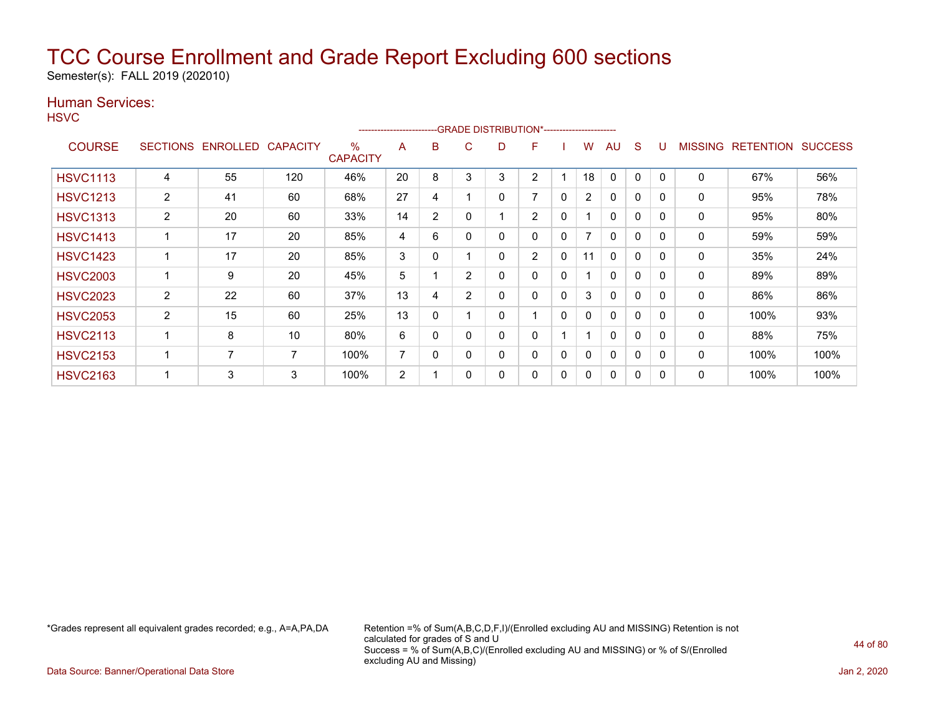Semester(s): FALL 2019 (202010)

### Human Services:

**HSVC** 

|                 |                 |                 |                 |                      | ----------------------- |                |                | --GRADE DISTRIBUTION*----------------------- |                          |              |                          |              |              |              |                |                  |                |
|-----------------|-----------------|-----------------|-----------------|----------------------|-------------------------|----------------|----------------|----------------------------------------------|--------------------------|--------------|--------------------------|--------------|--------------|--------------|----------------|------------------|----------------|
| <b>COURSE</b>   | <b>SECTIONS</b> | <b>ENROLLED</b> | <b>CAPACITY</b> | %<br><b>CAPACITY</b> | A                       | B              | С              | D                                            | F                        |              | w                        | AU           | S            |              | <b>MISSING</b> | <b>RETENTION</b> | <b>SUCCESS</b> |
| <b>HSVC1113</b> | 4               | 55              | 120             | 46%                  | 20                      | 8              | 3              | 3                                            | 2                        |              | 18                       | 0            | 0            |              | 0              | 67%              | 56%            |
| <b>HSVC1213</b> | $\overline{2}$  | 41              | 60              | 68%                  | 27                      | 4              |                | 0                                            | $\overline{\phantom{a}}$ | 0            | $\overline{2}$           | 0            | $\mathbf 0$  | $\Omega$     | 0              | 95%              | 78%            |
| <b>HSVC1313</b> | 2               | 20              | 60              | 33%                  | 14                      | $\overline{2}$ | 0              |                                              | $\overline{2}$           | 0            |                          | $\mathbf{0}$ | $\mathbf 0$  | $\Omega$     | 0              | 95%              | 80%            |
| <b>HSVC1413</b> |                 | 17              | 20              | 85%                  | 4                       | 6              | 0              | 0                                            | 0                        | $\mathbf{0}$ | $\overline{\phantom{a}}$ | $\mathbf{0}$ | $\mathbf{0}$ | $\Omega$     | 0              | 59%              | 59%            |
| <b>HSVC1423</b> |                 | 17              | 20              | 85%                  | 3                       | 0              |                | 0                                            | $\overline{2}$           | 0            | 11                       | $\mathbf{0}$ | $\mathbf{0}$ | $\Omega$     | 0              | 35%              | 24%            |
| <b>HSVC2003</b> |                 | 9               | 20              | 45%                  | 5                       |                | $\overline{2}$ | 0                                            | 0                        | 0            |                          | 0            | 0            | $\mathsf{C}$ | 0              | 89%              | 89%            |
| <b>HSVC2023</b> | 2               | 22              | 60              | 37%                  | 13                      | 4              | 2              | 0                                            | 0                        | 0            | 3                        | $\mathbf{0}$ | 0            | <sup>0</sup> | 0              | 86%              | 86%            |
| <b>HSVC2053</b> | $\overline{2}$  | 15              | 60              | 25%                  | 13                      | 0              |                | 0                                            |                          | $\Omega$     | 0                        | $\mathbf{0}$ | $\mathbf 0$  | 0            | 0              | 100%             | 93%            |
| <b>HSVC2113</b> |                 | 8               | 10              | 80%                  | 6                       | 0              |                | 0                                            | 0                        |              |                          | $\mathbf{0}$ | $\mathbf 0$  | $\Omega$     | 0              | 88%              | 75%            |
| <b>HSVC2153</b> |                 | 7               | 7               | 100%                 | 7                       | 0              | 0              | 0                                            | 0                        | 0            | 0                        | $\mathbf{0}$ | $\mathbf 0$  | $\Omega$     | $\mathbf{0}$   | 100%             | 100%           |
| <b>HSVC2163</b> |                 | 3               | 3               | 100%                 | 2                       |                | 0              | 0                                            | 0                        | $\mathbf{0}$ | 0                        | 0            | 0            |              | 0              | 100%             | 100%           |

\*Grades represent all equivalent grades recorded; e.g., A=A,PA,DA Retention =% of Sum(A,B,C,D,F,I)/(Enrolled excluding AU and MISSING) Retention is not calculated for grades of S and U Success = % of Sum(A,B,C)/(Enrolled excluding AU and MISSING) or % of S/(Enrolled excluding AU and Missing)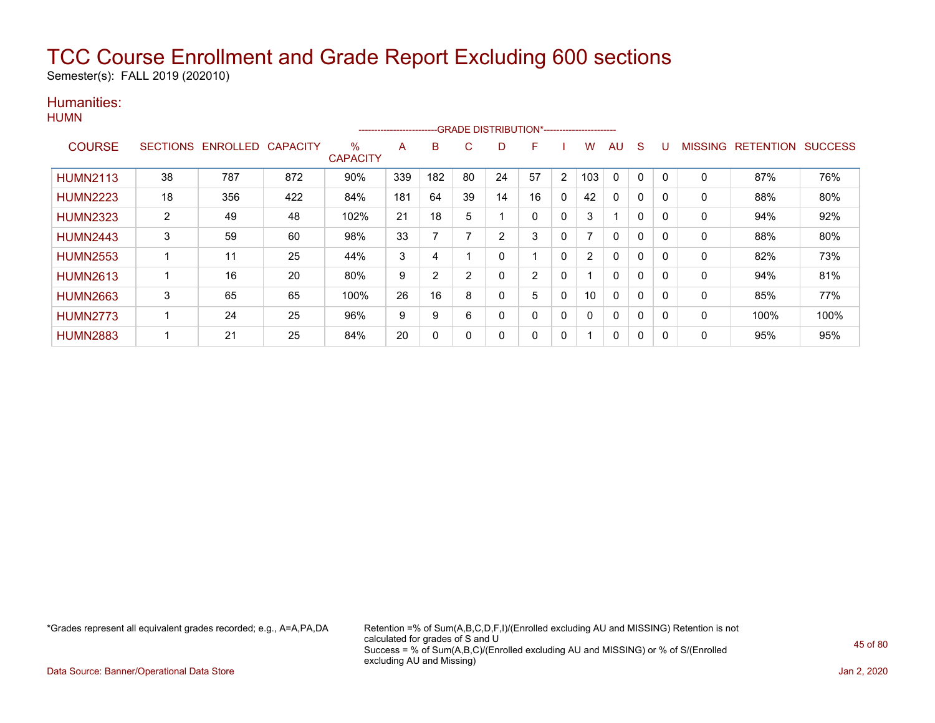Semester(s): FALL 2019 (202010)

#### Humanities: **HUMN**

|                 |                 |                 |                 |                                  | ----------------------- |     |    |    | --GRADE DISTRIBUTION*---------------------- |                |                |              |              |              |                |                  |                |
|-----------------|-----------------|-----------------|-----------------|----------------------------------|-------------------------|-----|----|----|---------------------------------------------|----------------|----------------|--------------|--------------|--------------|----------------|------------------|----------------|
| <b>COURSE</b>   | <b>SECTIONS</b> | <b>ENROLLED</b> | <b>CAPACITY</b> | $\frac{0}{0}$<br><b>CAPACITY</b> | A                       | B   | C. | D  | F                                           |                | W              | AU           | <sub>S</sub> | U            | <b>MISSING</b> | <b>RETENTION</b> | <b>SUCCESS</b> |
| <b>HUMN2113</b> | 38              | 787             | 872             | 90%                              | 339                     | 182 | 80 | 24 | 57                                          | $\overline{2}$ | 103            | 0            | $\Omega$     | $\Omega$     | 0              | 87%              | 76%            |
| <b>HUMN2223</b> | 18              | 356             | 422             | 84%                              | 181                     | 64  | 39 | 14 | 16                                          | 0              | 42             | $\mathbf{0}$ | 0            | $\mathbf{0}$ | $\mathbf{0}$   | 88%              | 80%            |
| <b>HUMN2323</b> | $\overline{2}$  | 49              | 48              | 102%                             | 21                      | 18  | 5  |    | 0                                           | 0              | 3              |              |              | $\mathbf{0}$ | 0              | 94%              | 92%            |
| <b>HUMN2443</b> | 3               | 59              | 60              | 98%                              | 33                      |     |    | 2  | 3                                           | 0              | $\overline{ }$ | $\mathbf{0}$ | 0            | $\Omega$     | 0              | 88%              | 80%            |
| <b>HUMN2553</b> |                 | 11              | 25              | 44%                              | 3                       | 4   |    |    |                                             | 0              | 2              | $\mathbf{0}$ | 0            | $\mathbf{0}$ | $\mathbf{0}$   | 82%              | 73%            |
| <b>HUMN2613</b> |                 | 16              | 20              | 80%                              | 9                       | 2   | 2  |    | 2                                           | 0              |                | 0            |              | $\mathbf{0}$ | 0              | 94%              | 81%            |
| <b>HUMN2663</b> | 3               | 65              | 65              | 100%                             | 26                      | 16  | 8  |    | 5                                           | 0              | 10             | 0            | 0            | $\Omega$     | 0              | 85%              | 77%            |
| <b>HUMN2773</b> |                 | 24              | 25              | 96%                              | 9                       | 9   | 6  |    | 0                                           | 0              | $\mathbf{0}$   | $\mathbf{0}$ | 0            | $\mathbf{0}$ | $\Omega$       | 100%             | 100%           |
| <b>HUMN2883</b> |                 | 21              | 25              | 84%                              | 20                      | 0   |    |    | 0                                           | 0              |                | 0            |              | 0            | 0              | 95%              | 95%            |

\*Grades represent all equivalent grades recorded; e.g., A=A,PA,DA Retention =% of Sum(A,B,C,D,F,I)/(Enrolled excluding AU and MISSING) Retention is not calculated for grades of S and U Success = % of Sum(A,B,C)/(Enrolled excluding AU and MISSING) or % of S/(Enrolled excluding AU and Missing)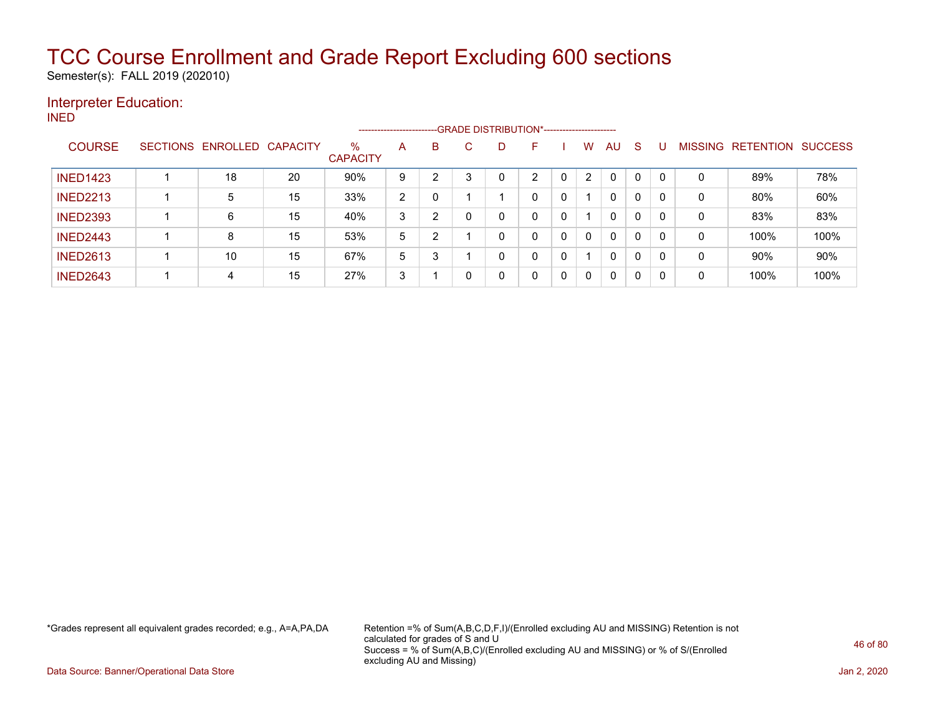Semester(s): FALL 2019 (202010)

### Interpreter Education:

INED

|                 |                 |                   |    |                         | ----------------------- |                |   | --GRADE DISTRIBUTION*---------------------- |   |   |                |              |          |     |                |                  |                |
|-----------------|-----------------|-------------------|----|-------------------------|-------------------------|----------------|---|---------------------------------------------|---|---|----------------|--------------|----------|-----|----------------|------------------|----------------|
| <b>COURSE</b>   | <b>SECTIONS</b> | ENROLLED CAPACITY |    | $\%$<br><b>CAPACITY</b> | A                       | В              | C | D                                           | F |   | W              | AU.          | -S       |     | <b>MISSING</b> | <b>RETENTION</b> | <b>SUCCESS</b> |
| <b>INED1423</b> |                 | 18                | 20 | 90%                     | 9                       | $\mathcal{P}$  | 3 | 0                                           | ົ | 0 | $\overline{2}$ | 0            | $\Omega$ | -0  | 0              | 89%              | 78%            |
| <b>INED2213</b> |                 | 5                 | 15 | 33%                     | 2                       |                |   |                                             | 0 | 0 |                | $\mathbf{0}$ | 0        | 0   | 0              | 80%              | 60%            |
| <b>INED2393</b> |                 | 6                 | 15 | 40%                     | 3                       | $\overline{2}$ |   | 0                                           | 0 | 0 |                | $\mathbf{0}$ | 0        | 0   | 0              | 83%              | 83%            |
| <b>INED2443</b> |                 | 8                 | 15 | 53%                     | 5                       | 2              |   | 0                                           | 0 | 0 | $\mathbf{0}$   | $\mathbf{0}$ | 0        | - 0 | 0              | 100%             | 100%           |
| <b>INED2613</b> |                 | 10                | 15 | 67%                     | 5                       | 3              |   | 0                                           | 0 | 0 |                | 0            | 0        | -0  | 0              | 90%              | 90%            |
| <b>INED2643</b> |                 | 4                 | 15 | 27%                     | 3                       |                |   | 0                                           | 0 | 0 | $\Omega$       | 0            | 0        | -0  | 0              | 100%             | 100%           |

\*Grades represent all equivalent grades recorded; e.g., A=A,PA,DA Retention =% of Sum(A,B,C,D,F,I)/(Enrolled excluding AU and MISSING) Retention is not calculated for grades of S and U Success = % of Sum(A,B,C)/(Enrolled excluding AU and MISSING) or % of S/(Enrolled excluding AU and Missing)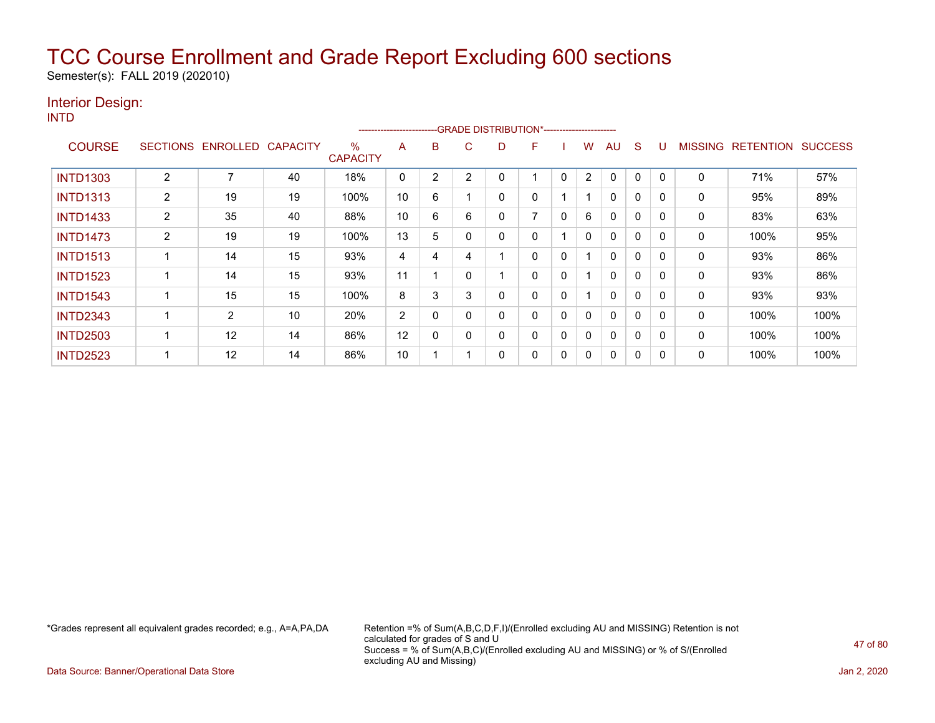Semester(s): FALL 2019 (202010)

### Interior Design:

INTD

|                 |                 |          |                 |                         | ----------------------- |   |          |   | -GRADE DISTRIBUTION*----------------------- |              |   |              |          |              |                |                  |                |
|-----------------|-----------------|----------|-----------------|-------------------------|-------------------------|---|----------|---|---------------------------------------------|--------------|---|--------------|----------|--------------|----------------|------------------|----------------|
| <b>COURSE</b>   | <b>SECTIONS</b> | ENROLLED | <b>CAPACITY</b> | $\%$<br><b>CAPACITY</b> | A                       | B | C        | D | F.                                          |              | W | AU           | S        | U            | <b>MISSING</b> | <b>RETENTION</b> | <b>SUCCESS</b> |
| <b>INTD1303</b> | 2               |          | 40              | 18%                     | 0                       | 2 | 2        |   |                                             | 0            | 2 | $\mathbf{0}$ | $\Omega$ | $\mathbf{0}$ | $\Omega$       | 71%              | 57%            |
| <b>INTD1313</b> | $\overline{2}$  | 19       | 19              | 100%                    | 10                      | 6 |          | 0 | 0                                           |              |   | 0            | 0        | 0            | $\mathbf{0}$   | 95%              | 89%            |
| <b>INTD1433</b> | 2               | 35       | 40              | 88%                     | 10                      | 6 | 6        |   |                                             | 0            | 6 | $\mathbf{0}$ | 0        | $\Omega$     | 0              | 83%              | 63%            |
| <b>INTD1473</b> | $\overline{2}$  | 19       | 19              | 100%                    | 13                      | 5 | 0        | 0 | 0                                           |              | 0 | 0            | $\Omega$ | $\Omega$     | 0              | 100%             | 95%            |
| <b>INTD1513</b> |                 | 14       | 15              | 93%                     | 4                       | 4 | 4        |   | 0                                           | $\mathbf{0}$ |   | 0            | $\Omega$ | $\Omega$     | 0              | 93%              | 86%            |
| <b>INTD1523</b> |                 | 14       | 15              | 93%                     | 11                      |   | $\Omega$ |   | 0                                           | 0            |   | 0            | $\Omega$ | $\Omega$     | 0              | 93%              | 86%            |
| <b>INTD1543</b> |                 | 15       | 15              | 100%                    | 8                       | 3 | 3        | 0 | 0                                           | 0            |   | $\mathbf{0}$ | 0        | 0            | $\mathbf{0}$   | 93%              | 93%            |
| <b>INTD2343</b> |                 | 2        | 10              | 20%                     | $\overline{2}$          | 0 | 0        | 0 | 0                                           | 0            | 0 | $\mathbf{0}$ | 0        | 0            | $\mathbf{0}$   | 100%             | 100%           |
| <b>INTD2503</b> |                 | 12       | 14              | 86%                     | 12                      | 0 | 0        | 0 | 0                                           | 0            | 0 | 0            | 0        | 0            | 0              | 100%             | 100%           |
| <b>INTD2523</b> |                 | 12       | 14              | 86%                     | 10                      |   |          | 0 | 0                                           | 0            | 0 | 0            | 0        | 0            | 0              | 100%             | 100%           |

\*Grades represent all equivalent grades recorded; e.g., A=A,PA,DA Retention =% of Sum(A,B,C,D,F,I)/(Enrolled excluding AU and MISSING) Retention is not calculated for grades of S and U Success = % of Sum(A,B,C)/(Enrolled excluding AU and MISSING) or % of S/(Enrolled excluding AU and Missing)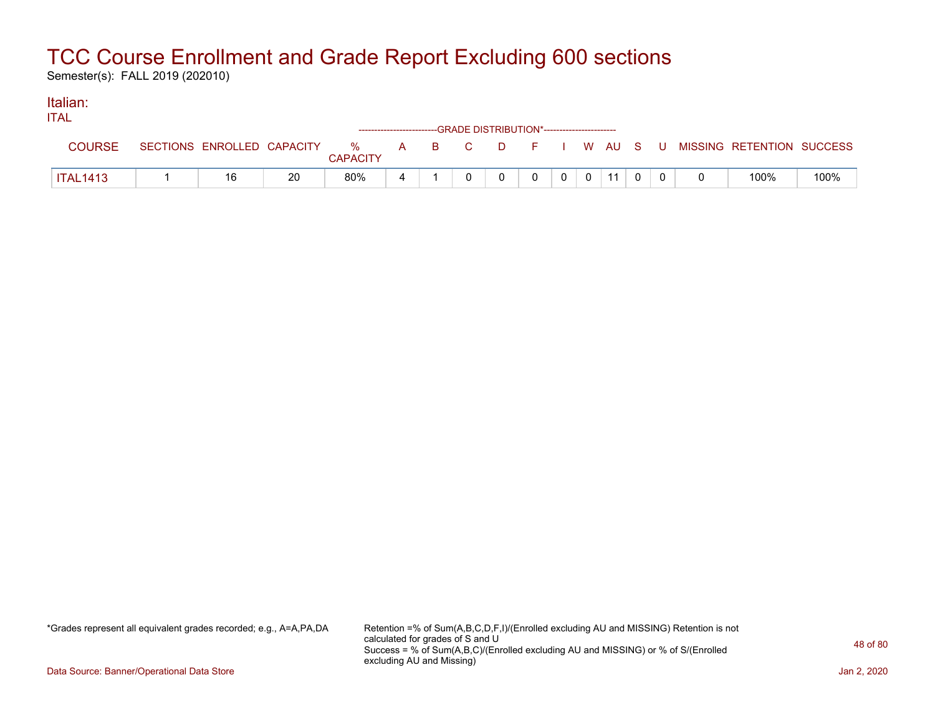Semester(s): FALL 2019 (202010)

#### Italian: ITAL

| 11 A L          |                            |    |                      | ------------------------GRADE DISTRIBUTION*----------------------- |          |                             |                |    |  |                                      |      |
|-----------------|----------------------------|----|----------------------|--------------------------------------------------------------------|----------|-----------------------------|----------------|----|--|--------------------------------------|------|
| <b>COURSE</b>   | SECTIONS ENROLLED CAPACITY |    | %<br><b>CAPACITY</b> | A B C                                                              | $\Box$ D | and the second state of the |                |    |  | I W AU S U MISSING RETENTION SUCCESS |      |
| <b>ITAL1413</b> | 16                         | 20 | 80%                  |                                                                    |          |                             | $\overline{0}$ | 11 |  | 100%                                 | 100% |

\*Grades represent all equivalent grades recorded; e.g., A=A,PA,DA Retention =% of Sum(A,B,C,D,F,I)/(Enrolled excluding AU and MISSING) Retention is not calculated for grades of S and U Success = % of Sum(A,B,C)/(Enrolled excluding AU and MISSING) or % of S/(Enrolled excluding AU and Missing)

Data Source: Banner/Operational Data Store Jan 2, 2020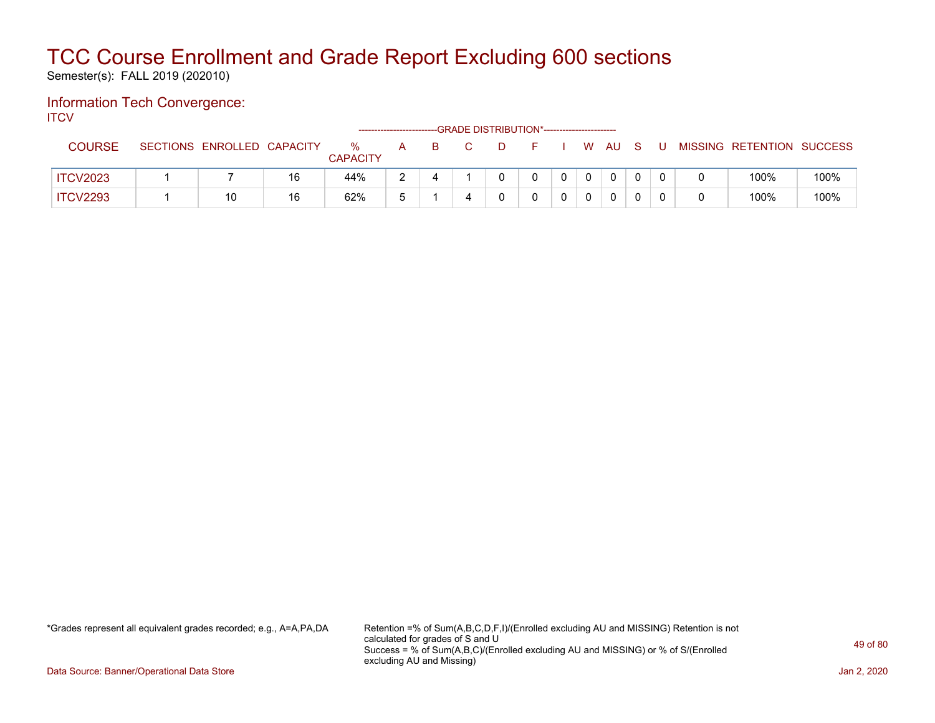Semester(s): FALL 2019 (202010)

#### Information Tech Convergence: **ITCV**

|                 |                            |    |                      | --------------------- |    | --GRADE DISTRIBUTION*----------------------- |      |  |                |     |                           |      |
|-----------------|----------------------------|----|----------------------|-----------------------|----|----------------------------------------------|------|--|----------------|-----|---------------------------|------|
| <b>COURSE</b>   | SECTIONS ENROLLED CAPACITY |    | %<br><b>CAPACITY</b> | A.                    | B. | D.                                           | $ -$ |  | I WAUS         | - U | MISSING RETENTION SUCCESS |      |
| <b>ITCV2023</b> |                            | 16 | 44%                  |                       |    |                                              |      |  | 0              |     | 100%                      | 100% |
| <b>ITCV2293</b> | 10                         | 16 | 62%                  |                       |    |                                              |      |  | $\overline{0}$ |     | 100%                      | 100% |

\*Grades represent all equivalent grades recorded; e.g., A=A,PA,DA Retention =% of Sum(A,B,C,D,F,I)/(Enrolled excluding AU and MISSING) Retention is not calculated for grades of S and U Success = % of Sum(A,B,C)/(Enrolled excluding AU and MISSING) or % of S/(Enrolled excluding AU and Missing)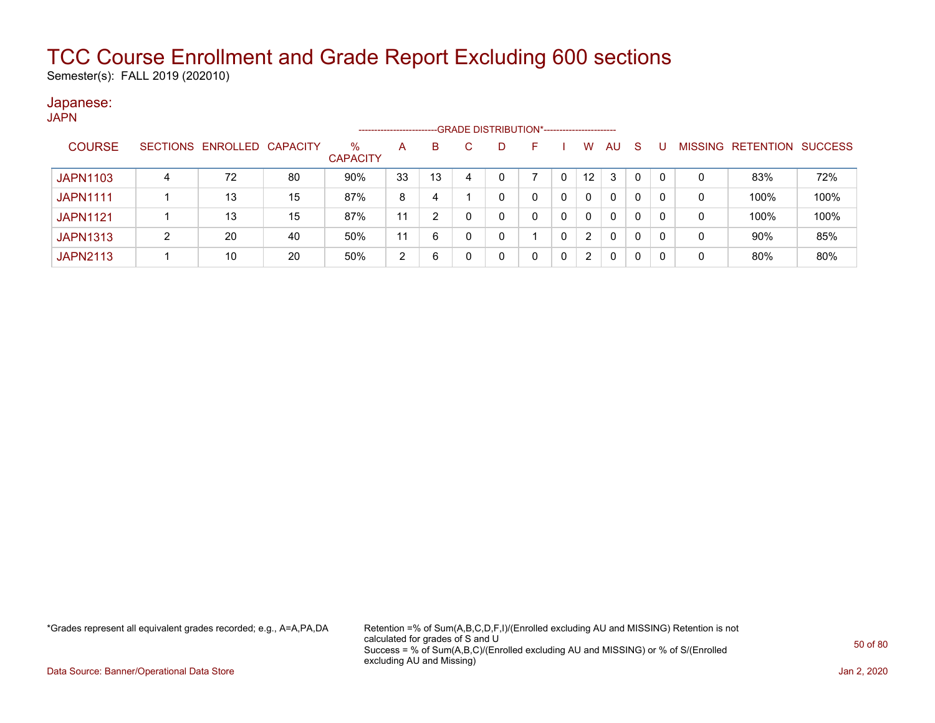Semester(s): FALL 2019 (202010)

#### Japanese: **JAPN**

|                 |   |                            |    |                      | --------------------- |    |   | -GRADE DISTRIBUTION*----------------------- |            |                 |    |    |          |   |                   |                |
|-----------------|---|----------------------------|----|----------------------|-----------------------|----|---|---------------------------------------------|------------|-----------------|----|----|----------|---|-------------------|----------------|
| <b>COURSE</b>   |   | SECTIONS ENROLLED CAPACITY |    | %<br><b>CAPACITY</b> | A                     | B  |   |                                             | <b>120</b> | W               | AU | -S |          |   | MISSING RETENTION | <b>SUCCESS</b> |
| <b>JAPN1103</b> | 4 | 72                         | 80 | 90%                  | 33                    | 13 | 4 |                                             |            | 12 <sup>°</sup> | 3  | 0  | $\Omega$ | 0 | 83%               | 72%            |
| <b>JAPN1111</b> |   | 13                         | 15 | 87%                  | 8                     | 4  |   |                                             |            | 0               | 0  | 0  | 0        | 0 | 100%              | 100%           |
| <b>JAPN1121</b> |   | 13                         | 15 | 87%                  | 11                    | ົ  |   |                                             | 0          | 0               | 0  | 0  | 0        | 0 | 100%              | 100%           |
| <b>JAPN1313</b> |   | 20                         | 40 | 50%                  | 11                    | 6  | 0 |                                             |            | 2               | 0  | 0  | 0        | 0 | 90%               | 85%            |
| <b>JAPN2113</b> |   | 10                         | 20 | 50%                  | 2                     | 6  |   |                                             | 0          | 2               | 0  | 0  | 0        | 0 | 80%               | 80%            |

\*Grades represent all equivalent grades recorded; e.g., A=A,PA,DA Retention =% of Sum(A,B,C,D,F,I)/(Enrolled excluding AU and MISSING) Retention is not calculated for grades of S and U Success = % of Sum(A,B,C)/(Enrolled excluding AU and MISSING) or % of S/(Enrolled excluding AU and Missing)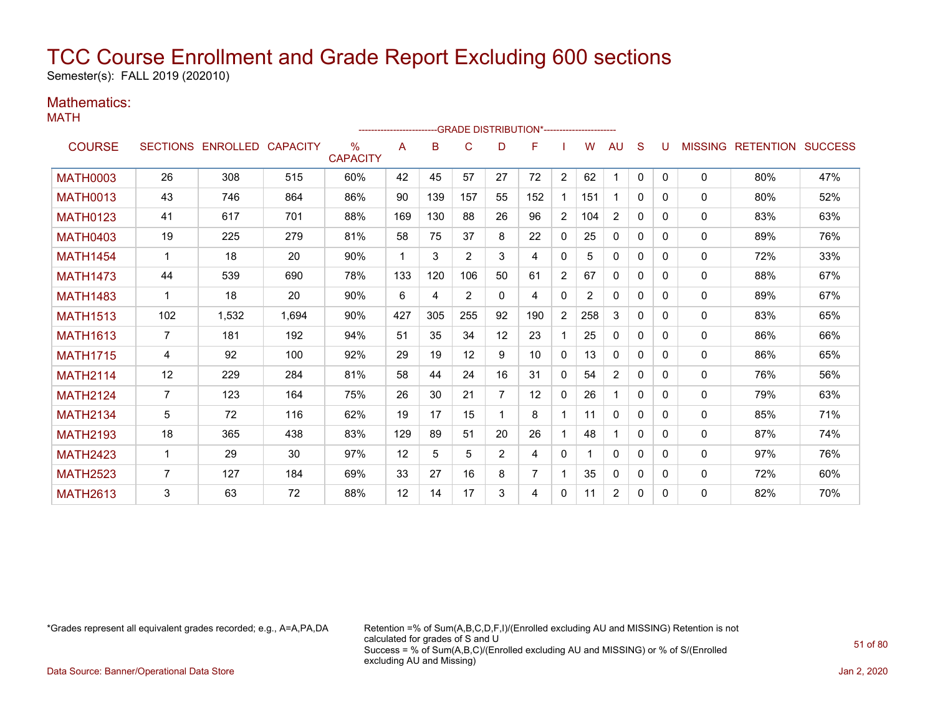Semester(s): FALL 2019 (202010)

### Mathematics:

| ------------------------GRADE                DISTRIBUTION*---------------------- |                |                            |       |                         |             |     |     |                |     |                |                |                |              |          |              |                                  |     |
|----------------------------------------------------------------------------------|----------------|----------------------------|-------|-------------------------|-------------|-----|-----|----------------|-----|----------------|----------------|----------------|--------------|----------|--------------|----------------------------------|-----|
| <b>COURSE</b>                                                                    |                | SECTIONS ENROLLED CAPACITY |       | $\%$<br><b>CAPACITY</b> | A           | B   | C   | D              | F   |                | W              | AU             | S            |          |              | <b>MISSING RETENTION SUCCESS</b> |     |
| <b>MATH0003</b>                                                                  | 26             | 308                        | 515   | 60%                     | 42          | 45  | 57  | 27             | 72  | $\overline{2}$ | 62             | 1              | $\Omega$     | $\Omega$ | $\mathbf{0}$ | 80%                              | 47% |
| <b>MATH0013</b>                                                                  | 43             | 746                        | 864   | 86%                     | 90          | 139 | 157 | 55             | 152 | $\mathbf 1$    | 151            | $\mathbf 1$    | $\Omega$     | $\Omega$ | $\mathbf{0}$ | 80%                              | 52% |
| <b>MATH0123</b>                                                                  | 41             | 617                        | 701   | 88%                     | 169         | 130 | 88  | 26             | 96  | $\overline{2}$ | 104            | 2              | $\mathbf{0}$ | 0        | $\mathbf 0$  | 83%                              | 63% |
| <b>MATH0403</b>                                                                  | 19             | 225                        | 279   | 81%                     | 58          | 75  | 37  | 8              | 22  | $\mathbf{0}$   | 25             | $\mathbf{0}$   | $\mathbf{0}$ | $\Omega$ | 0            | 89%                              | 76% |
| <b>MATH1454</b>                                                                  | 1              | 18                         | 20    | 90%                     | $\mathbf 1$ | 3   | 2   | 3              | 4   | $\mathbf{0}$   | 5              | $\mathbf{0}$   | $\Omega$     | 0        | 0            | 72%                              | 33% |
| <b>MATH1473</b>                                                                  | 44             | 539                        | 690   | 78%                     | 133         | 120 | 106 | 50             | 61  | $\overline{2}$ | 67             | $\mathbf{0}$   | $\Omega$     | 0        | 0            | 88%                              | 67% |
| <b>MATH1483</b>                                                                  | $\mathbf 1$    | 18                         | 20    | 90%                     | 6           | 4   | 2   | $\Omega$       | 4   | $\Omega$       | $\overline{2}$ | $\mathbf{0}$   | $\Omega$     | 0        | 0            | 89%                              | 67% |
| <b>MATH1513</b>                                                                  | 102            | 1,532                      | 1,694 | 90%                     | 427         | 305 | 255 | 92             | 190 | $\overline{2}$ | 258            | 3              | $\Omega$     | 0        | 0            | 83%                              | 65% |
| <b>MATH1613</b>                                                                  | $\overline{7}$ | 181                        | 192   | 94%                     | 51          | 35  | 34  | 12             | 23  |                | 25             | $\mathbf{0}$   | $\mathbf{0}$ | 0        | 0            | 86%                              | 66% |
| <b>MATH1715</b>                                                                  | 4              | 92                         | 100   | 92%                     | 29          | 19  | 12  | 9              | 10  | $\mathbf{0}$   | 13             | $\mathbf{0}$   | $\Omega$     | 0        | $\mathbf{0}$ | 86%                              | 65% |
| <b>MATH2114</b>                                                                  | 12             | 229                        | 284   | 81%                     | 58          | 44  | 24  | 16             | 31  | $\mathbf{0}$   | 54             | $\overline{2}$ | $\Omega$     | $\Omega$ | 0            | 76%                              | 56% |
| <b>MATH2124</b>                                                                  | $\overline{7}$ | 123                        | 164   | 75%                     | 26          | 30  | 21  | 7              | 12  | $\mathbf{0}$   | 26             | 1              | $\Omega$     | $\Omega$ | $\mathbf{0}$ | 79%                              | 63% |
| <b>MATH2134</b>                                                                  | 5              | 72                         | 116   | 62%                     | 19          | 17  | 15  |                | 8   | $\mathbf 1$    | 11             | $\mathbf{0}$   | $\Omega$     | 0        | $\mathbf{0}$ | 85%                              | 71% |
| <b>MATH2193</b>                                                                  | 18             | 365                        | 438   | 83%                     | 129         | 89  | 51  | 20             | 26  |                | 48             | 1              | $\Omega$     | 0        | $\mathbf 0$  | 87%                              | 74% |
| <b>MATH2423</b>                                                                  | -1             | 29                         | 30    | 97%                     | 12          | 5   | 5   | $\overline{2}$ | 4   | $\mathbf{0}$   |                | $\mathbf{0}$   | $\Omega$     | 0        | 0            | 97%                              | 76% |
| <b>MATH2523</b>                                                                  | $\overline{7}$ | 127                        | 184   | 69%                     | 33          | 27  | 16  | 8              |     | 1              | 35             | 0              | $\mathbf{0}$ | 0        | 0            | 72%                              | 60% |
| <b>MATH2613</b>                                                                  | 3              | 63                         | 72    | 88%                     | 12          | 14  | 17  | 3              | 4   | $\mathbf{0}$   | 11             | $\overline{2}$ | 0            | 0        | $\mathbf{0}$ | 82%                              | 70% |

\*Grades represent all equivalent grades recorded; e.g., A=A,PA,DA Retention =% of Sum(A,B,C,D,F,I)/(Enrolled excluding AU and MISSING) Retention is not calculated for grades of S and U Success = % of Sum(A,B,C)/(Enrolled excluding AU and MISSING) or % of S/(Enrolled excluding AU and Missing)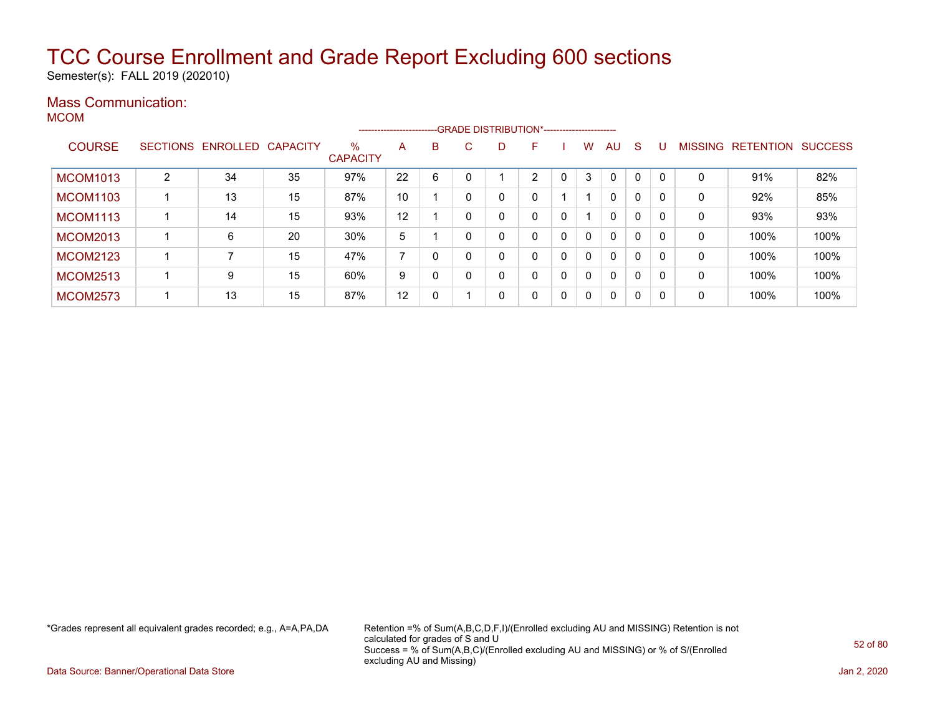Semester(s): FALL 2019 (202010)

### Mass Communication:

MCOM

|                 |   |                            |    |                         |    |   |    | -------------------------GRADE DISTRIBUTION*---------------------- |    |   |          |              |              |          |                |                  |                |
|-----------------|---|----------------------------|----|-------------------------|----|---|----|--------------------------------------------------------------------|----|---|----------|--------------|--------------|----------|----------------|------------------|----------------|
| <b>COURSE</b>   |   | SECTIONS ENROLLED CAPACITY |    | $\%$<br><b>CAPACITY</b> | A  | B | C. | D.                                                                 | F  |   | w        | AU           | <sub>S</sub> |          | <b>MISSING</b> | <b>RETENTION</b> | <b>SUCCESS</b> |
| <b>MCOM1013</b> | 2 | 34                         | 35 | 97%                     | 22 | 6 |    |                                                                    | C. |   | 3        | $\mathbf{0}$ | $\Omega$     |          | 0              | 91%              | 82%            |
| <b>MCOM1103</b> |   | 13                         | 15 | 87%                     | 10 |   |    | 0                                                                  | 0  |   |          | $\mathbf{0}$ | $\mathbf{0}$ |          | 0              | 92%              | 85%            |
| <b>MCOM1113</b> |   | 14                         | 15 | 93%                     | 12 |   |    | 0                                                                  | 0  | 0 |          | $\mathbf{0}$ | 0            |          | 0              | 93%              | 93%            |
| <b>MCOM2013</b> |   | 6                          | 20 | 30%                     | 5  |   |    | 0                                                                  | 0  | 0 | $\Omega$ | $\mathbf{0}$ | 0            |          | 0              | 100%             | 100%           |
| <b>MCOM2123</b> |   |                            | 15 | 47%                     |    | 0 |    |                                                                    | 0  | 0 | $\Omega$ | $\mathbf{0}$ | 0            | $\Omega$ | 0              | 100%             | 100%           |
| <b>MCOM2513</b> |   | 9                          | 15 | 60%                     | 9  | 0 |    |                                                                    | 0  | 0 | $\Omega$ | $\mathbf{0}$ | 0            | $\Omega$ | 0              | 100%             | 100%           |
| <b>MCOM2573</b> |   | 13                         | 15 | 87%                     | 12 | 0 |    | 0                                                                  | 0  | 0 | $\Omega$ | $\mathbf{0}$ | 0            | $\Omega$ | 0              | 100%             | 100%           |

\*Grades represent all equivalent grades recorded; e.g., A=A,PA,DA Retention =% of Sum(A,B,C,D,F,I)/(Enrolled excluding AU and MISSING) Retention is not calculated for grades of S and U Success = % of Sum(A,B,C)/(Enrolled excluding AU and MISSING) or % of S/(Enrolled excluding AU and Missing)

Data Source: Banner/Operational Data Store Jan 2, 2020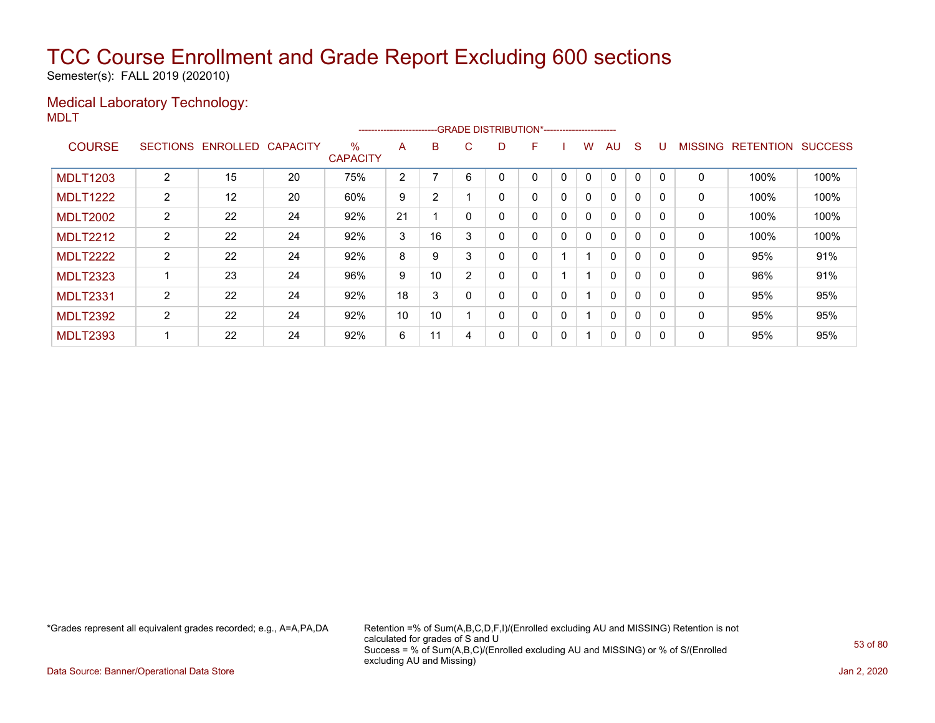Semester(s): FALL 2019 (202010)

#### Medical Laboratory Technology: MDLT

|                 |                 |          |                 |                      | ----------------------- |    |          | --GRADE DISTRIBUTION*----------------------- |   |   |              |              |              |             |                |                  |                |
|-----------------|-----------------|----------|-----------------|----------------------|-------------------------|----|----------|----------------------------------------------|---|---|--------------|--------------|--------------|-------------|----------------|------------------|----------------|
| <b>COURSE</b>   | <b>SECTIONS</b> | ENROLLED | <b>CAPACITY</b> | %<br><b>CAPACITY</b> | A                       | B  | C.       | D                                            | F |   | w            | AU           | S            |             | <b>MISSING</b> | <b>RETENTION</b> | <b>SUCCESS</b> |
| <b>MDLT1203</b> | 2               | 15       | 20              | 75%                  | 2                       |    | 6        |                                              | 0 | 0 | 0            | $\mathbf{0}$ | 0            | $\mathbf 0$ | 0              | 100%             | 100%           |
| <b>MDLT1222</b> | $\overline{2}$  | 12       | 20              | 60%                  | 9                       | 2  |          |                                              | 0 | 0 | 0            | $\mathbf{0}$ | $\mathbf{0}$ |             | 0              | 100%             | 100%           |
| <b>MDLT2002</b> | $\overline{2}$  | 22       | 24              | 92%                  | 21                      |    | $\Omega$ | 0                                            | 0 | 0 | $\mathbf{0}$ | $\mathbf{0}$ | 0            | $\Omega$    | $\mathbf 0$    | 100%             | 100%           |
| <b>MDLT2212</b> | $\overline{2}$  | 22       | 24              | 92%                  | 3                       | 16 | 3        |                                              | 0 | 0 | 0            | $\mathbf{0}$ | 0            | 0           | 0              | 100%             | 100%           |
| <b>MDLT2222</b> | $\overline{2}$  | 22       | 24              | 92%                  | 8                       | 9  | 3        |                                              | 0 |   |              | $\mathbf{0}$ | $\mathbf{0}$ | $\Omega$    | 0              | 95%              | 91%            |
| <b>MDLT2323</b> |                 | 23       | 24              | 96%                  | 9                       | 10 | C        |                                              | 0 |   |              | $\mathbf{0}$ | 0            |             | 0              | 96%              | 91%            |
| <b>MDLT2331</b> | $\overline{2}$  | 22       | 24              | 92%                  | 18                      | 3  | $\Omega$ | Ω                                            | 0 | 0 |              | $\mathbf{0}$ | 0            | $\Omega$    | 0              | 95%              | 95%            |
| <b>MDLT2392</b> | $\overline{2}$  | 22       | 24              | 92%                  | 10                      | 10 |          |                                              | 0 | 0 |              | $\mathbf{0}$ | 0            | $\Omega$    | $\mathbf 0$    | 95%              | 95%            |
| <b>MDLT2393</b> |                 | 22       | 24              | 92%                  | 6                       | 11 | 4        |                                              | 0 | 0 |              | 0            | 0            |             | 0              | 95%              | 95%            |

\*Grades represent all equivalent grades recorded; e.g., A=A,PA,DA Retention =% of Sum(A,B,C,D,F,I)/(Enrolled excluding AU and MISSING) Retention is not calculated for grades of S and U Success = % of Sum(A,B,C)/(Enrolled excluding AU and MISSING) or % of S/(Enrolled excluding AU and Missing)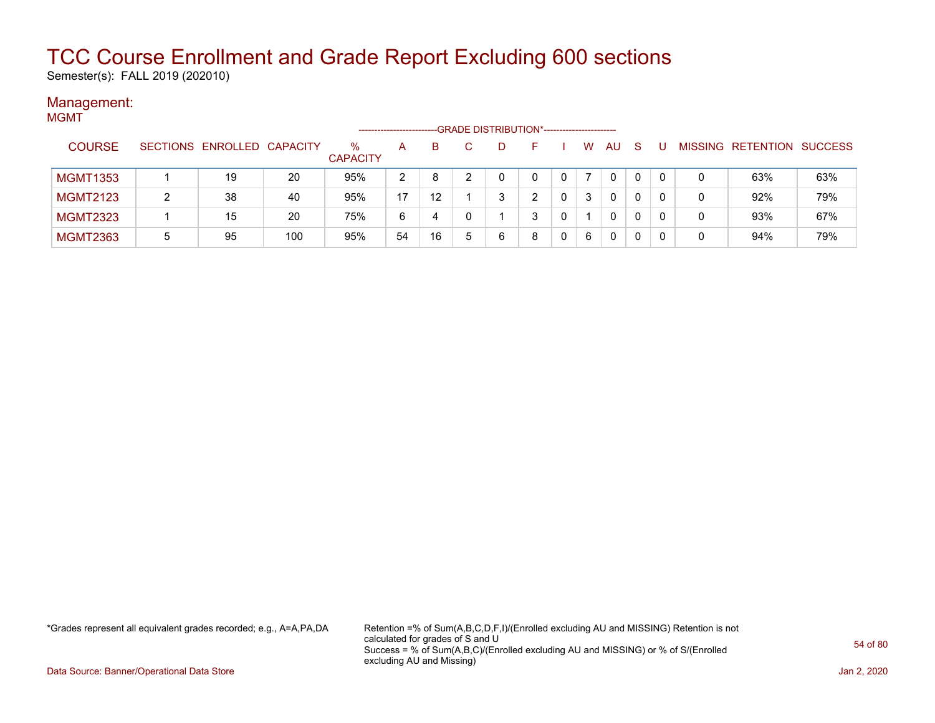Semester(s): FALL 2019 (202010)

#### Management: MGMT

|                 |   |                            |     | -------------------     |    |                   |   |   | -GRADE DISTRIBUTION*----------------------- |   |   |              |    |   |                           |     |
|-----------------|---|----------------------------|-----|-------------------------|----|-------------------|---|---|---------------------------------------------|---|---|--------------|----|---|---------------------------|-----|
| <b>COURSE</b>   |   | SECTIONS ENROLLED CAPACITY |     | $\%$<br><b>CAPACITY</b> | A  | B.                |   |   |                                             |   | W | AU           | -S |   | MISSING RETENTION SUCCESS |     |
| <b>MGMT1353</b> |   | 19                         | 20  | 95%                     | 2  | 8                 |   |   | 0                                           |   |   | 0            | 0  |   | 63%                       | 63% |
| <b>MGMT2123</b> |   | 38                         | 40  | 95%                     | 17 | $12 \overline{ }$ |   | 3 | ົ                                           | 0 | 3 | $\mathbf{0}$ | 0  | 0 | 92%                       | 79% |
| <b>MGMT2323</b> |   | 15                         | 20  | 75%                     | 6  | 4                 |   |   | 3                                           |   |   | 0            | 0  | 0 | 93%                       | 67% |
| <b>MGMT2363</b> | 5 | 95                         | 100 | 95%                     | 54 | 16                | 5 | 6 | 8                                           |   | 6 | $\mathbf{0}$ | 0  |   | 94%                       | 79% |

\*Grades represent all equivalent grades recorded; e.g., A=A,PA,DA Retention =% of Sum(A,B,C,D,F,I)/(Enrolled excluding AU and MISSING) Retention is not calculated for grades of S and U Success = % of Sum(A,B,C)/(Enrolled excluding AU and MISSING) or % of S/(Enrolled excluding AU and Missing)

Data Source: Banner/Operational Data Store Jan 2, 2020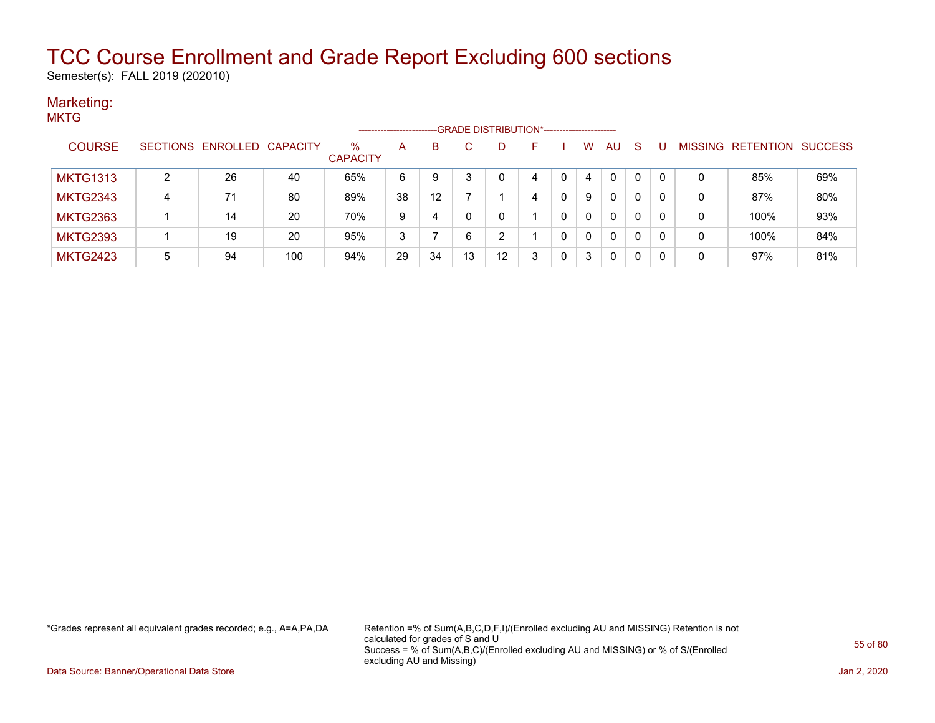Semester(s): FALL 2019 (202010)

#### Marketing: **MKTG**

| .               |   |                            |     |                      | -------------------- |                   |    |    |    |   |          |              |    |   |                           |     |
|-----------------|---|----------------------------|-----|----------------------|----------------------|-------------------|----|----|----|---|----------|--------------|----|---|---------------------------|-----|
| <b>COURSE</b>   |   | SECTIONS ENROLLED CAPACITY |     | %<br><b>CAPACITY</b> | $\mathsf{A}$         | B                 |    | D. | н. |   | w        | <b>AU</b>    | -S |   | MISSING RETENTION SUCCESS |     |
| <b>MKTG1313</b> | ົ | 26                         | 40  | 65%                  | 6                    | 9                 |    |    | 4  |   | 4        | $\mathbf{0}$ |    | 0 | 85%                       | 69% |
| <b>MKTG2343</b> | 4 | 71                         | 80  | 89%                  | 38                   | $12 \overline{ }$ |    |    | 4  |   | 9        | $\mathbf{0}$ | 0  | 0 | 87%                       | 80% |
| <b>MKTG2363</b> |   | 14                         | 20  | 70%                  | 9                    | 4                 |    |    |    |   | 0        | $\mathbf{0}$ | 0  | 0 | 100%                      | 93% |
| <b>MKTG2393</b> |   | 19                         | 20  | 95%                  | 3                    |                   | 6  | ົ  |    |   | $\Omega$ | $\mathbf{0}$ | 0  | 0 | 100%                      | 84% |
| <b>MKTG2423</b> | 5 | 94                         | 100 | 94%                  | 29                   | 34                | 13 | 12 | 3  | 0 | 3        | $\mathbf{0}$ | 0  | 0 | 97%                       | 81% |

\*Grades represent all equivalent grades recorded; e.g., A=A,PA,DA Retention =% of Sum(A,B,C,D,F,I)/(Enrolled excluding AU and MISSING) Retention is not calculated for grades of S and U Success = % of Sum(A,B,C)/(Enrolled excluding AU and MISSING) or % of S/(Enrolled excluding AU and Missing)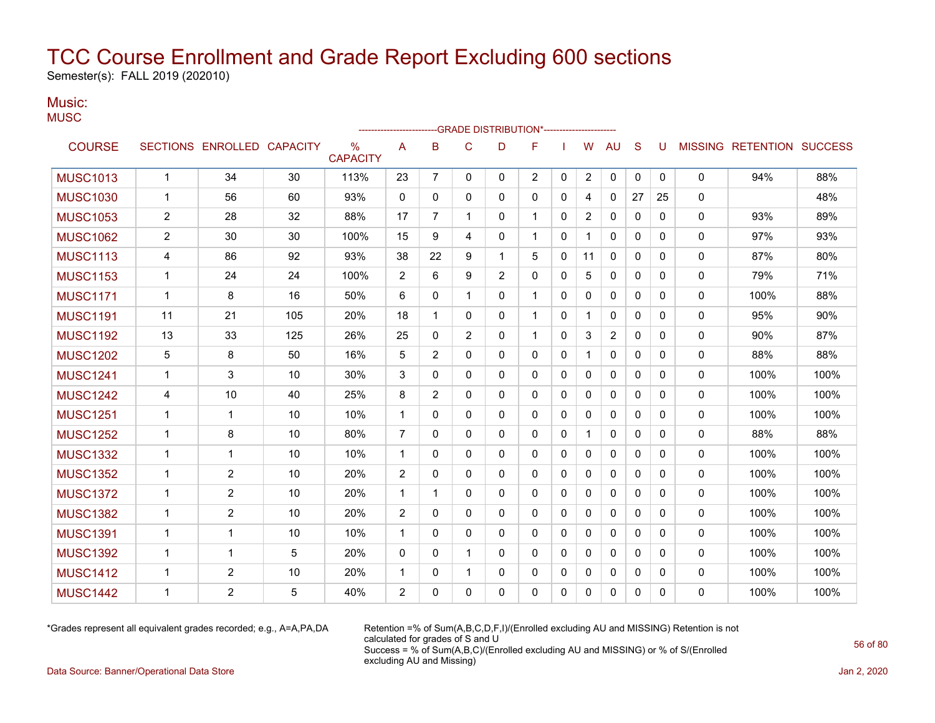Semester(s): FALL 2019 (202010)

#### Music: **MUSC**

|                 |                         |                            |     |                         |                |                |              | -----------------------GRADE                    DISTRIBUTION*--------------------- |              |              |              |                |              |              |              |                           |      |
|-----------------|-------------------------|----------------------------|-----|-------------------------|----------------|----------------|--------------|------------------------------------------------------------------------------------|--------------|--------------|--------------|----------------|--------------|--------------|--------------|---------------------------|------|
| <b>COURSE</b>   |                         | SECTIONS ENROLLED CAPACITY |     | $\%$<br><b>CAPACITY</b> | Α              | B              | C            | D                                                                                  | F            |              | W            | <b>AU</b>      | S            | U            |              | MISSING RETENTION SUCCESS |      |
| <b>MUSC1013</b> | $\mathbf{1}$            | 34                         | 30  | 113%                    | 23             | $\overline{7}$ | $\mathbf{0}$ | $\mathbf{0}$                                                                       | 2            | $\mathbf{0}$ | $\mathbf{2}$ | 0              | 0            | $\mathbf{0}$ | 0            | 94%                       | 88%  |
| <b>MUSC1030</b> | $\mathbf{1}$            | 56                         | 60  | 93%                     | 0              | 0              | $\Omega$     | 0                                                                                  | 0            | 0            | 4            | $\mathbf{0}$   | 27           | 25           | 0            |                           | 48%  |
| <b>MUSC1053</b> | $\overline{\mathbf{c}}$ | 28                         | 32  | 88%                     | 17             | 7              | 1            | 0                                                                                  | 1            | 0            | 2            | 0              | 0            | 0            | 0            | 93%                       | 89%  |
| <b>MUSC1062</b> | 2                       | 30                         | 30  | 100%                    | 15             | 9              | 4            | $\mathbf{0}$                                                                       | 1            | 0            |              | 0              | $\mathbf{0}$ | 0            | 0            | 97%                       | 93%  |
| <b>MUSC1113</b> | 4                       | 86                         | 92  | 93%                     | 38             | 22             | 9            | 1                                                                                  | 5            | 0            | 11           | 0              | $\mathbf{0}$ | 0            | 0            | 87%                       | 80%  |
| <b>MUSC1153</b> | 1                       | 24                         | 24  | 100%                    | 2              | 6              | 9            | 2                                                                                  | $\mathbf 0$  | 0            | 5            | 0              | $\mathbf{0}$ | 0            | 0            | 79%                       | 71%  |
| <b>MUSC1171</b> | $\mathbf{1}$            | 8                          | 16  | 50%                     | 6              | 0              | $\mathbf{1}$ | $\mathbf{0}$                                                                       | $\mathbf{1}$ | 0            | $\mathbf{0}$ | $\mathbf{0}$   | $\mathbf{0}$ | 0            | 0            | 100%                      | 88%  |
| <b>MUSC1191</b> | 11                      | 21                         | 105 | 20%                     | 18             | 1              | $\Omega$     | $\Omega$                                                                           | $\mathbf 1$  | $\Omega$     | 1            | $\Omega$       | $\mathbf{0}$ | $\Omega$     | $\mathbf{0}$ | 95%                       | 90%  |
| <b>MUSC1192</b> | 13                      | 33                         | 125 | 26%                     | 25             | 0              | 2            | $\mathbf{0}$                                                                       | $\mathbf 1$  | 0            | 3            | $\overline{c}$ | $\mathbf 0$  | 0            | 0            | 90%                       | 87%  |
| <b>MUSC1202</b> | 5                       | 8                          | 50  | 16%                     | 5              | 2              | $\mathbf{0}$ | $\mathbf{0}$                                                                       | $\mathbf{0}$ | 0            |              | $\mathbf{0}$   | $\mathbf{0}$ | $\mathbf{0}$ | $\mathbf{0}$ | 88%                       | 88%  |
| <b>MUSC1241</b> | 1                       | 3                          | 10  | 30%                     | 3              | 0              | $\Omega$     | $\mathbf{0}$                                                                       | $\mathbf{0}$ | 0            | $\mathbf{0}$ | 0              | $\Omega$     | $\Omega$     | 0            | 100%                      | 100% |
| <b>MUSC1242</b> | 4                       | 10                         | 40  | 25%                     | 8              | 2              | $\mathbf{0}$ | 0                                                                                  | 0            | 0            | 0            | 0              | 0            | 0            | 0            | 100%                      | 100% |
| <b>MUSC1251</b> | $\mathbf{1}$            | 1                          | 10  | 10%                     | $\mathbf{1}$   | 0              | $\mathbf{0}$ | $\mathbf{0}$                                                                       | $\mathbf{0}$ | 0            | 0            | 0              | $\mathbf{0}$ | 0            | 0            | 100%                      | 100% |
| <b>MUSC1252</b> | $\mathbf{1}$            | 8                          | 10  | 80%                     | $\overline{7}$ | 0              | $\mathbf{0}$ | $\mathbf{0}$                                                                       | 0            | 0            | 1            | $\mathbf{0}$   | $\mathbf{0}$ | 0            | 0            | 88%                       | 88%  |
| <b>MUSC1332</b> | $\mathbf 1$             | $\mathbf{1}$               | 10  | 10%                     | $\mathbf{1}$   | 0              | 0            | $\mathbf{0}$                                                                       | $\mathbf 0$  | 0            | 0            | 0              | $\mathbf{0}$ | 0            | 0            | 100%                      | 100% |
| <b>MUSC1352</b> | $\mathbf{1}$            | $\overline{2}$             | 10  | 20%                     | 2              | 0              | $\mathbf{0}$ | 0                                                                                  | $\mathbf{0}$ | 0            | $\mathbf{0}$ | $\mathbf{0}$   | $\mathbf{0}$ | 0            | 0            | 100%                      | 100% |
| <b>MUSC1372</b> | $\mathbf{1}$            | $\overline{c}$             | 10  | 20%                     | $\mathbf{1}$   | 1              | $\Omega$     | $\Omega$                                                                           | $\mathbf{0}$ | 0            | $\mathbf{0}$ | $\Omega$       | $\Omega$     | $\Omega$     | 0            | 100%                      | 100% |
| <b>MUSC1382</b> | 1                       | 2                          | 10  | 20%                     | $\overline{c}$ | 0              | 0            | $\mathbf{0}$                                                                       | 0            | 0            | 0            | $\mathbf{0}$   | $\mathbf{0}$ | $\mathbf{0}$ | 0            | 100%                      | 100% |
| <b>MUSC1391</b> | $\mathbf{1}$            | $\mathbf 1$                | 10  | 10%                     | $\mathbf{1}$   | $\mathbf{0}$   | 0            | $\mathbf{0}$                                                                       | 0            | 0            | 0            | $\mathbf{0}$   | $\mathbf{0}$ | 0            | 0            | 100%                      | 100% |
| <b>MUSC1392</b> | $\mathbf{1}$            | 1                          | 5   | 20%                     | $\Omega$       | 0              | 1            | $\mathbf{0}$                                                                       | 0            | 0            | 0            | $\mathbf{0}$   | $\mathbf{0}$ | 0            | 0            | 100%                      | 100% |
| <b>MUSC1412</b> | $\mathbf 1$             | 2                          | 10  | 20%                     | $\mathbf 1$    | 0              | 1            | 0                                                                                  | 0            | 0            | 0            | 0              | 0            | 0            | 0            | 100%                      | 100% |
| <b>MUSC1442</b> | $\mathbf 1$             | $\overline{2}$             | 5   | 40%                     | 2              | 0              | $\Omega$     | $\mathbf{0}$                                                                       | 0            | 0            | $\mathbf{0}$ | $\Omega$       | 0            | $\Omega$     | 0            | 100%                      | 100% |

\*Grades represent all equivalent grades recorded; e.g., A=A,PA,DA Retention =% of Sum(A,B,C,D,F,I)/(Enrolled excluding AU and MISSING) Retention is not calculated for grades of S and U Success = % of Sum(A,B,C)/(Enrolled excluding AU and MISSING) or % of S/(Enrolled excluding AU and Missing)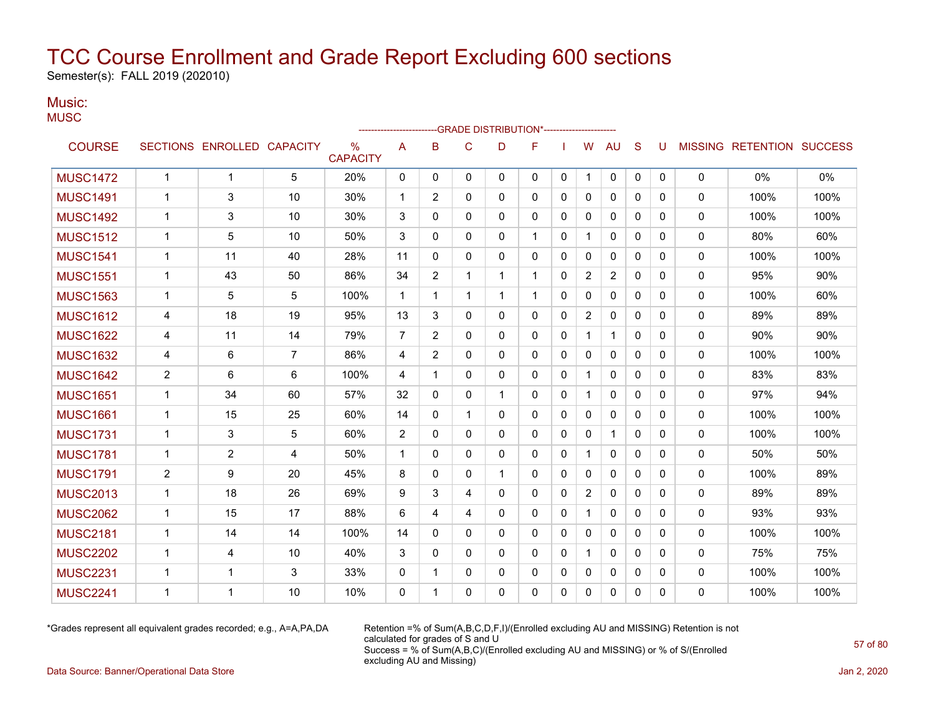Semester(s): FALL 2019 (202010)

### Music:

| M<br>٠<br>۰.<br>۰, |  |
|--------------------|--|

|                 |                |                            |                |                                  | ------------------------ |                |              | -- GRADE DISTRIBUTION*---------------------- |              |              |                |                |              |              |              |                           |      |
|-----------------|----------------|----------------------------|----------------|----------------------------------|--------------------------|----------------|--------------|----------------------------------------------|--------------|--------------|----------------|----------------|--------------|--------------|--------------|---------------------------|------|
| <b>COURSE</b>   |                | SECTIONS ENROLLED CAPACITY |                | $\frac{0}{0}$<br><b>CAPACITY</b> | A                        | B              | C            | D                                            | F            |              | W              | <b>AU</b>      | S            | U            |              | MISSING RETENTION SUCCESS |      |
| <b>MUSC1472</b> | $\mathbf{1}$   | $\mathbf{1}$               | 5              | 20%                              | $\mathbf{0}$             | $\Omega$       | $\mathbf{0}$ | $\mathbf{0}$                                 | $\mathbf{0}$ | $\mathbf{0}$ | 1              | 0              | $\mathbf{0}$ | $\mathbf{0}$ | 0            | 0%                        | 0%   |
| <b>MUSC1491</b> | 1              | 3                          | 10             | 30%                              | 1                        | 2              | $\Omega$     | 0                                            | $\mathbf{0}$ | $\Omega$     | $\mathbf{0}$   | $\mathbf{0}$   | $\Omega$     | $\Omega$     | 0            | 100%                      | 100% |
| <b>MUSC1492</b> | 1              | 3                          | 10             | 30%                              | 3                        | $\Omega$       | $\Omega$     | $\Omega$                                     | $\Omega$     | $\Omega$     | $\Omega$       | $\mathbf{0}$   | $\Omega$     | $\Omega$     | 0            | 100%                      | 100% |
| <b>MUSC1512</b> | 1              | 5                          | 10             | 50%                              | 3                        | $\Omega$       | 0            | 0                                            |              | $\mathbf{0}$ |                | $\mathbf{0}$   | $\mathbf{0}$ | $\Omega$     | 0            | 80%                       | 60%  |
| <b>MUSC1541</b> | 1              | 11                         | 40             | 28%                              | 11                       | $\mathbf{0}$   | $\Omega$     | 0                                            | 0            | $\mathbf{0}$ | $\mathbf{0}$   | $\mathbf{0}$   | $\mathbf{0}$ | $\Omega$     | 0            | 100%                      | 100% |
| <b>MUSC1551</b> | 1              | 43                         | 50             | 86%                              | 34                       | $\overline{2}$ | 1            | 1                                            | $\mathbf 1$  | $\mathbf{0}$ | $\overline{2}$ | $\overline{2}$ | $\mathbf{0}$ | 0            | 0            | 95%                       | 90%  |
| <b>MUSC1563</b> | $\mathbf 1$    | 5                          | 5              | 100%                             | 1                        | 1              | 1            | $\mathbf{1}$                                 | 1            | $\mathbf{0}$ | 0              | 0              | $\mathbf{0}$ | 0            | 0            | 100%                      | 60%  |
| <b>MUSC1612</b> | 4              | 18                         | 19             | 95%                              | 13                       | 3              | $\Omega$     | $\Omega$                                     | $\mathbf{0}$ | $\Omega$     | $\overline{2}$ | $\mathbf{0}$   | $\Omega$     | $\Omega$     | 0            | 89%                       | 89%  |
| <b>MUSC1622</b> | 4              | 11                         | 14             | 79%                              | $\overline{7}$           | 2              | 0            | 0                                            | $\mathbf{0}$ | $\mathbf{0}$ | $\mathbf 1$    | $\mathbf{1}$   | $\mathbf{0}$ | 0            | 0            | 90%                       | 90%  |
| <b>MUSC1632</b> | 4              | 6                          | 7              | 86%                              | 4                        | $\overline{2}$ | $\Omega$     | 0                                            | $\Omega$     | $\mathbf{0}$ | $\Omega$       | $\mathbf{0}$   | $\Omega$     | $\Omega$     | 0            | 100%                      | 100% |
| <b>MUSC1642</b> | 2              | 6                          | 6              | 100%                             | 4                        | -1             | 0            | 0                                            | 0            | 0            | 1              | 0              | $\mathbf{0}$ | $\Omega$     | 0            | 83%                       | 83%  |
| <b>MUSC1651</b> | $\mathbf 1$    | 34                         | 60             | 57%                              | 32                       | $\mathbf{0}$   | $\Omega$     | 1                                            | 0            | $\mathbf{0}$ |                | $\mathbf{0}$   | $\mathbf{0}$ | $\Omega$     | 0            | 97%                       | 94%  |
| <b>MUSC1661</b> | 1              | 15                         | 25             | 60%                              | 14                       | 0              | 1            | 0                                            | $\mathbf{0}$ | 0            | 0              | 0              | $\mathbf{0}$ | 0            | 0            | 100%                      | 100% |
| <b>MUSC1731</b> | 1              | 3                          | 5              | 60%                              | $\overline{2}$           | 0              | 0            | 0                                            | 0            | 0            | 0              | 1              | $\mathbf{0}$ | 0            | 0            | 100%                      | 100% |
| <b>MUSC1781</b> | 1              | $\overline{2}$             | $\overline{4}$ | 50%                              | 1                        | $\mathbf{0}$   | $\mathbf{0}$ | 0                                            | 0            | 0            |                | 0              | $\mathbf{0}$ | 0            | 0            | 50%                       | 50%  |
| <b>MUSC1791</b> | $\overline{2}$ | 9                          | 20             | 45%                              | 8                        | $\mathbf{0}$   | $\Omega$     | $\mathbf{1}$                                 | $\mathbf{0}$ | $\mathbf{0}$ | $\mathbf{0}$   | $\mathbf{0}$   | $\mathbf{0}$ | 0            | $\mathbf{0}$ | 100%                      | 89%  |
| <b>MUSC2013</b> | $\mathbf{1}$   | 18                         | 26             | 69%                              | 9                        | 3              | 4            | $\Omega$                                     | $\mathbf{0}$ | $\Omega$     | $\overline{2}$ | $\mathbf{0}$   | $\mathbf{0}$ | $\Omega$     | $\Omega$     | 89%                       | 89%  |
| <b>MUSC2062</b> | $\mathbf 1$    | 15                         | 17             | 88%                              | 6                        | 4              | 4            | 0                                            | $\mathbf{0}$ | $\mathbf{0}$ | 1              | $\mathbf{0}$   | $\Omega$     | $\Omega$     | 0            | 93%                       | 93%  |
| <b>MUSC2181</b> | $\mathbf 1$    | 14                         | 14             | 100%                             | 14                       | $\Omega$       | $\Omega$     | $\Omega$                                     | $\Omega$     | $\Omega$     | $\Omega$       | $\mathbf{0}$   | $\Omega$     | $\Omega$     | $\Omega$     | 100%                      | 100% |
| <b>MUSC2202</b> | 1              | 4                          | 10             | 40%                              | 3                        | $\Omega$       | $\Omega$     | $\Omega$                                     | $\mathbf{0}$ | $\mathbf{0}$ |                | $\mathbf{0}$   | $\Omega$     | $\Omega$     | 0            | 75%                       | 75%  |
| <b>MUSC2231</b> | 1              | $\mathbf 1$                | 3              | 33%                              | $\mathbf{0}$             | 1              | $\Omega$     | 0                                            | 0            | $\Omega$     | $\Omega$       | $\mathbf{0}$   | $\mathbf{0}$ | $\Omega$     | 0            | 100%                      | 100% |
| <b>MUSC2241</b> | 1              | 1                          | 10             | 10%                              | 0                        | $\overline{1}$ | $\Omega$     | $\Omega$                                     | $\Omega$     | 0            | 0              | $\mathbf{0}$   | $\Omega$     | $\Omega$     | 0            | 100%                      | 100% |

\*Grades represent all equivalent grades recorded; e.g., A=A,PA,DA Retention =% of Sum(A,B,C,D,F,I)/(Enrolled excluding AU and MISSING) Retention is not calculated for grades of S and U Success = % of Sum(A,B,C)/(Enrolled excluding AU and MISSING) or % of S/(Enrolled excluding AU and Missing)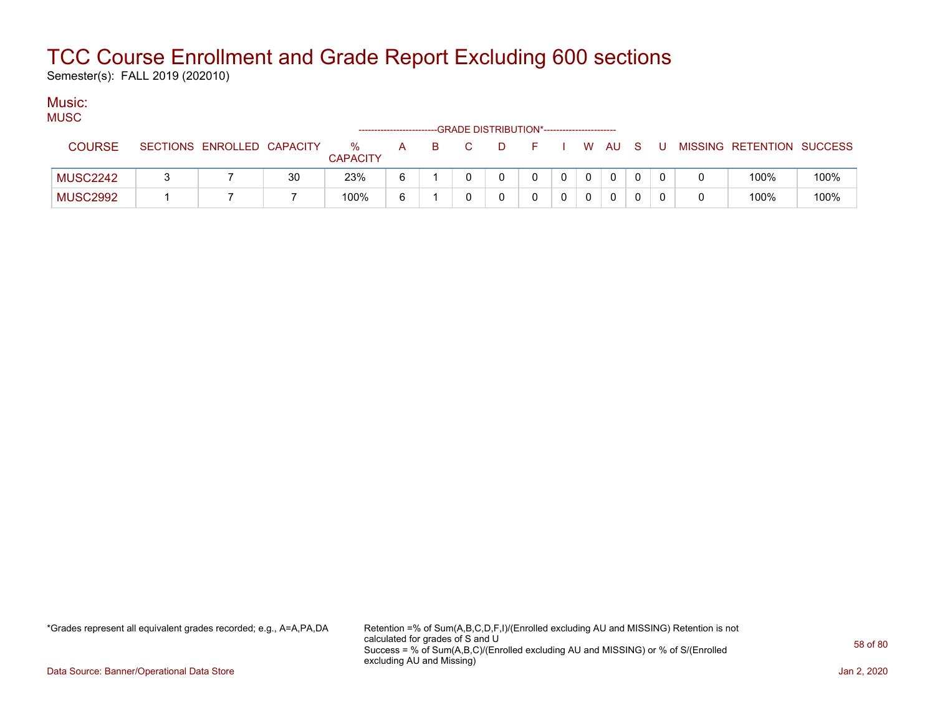Semester(s): FALL 2019 (202010)

#### Music: MUSC.

| טשטויו          |                            |    |                         |   |    | --GRADE DISTRIBUTION*----------------------- |   |          |              |              |    |     |                           |      |
|-----------------|----------------------------|----|-------------------------|---|----|----------------------------------------------|---|----------|--------------|--------------|----|-----|---------------------------|------|
| <b>COURSE</b>   | SECTIONS ENROLLED CAPACITY |    | $\%$<br><b>CAPACITY</b> | A | B. |                                              | D |          |              | . W AU       | S. | - U | MISSING RETENTION SUCCESS |      |
| <b>MUSC2242</b> |                            | 30 | 23%                     | 6 |    |                                              |   | $\Omega$ | $\mathbf{0}$ | $\mathbf{0}$ |    |     | 100%                      | 100% |
| <b>MUSC2992</b> |                            |    | 100%                    | 6 |    |                                              |   |          |              | 0            |    |     | 100%                      | 100% |

\*Grades represent all equivalent grades recorded; e.g., A=A,PA,DA Retention =% of Sum(A,B,C,D,F,I)/(Enrolled excluding AU and MISSING) Retention is not calculated for grades of S and U Success = % of Sum(A,B,C)/(Enrolled excluding AU and MISSING) or % of S/(Enrolled excluding AU and Missing)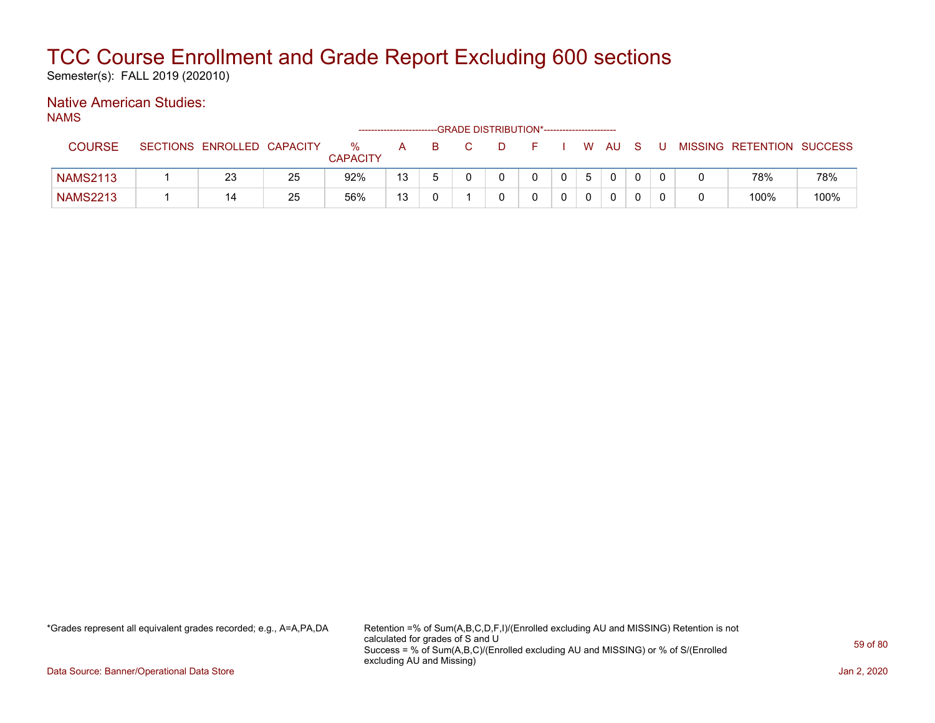Semester(s): FALL 2019 (202010)

### Native American Studies:

NAMS

|                 |                            |    |                      | ------------------------- |   |    | -GRADE DISTRIBUTION*----------------------- |              |       |                |              |   |                           |      |
|-----------------|----------------------------|----|----------------------|---------------------------|---|----|---------------------------------------------|--------------|-------|----------------|--------------|---|---------------------------|------|
| <b>COURSE</b>   | SECTIONS ENROLLED CAPACITY |    | %<br><b>CAPACITY</b> | A                         | B | D. |                                             |              |       | W AU           | S.           | U | MISSING RETENTION SUCCESS |      |
| <b>NAMS2113</b> | 23                         | 25 | 92%                  | 13                        |   |    |                                             | $\mathbf{0}$ | $5-1$ | $\overline{0}$ | $\mathbf{0}$ |   | 78%                       | 78%  |
| <b>NAMS2213</b> | 14                         | 25 | 56%                  | 13                        |   |    |                                             |              |       |                | 0            |   | 100%                      | 100% |

\*Grades represent all equivalent grades recorded; e.g., A=A,PA,DA Retention =% of Sum(A,B,C,D,F,I)/(Enrolled excluding AU and MISSING) Retention is not calculated for grades of S and U Success = % of Sum(A,B,C)/(Enrolled excluding AU and MISSING) or % of S/(Enrolled excluding AU and Missing)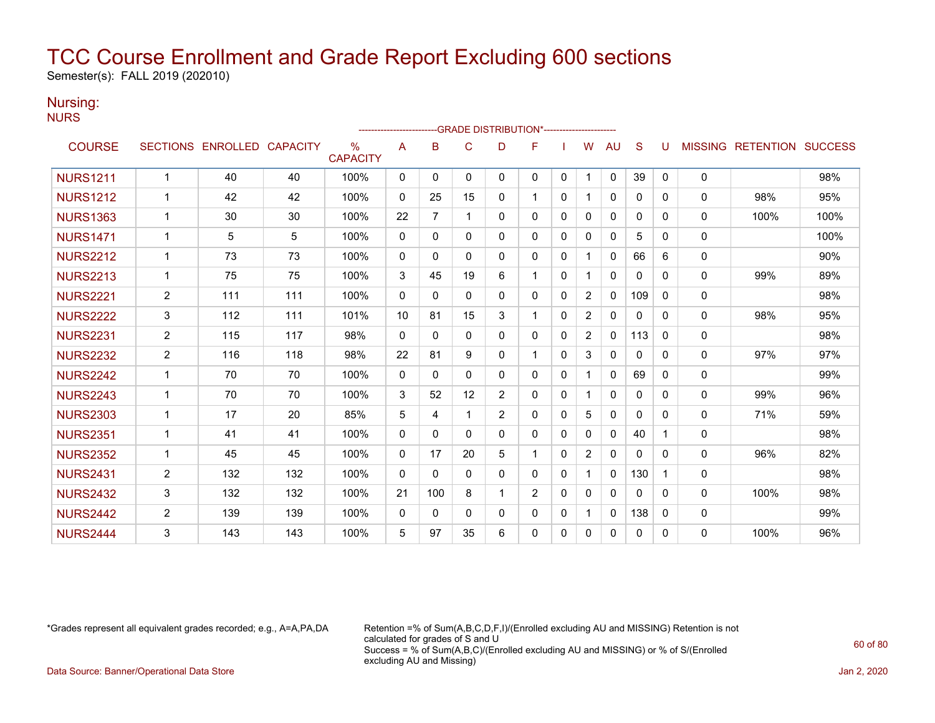Semester(s): FALL 2019 (202010)

### Nursing:

| M<br>۰. | . .<br>۰. |
|---------|-----------|
|         |           |

|                 |                |                            |     |                                  | ----------------------- |                | -GRADE DISTRIBUTION*----------------------- |                |              |              |                |              |              |   |                |                          |      |
|-----------------|----------------|----------------------------|-----|----------------------------------|-------------------------|----------------|---------------------------------------------|----------------|--------------|--------------|----------------|--------------|--------------|---|----------------|--------------------------|------|
| <b>COURSE</b>   |                | SECTIONS ENROLLED CAPACITY |     | $\frac{0}{0}$<br><b>CAPACITY</b> | A                       | B              | C                                           | D              | F            |              | w              | <b>AU</b>    | S            | U | <b>MISSING</b> | <b>RETENTION SUCCESS</b> |      |
| <b>NURS1211</b> | 1              | 40                         | 40  | 100%                             | $\mathbf{0}$            | $\Omega$       | $\Omega$                                    | $\mathbf{0}$   | $\mathbf{0}$ | 0            |                | $\mathbf 0$  | 39           | 0 | 0              |                          | 98%  |
| <b>NURS1212</b> | 1              | 42                         | 42  | 100%                             | $\mathbf{0}$            | 25             | 15                                          | $\Omega$       | 1            | 0            |                | $\mathbf{0}$ | 0            | 0 | 0              | 98%                      | 95%  |
| <b>NURS1363</b> | 1              | 30                         | 30  | 100%                             | 22                      | $\overline{7}$ | $\overline{1}$                              | $\Omega$       | $\mathbf{0}$ | $\Omega$     | $\Omega$       | $\mathbf{0}$ | 0            | 0 | $\mathbf{0}$   | 100%                     | 100% |
| <b>NURS1471</b> | $\mathbf{1}$   | 5                          | 5   | 100%                             | $\mathbf{0}$            | $\Omega$       | $\mathbf{0}$                                | $\Omega$       | $\Omega$     | $\Omega$     | $\Omega$       | $\mathbf{0}$ | 5            | 0 | 0              |                          | 100% |
| <b>NURS2212</b> | 1              | 73                         | 73  | 100%                             | $\mathbf{0}$            | $\Omega$       | $\Omega$                                    | $\Omega$       | $\mathbf{0}$ | $\Omega$     |                | $\mathbf{0}$ | 66           | 6 | 0              |                          | 90%  |
| <b>NURS2213</b> | 1              | 75                         | 75  | 100%                             | 3                       | 45             | 19                                          | 6              | 1            | $\mathbf{0}$ |                | 0            | $\mathbf{0}$ | 0 | $\Omega$       | 99%                      | 89%  |
| <b>NURS2221</b> | $\overline{c}$ | 111                        | 111 | 100%                             | $\mathbf{0}$            | 0              | $\mathbf{0}$                                | 0              | 0            | $\mathbf{0}$ | $\overline{2}$ | $\Omega$     | 109          | 0 | 0              |                          | 98%  |
| <b>NURS2222</b> | 3              | 112                        | 111 | 101%                             | 10                      | 81             | 15                                          | 3              |              | $\mathbf{0}$ | $\overline{2}$ | 0            | 0            | 0 | 0              | 98%                      | 95%  |
| <b>NURS2231</b> | $\overline{2}$ | 115                        | 117 | 98%                              | $\mathbf{0}$            | $\Omega$       | $\mathbf{0}$                                | $\Omega$       | $\mathbf{0}$ | $\mathbf{0}$ | 2              | $\mathbf{0}$ | 113          | 0 | 0              |                          | 98%  |
| <b>NURS2232</b> | $\overline{2}$ | 116                        | 118 | 98%                              | 22                      | 81             | 9                                           | $\Omega$       |              | $\mathbf{0}$ | 3              | 0            | $\Omega$     | 0 | $\mathbf{0}$   | 97%                      | 97%  |
| <b>NURS2242</b> | 1              | 70                         | 70  | 100%                             | $\mathbf{0}$            | $\Omega$       | $\Omega$                                    | $\Omega$       | $\mathbf{0}$ | $\Omega$     |                | $\Omega$     | 69           | 0 | 0              |                          | 99%  |
| <b>NURS2243</b> | 1              | 70                         | 70  | 100%                             | 3                       | 52             | 12                                          | $\overline{2}$ | 0            | $\mathbf{0}$ |                | $\mathbf{0}$ | $\mathbf{0}$ | 0 | 0              | 99%                      | 96%  |
| <b>NURS2303</b> | $\mathbf{1}$   | 17                         | 20  | 85%                              | 5                       | 4              | 1                                           | $\overline{2}$ | 0            | $\mathbf{0}$ | 5              | $\mathbf{0}$ | $\mathbf{0}$ | 0 | $\Omega$       | 71%                      | 59%  |
| <b>NURS2351</b> | 1              | 41                         | 41  | 100%                             | $\mathbf{0}$            | $\Omega$       | $\Omega$                                    | $\Omega$       | $\Omega$     | $\mathbf{0}$ | 0              | $\Omega$     | 40           |   | 0              |                          | 98%  |
| <b>NURS2352</b> | 1              | 45                         | 45  | 100%                             | $\mathbf{0}$            | 17             | 20                                          | 5              |              | $\mathbf{0}$ | 2              | $\mathbf{0}$ | $\mathbf{0}$ | 0 | $\mathbf{0}$   | 96%                      | 82%  |
| <b>NURS2431</b> | $\overline{2}$ | 132                        | 132 | 100%                             | $\mathbf{0}$            | $\Omega$       | $\mathbf{0}$                                | $\Omega$       | $\mathbf{0}$ | $\mathbf{0}$ |                | $\Omega$     | 130          | 1 | 0              |                          | 98%  |
| <b>NURS2432</b> | 3              | 132                        | 132 | 100%                             | 21                      | 100            | 8                                           | -1             | 2            | $\Omega$     | 0              | 0            | 0            | 0 | $\mathbf{0}$   | 100%                     | 98%  |
| <b>NURS2442</b> | $\overline{2}$ | 139                        | 139 | 100%                             | $\mathbf{0}$            | 0              | $\mathbf{0}$                                | 0              | $\mathbf{0}$ | 0            |                | $\Omega$     | 138          | 0 | 0              |                          | 99%  |
| <b>NURS2444</b> | 3              | 143                        | 143 | 100%                             | 5                       | 97             | 35                                          | 6              | 0            | $\Omega$     | $\Omega$       | $\mathbf{0}$ | 0            | 0 | 0              | 100%                     | 96%  |

\*Grades represent all equivalent grades recorded; e.g., A=A,PA,DA Retention =% of Sum(A,B,C,D,F,I)/(Enrolled excluding AU and MISSING) Retention is not calculated for grades of S and U Success = % of Sum(A,B,C)/(Enrolled excluding AU and MISSING) or % of S/(Enrolled excluding AU and Missing)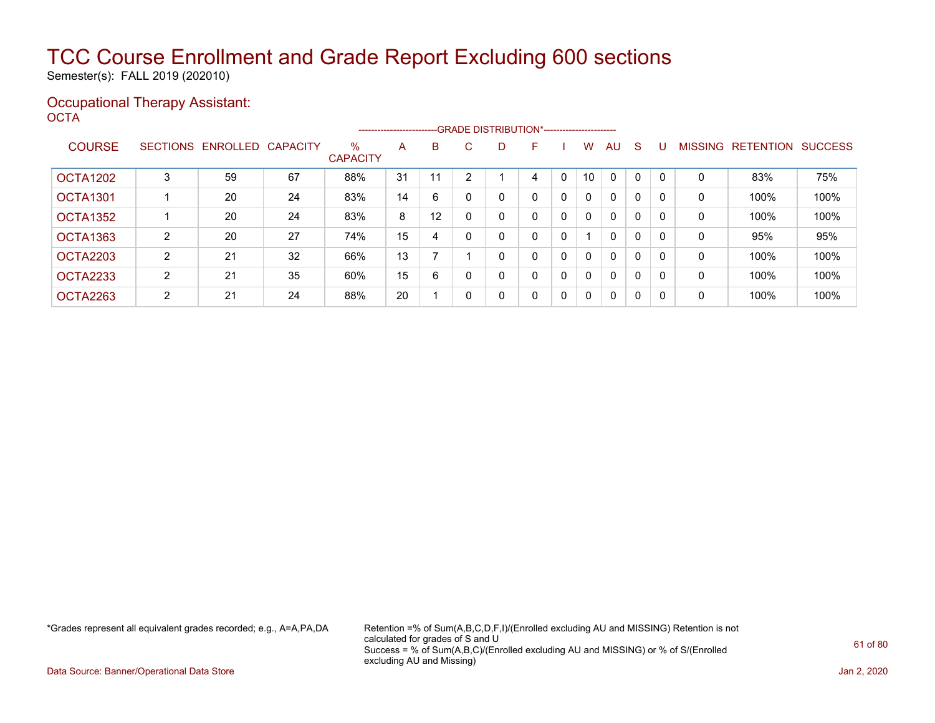Semester(s): FALL 2019 (202010)

#### Occupational Therapy Assistant: OCTA<sup>'</sup>

|                 |                 |                   |    |                         |    |    |          |    | --------------------------GRADE DISTRIBUTION*---------------------- |   |              |              |              |          |                |                  |                |
|-----------------|-----------------|-------------------|----|-------------------------|----|----|----------|----|---------------------------------------------------------------------|---|--------------|--------------|--------------|----------|----------------|------------------|----------------|
| <b>COURSE</b>   | <b>SECTIONS</b> | ENROLLED CAPACITY |    | $\%$<br><b>CAPACITY</b> | A  | B  | C.       | D. | F                                                                   |   | W            | AU           | S            |          | <b>MISSING</b> | <b>RETENTION</b> | <b>SUCCESS</b> |
| OCTA1202        | 3               | 59                | 67 | 88%                     | 31 |    | c        |    | 4                                                                   | 0 | 10           | $\mathbf{0}$ | 0            | $\Omega$ | 0              | 83%              | 75%            |
| <b>OCTA1301</b> |                 | 20                | 24 | 83%                     | 14 | 6  |          |    | 0                                                                   | 0 | $\mathbf{0}$ | $\mathbf{0}$ | 0            | 0        | 0              | 100%             | 100%           |
| OCTA1352        |                 | 20                | 24 | 83%                     | 8  | 12 |          |    | 0                                                                   | 0 | $\mathbf{0}$ | $\mathbf{0}$ | 0            | $\Omega$ | 0              | 100%             | 100%           |
| OCTA1363        | $\overline{2}$  | 20                | 27 | 74%                     | 15 | 4  | $\Omega$ |    | 0                                                                   | 0 |              | $\mathbf{0}$ | 0            |          | 0              | 95%              | 95%            |
| OCTA2203        | $\overline{2}$  | 21                | 32 | 66%                     | 13 |    |          |    | 0                                                                   | 0 | 0            | $\mathbf{0}$ | 0            |          | 0              | 100%             | 100%           |
| OCTA2233        | $\overline{2}$  | 21                | 35 | 60%                     | 15 | 6  |          |    | 0                                                                   | 0 | 0            | $\mathbf{0}$ | 0            | 0        | 0              | 100%             | 100%           |
| OCTA2263        | $\overline{2}$  | 21                | 24 | 88%                     | 20 |    | -0       |    | 0                                                                   | 0 | $\mathbf{0}$ | $\mathbf{0}$ | $\mathbf{0}$ | 0        | 0              | 100%             | 100%           |

\*Grades represent all equivalent grades recorded; e.g., A=A,PA,DA Retention =% of Sum(A,B,C,D,F,I)/(Enrolled excluding AU and MISSING) Retention is not calculated for grades of S and U Success = % of Sum(A,B,C)/(Enrolled excluding AU and MISSING) or % of S/(Enrolled excluding AU and Missing)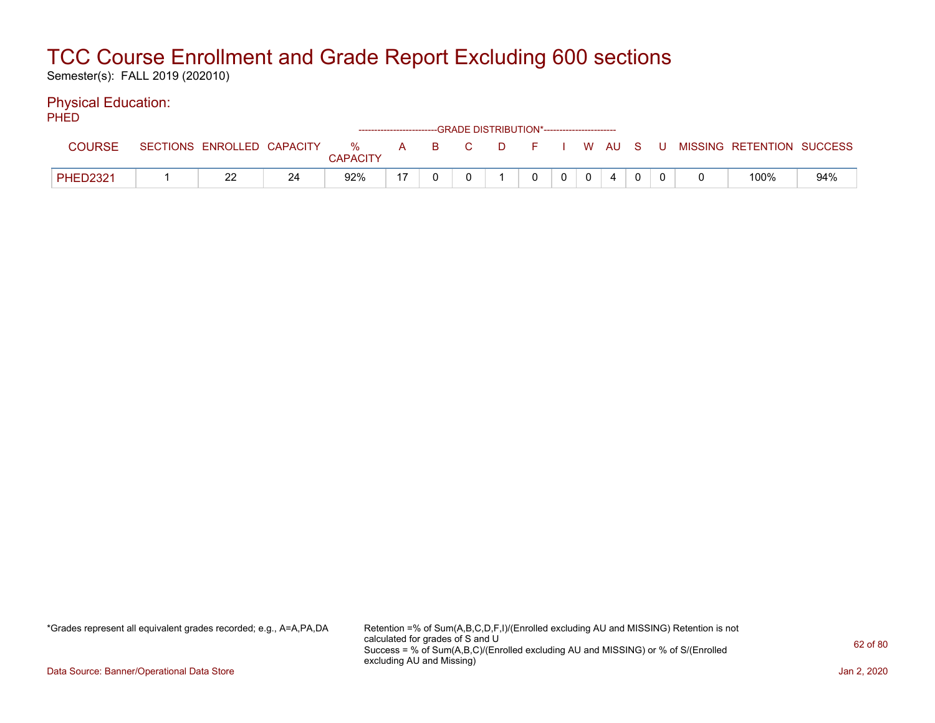Semester(s): FALL 2019 (202010)

#### Physical Education:  $P$

| ாடப             |                            |    |                      |     |       | ------------------------GRADE DISTRIBUTION*----------------------- |                |              |         |  |                           |     |
|-----------------|----------------------------|----|----------------------|-----|-------|--------------------------------------------------------------------|----------------|--------------|---------|--|---------------------------|-----|
| <b>COURSE</b>   | SECTIONS ENROLLED CAPACITY |    | %<br><b>CAPACITY</b> |     | A B C | D F                                                                |                |              | I WAUSU |  | MISSING RETENTION SUCCESS |     |
| <b>PHED2321</b> | ממ<br>∠∠                   | 24 | 92%                  | -17 |       |                                                                    | 0 <sup>1</sup> | $\mathbf{0}$ | 4       |  | 100%                      | 94% |

\*Grades represent all equivalent grades recorded; e.g., A=A,PA,DA Retention =% of Sum(A,B,C,D,F,I)/(Enrolled excluding AU and MISSING) Retention is not calculated for grades of S and U Success = % of Sum(A,B,C)/(Enrolled excluding AU and MISSING) or % of S/(Enrolled excluding AU and Missing)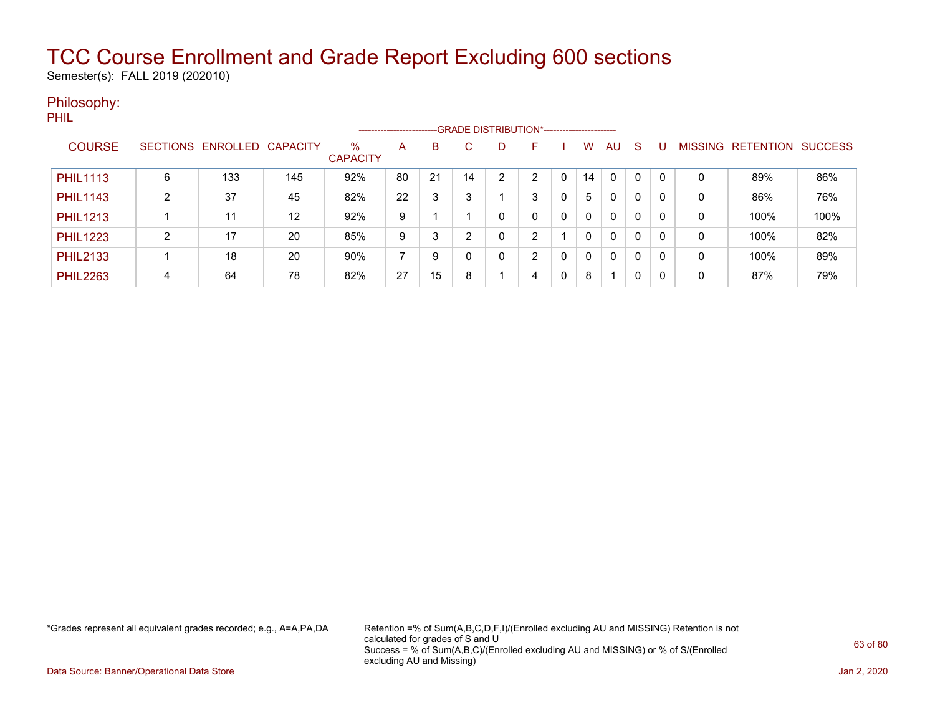Semester(s): FALL 2019 (202010)

### Philosophy:

PHIL

|                 |   |                            |     |                         | ----------------------- |    |    | --GRADE DISTRIBUTION*---------------------- |                |   |          |              |    |     |                |           |                |
|-----------------|---|----------------------------|-----|-------------------------|-------------------------|----|----|---------------------------------------------|----------------|---|----------|--------------|----|-----|----------------|-----------|----------------|
| <b>COURSE</b>   |   | SECTIONS ENROLLED CAPACITY |     | $\%$<br><b>CAPACITY</b> | A                       | B  | C  | D                                           | F              |   | W        | AU           | -S |     | <b>MISSING</b> | RETENTION | <b>SUCCESS</b> |
| <b>PHIL1113</b> | 6 | 133                        | 145 | 92%                     | 80                      | 21 | 14 | 2                                           | ົ              |   | 14       | $\mathbf{0}$ | 0  |     | 0              | 89%       | 86%            |
| <b>PHIL1143</b> | ົ | 37                         | 45  | 82%                     | 22                      | 3  | 3  |                                             | 3              | 0 | 5        | $\mathbf{0}$ | 0  | -0  | 0              | 86%       | 76%            |
| <b>PHIL1213</b> |   | 11                         | 12  | 92%                     | 9                       |    |    | 0                                           | 0              | 0 | $\Omega$ | $\mathbf{0}$ | 0  | -0  | 0              | 100%      | 100%           |
| <b>PHIL1223</b> | ົ | 17                         | 20  | 85%                     | 9                       | 3  | ົ  | 0                                           | າ              |   | $\Omega$ | $\mathbf{0}$ | 0  | - 0 | 0              | 100%      | 82%            |
| <b>PHIL2133</b> |   | 18                         | 20  | 90%                     |                         | 9  |    | 0                                           | $\overline{2}$ | 0 | $\Omega$ | $\mathbf{0}$ | 0  | -0  | 0              | 100%      | 89%            |
| <b>PHIL2263</b> | 4 | 64                         | 78  | 82%                     | 27                      | 15 | 8  |                                             | 4              | 0 | 8        |              | 0  | 0   | 0              | 87%       | 79%            |

\*Grades represent all equivalent grades recorded; e.g., A=A,PA,DA Retention =% of Sum(A,B,C,D,F,I)/(Enrolled excluding AU and MISSING) Retention is not calculated for grades of S and U Success = % of Sum(A,B,C)/(Enrolled excluding AU and MISSING) or % of S/(Enrolled excluding AU and Missing)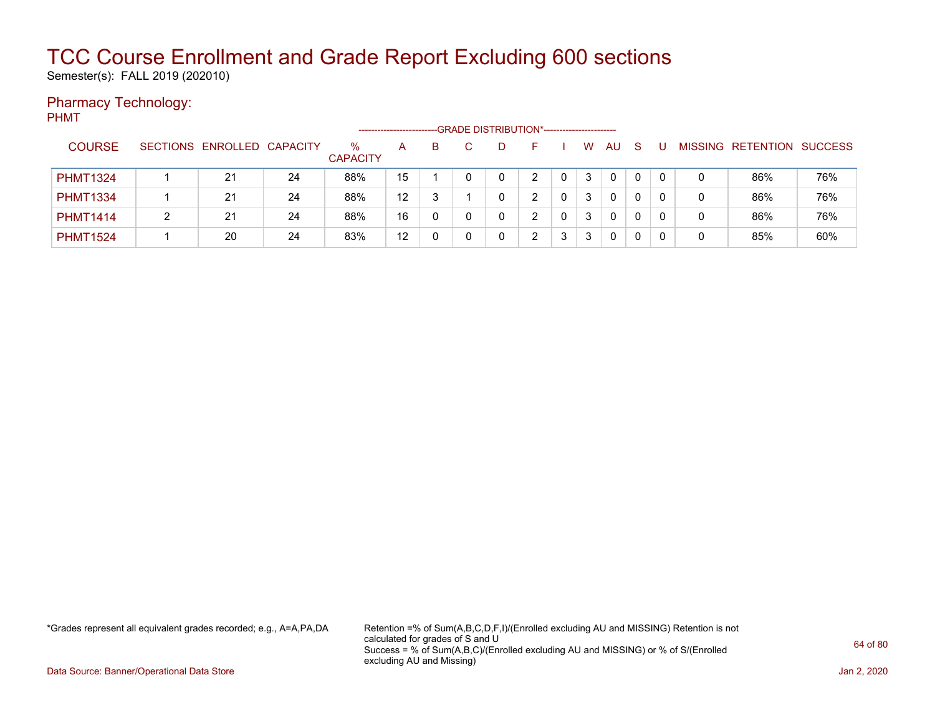Semester(s): FALL 2019 (202010)

### Pharmacy Technology:

PHMT --GRADE DISTRIBUTION\*------------------------COURSE SECTIONS ENROLLED CAPACITY % **CAPACITY** A B C D F I W AU S U MISSING RETENTION SUCCESS PHMT1324 | 1 | 21 | 24 | 88% | 15 | 1 | 0 | 0 | 2 | 0 | 3 | 0 | 0 | 0 | 0 | 86% | 76% PHMT1334 | 1 | 21 | 24 | 88% | 12 | 3 | 1 | 0 | 2 | 0 | 3 | 0 | 0 | 0 | 0 | 0 | 86% | 76%

PHMT1414 | 2 | 21 | 24 | 88% | 16 | 0 | 0 | 0 | 2 | 0 | 3 | 0 | 0 | 0 | 0 | 86% | 76% PHMT1524 | 1 | 20 | 24 | 83% | 12 | 0 | 0 | 2 | 3 | 3 | 0 | 0 | 0 | 0 | 85% | 60%

\*Grades represent all equivalent grades recorded; e.g., A=A,PA,DA Retention =% of Sum(A,B,C,D,F,I)/(Enrolled excluding AU and MISSING) Retention is not calculated for grades of S and U Success = % of Sum(A,B,C)/(Enrolled excluding AU and MISSING) or % of S/(Enrolled excluding AU and Missing)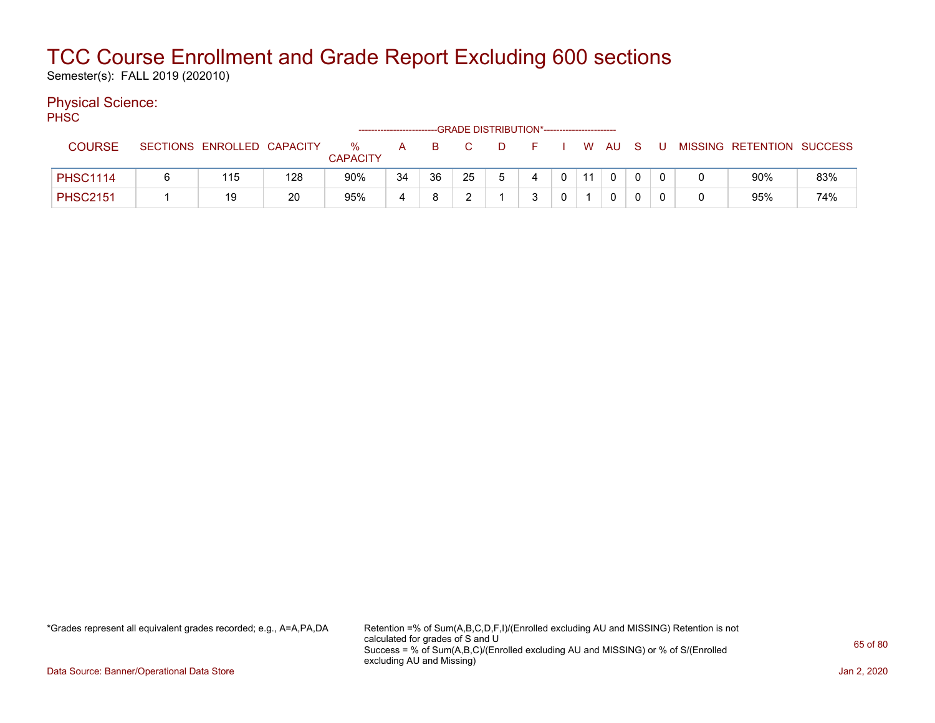Semester(s): FALL 2019 (202010)

### Physical Science:

PH<sub>SC</sub>

|                 |                            |     |                      | ---------------------- |    |    |    | -GRADE DISTRIBUTION*----------------------- |                |      |        |  |                           |     |
|-----------------|----------------------------|-----|----------------------|------------------------|----|----|----|---------------------------------------------|----------------|------|--------|--|---------------------------|-----|
| <b>COURSE</b>   | SECTIONS ENROLLED CAPACITY |     | %<br><b>CAPACITY</b> | A                      | B  |    | D. | $\vdash$                                    |                |      | W AU S |  | MISSING RETENTION SUCCESS |     |
| <b>PHSC1114</b> | 115                        | 128 | 90%                  | 34                     | 36 | 25 |    | 4                                           | $\overline{0}$ | - 11 |        |  | 90%                       | 83% |
| <b>PHSC2151</b> | 19                         | 20  | 95%                  |                        |    |    |    | ີ                                           | $\Omega$       |      |        |  | 95%                       | 74% |

\*Grades represent all equivalent grades recorded; e.g., A=A,PA,DA Retention =% of Sum(A,B,C,D,F,I)/(Enrolled excluding AU and MISSING) Retention is not calculated for grades of S and U Success = % of Sum(A,B,C)/(Enrolled excluding AU and MISSING) or % of S/(Enrolled excluding AU and Missing)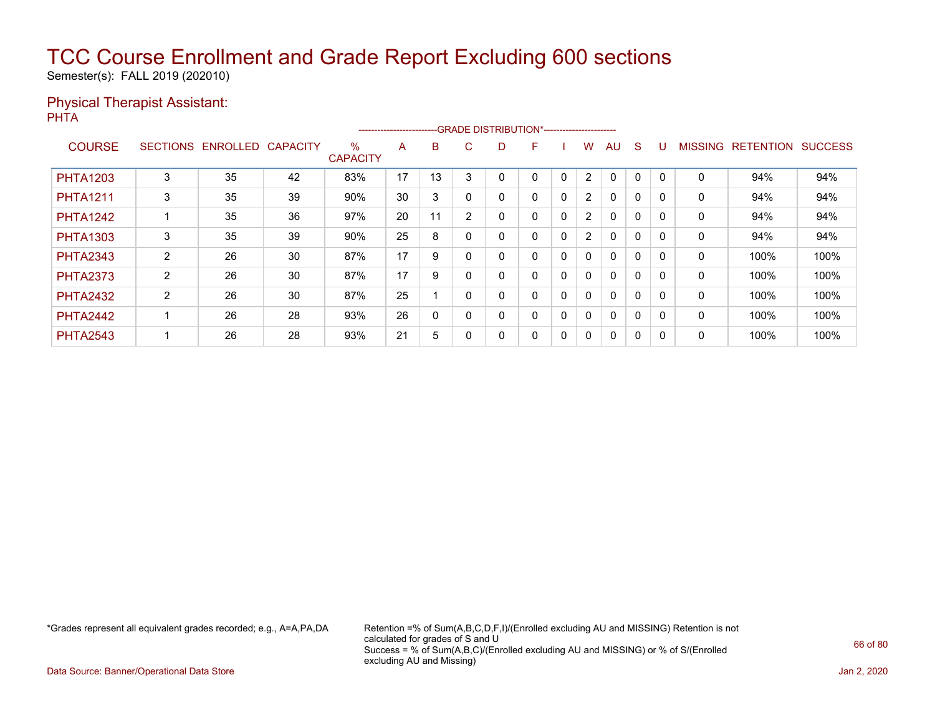Semester(s): FALL 2019 (202010)

#### Physical Therapist Assistant: **PHTA**

|                 |                 |          |                 |                         | ----------------------- |          |                |    | --GRADE DISTRIBUTION*----------------------- |              |                |              |              |          |                |                  |                |
|-----------------|-----------------|----------|-----------------|-------------------------|-------------------------|----------|----------------|----|----------------------------------------------|--------------|----------------|--------------|--------------|----------|----------------|------------------|----------------|
| <b>COURSE</b>   | <b>SECTIONS</b> | ENROLLED | <b>CAPACITY</b> | $\%$<br><b>CAPACITY</b> | A                       | B        | C.             | D. | F                                            |              | w              | AU           | S            |          | <b>MISSING</b> | <b>RETENTION</b> | <b>SUCCESS</b> |
| <b>PHTA1203</b> | 3               | 35       | 42              | 83%                     | 17                      | 13       | 3              |    | 0                                            | 0            | 2              | 0            | 0            |          | 0              | 94%              | 94%            |
| <b>PHTA1211</b> | 3               | 35       | 39              | 90%                     | 30                      | 3        | 0              |    | 0                                            | $\mathbf 0$  | $\overline{2}$ | $\mathbf{0}$ | 0            | 0        | $\mathbf{0}$   | 94%              | 94%            |
| <b>PHTA1242</b> |                 | 35       | 36              | 97%                     | 20                      | 11       | $\overline{2}$ | 0  | 0                                            | $\mathbf{0}$ | $\overline{2}$ | $\mathbf{0}$ | $\mathbf{0}$ | $\Omega$ | $\mathbf{0}$   | 94%              | 94%            |
| <b>PHTA1303</b> | 3               | 35       | 39              | 90%                     | 25                      | 8        |                | 0  | 0                                            | 0            | $\overline{2}$ | 0            | 0            |          | 0              | 94%              | 94%            |
| <b>PHTA2343</b> | $\overline{2}$  | 26       | 30              | 87%                     | 17                      | 9        | $\Omega$       |    | 0                                            | $\mathbf 0$  | 0              | $\mathbf{0}$ | 0            | 0        | $\mathbf{0}$   | 100%             | 100%           |
| <b>PHTA2373</b> | $\overline{2}$  | 26       | 30              | 87%                     | 17                      | 9        | $\Omega$       | 0  | 0                                            | $\mathbf{0}$ | $\mathbf{0}$   | $\mathbf{0}$ | 0            |          | $\mathbf{0}$   | 100%             | 100%           |
| <b>PHTA2432</b> | $\overline{2}$  | 26       | 30              | 87%                     | 25                      |          | $\Omega$       | ი  | 0                                            | 0            | 0              | 0            | 0            |          | 0              | 100%             | 100%           |
| <b>PHTA2442</b> |                 | 26       | 28              | 93%                     | 26                      | $\Omega$ | $\Omega$       | 0  | 0                                            | $\mathbf 0$  | 0              | $\mathbf{0}$ | $\mathbf{0}$ |          | $\mathbf{0}$   | 100%             | 100%           |
| <b>PHTA2543</b> |                 | 26       | 28              | 93%                     | 21                      | 5        | 0              | ი  | 0                                            | 0            | 0              | 0            | 0            |          | 0              | 100%             | 100%           |

\*Grades represent all equivalent grades recorded; e.g., A=A,PA,DA Retention =% of Sum(A,B,C,D,F,I)/(Enrolled excluding AU and MISSING) Retention is not calculated for grades of S and U Success = % of Sum(A,B,C)/(Enrolled excluding AU and MISSING) or % of S/(Enrolled excluding AU and Missing)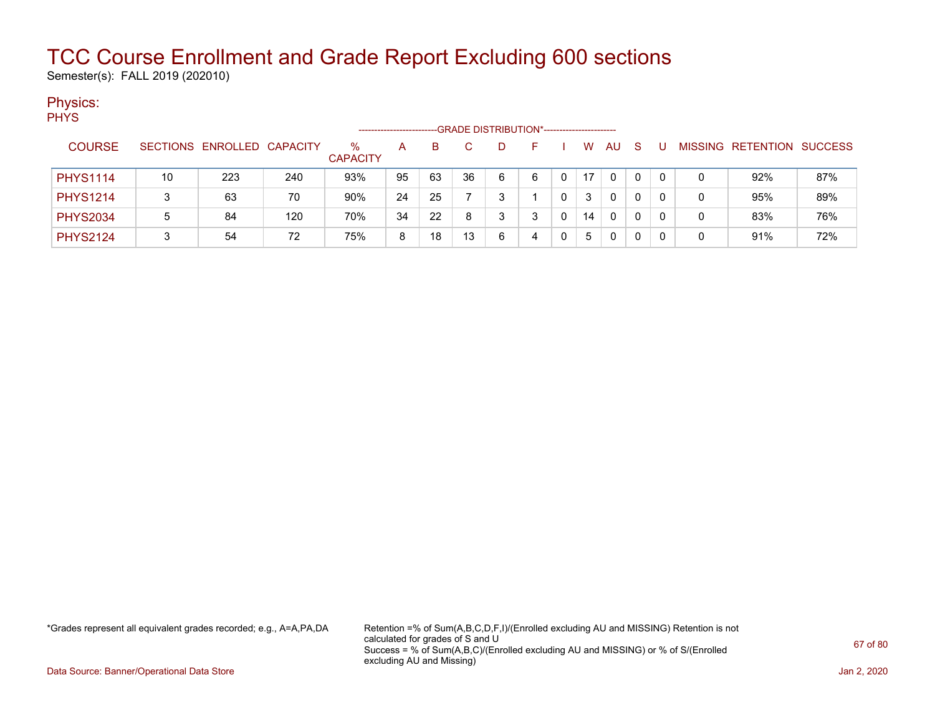Semester(s): FALL 2019 (202010)

### Physics:

PHYS

|                 |    |                            |     |                      |    |    | --GRADE DISTRIBUTION*------------------------ |   |  |    |    |              |   |   |                           |     |
|-----------------|----|----------------------------|-----|----------------------|----|----|-----------------------------------------------|---|--|----|----|--------------|---|---|---------------------------|-----|
| <b>COURSE</b>   |    | SECTIONS ENROLLED CAPACITY |     | ℅<br><b>CAPACITY</b> | А  | B  |                                               |   |  | w  | AU | <sub>S</sub> |   |   | MISSING RETENTION SUCCESS |     |
| <b>PHYS1114</b> | 10 | 223                        | 240 | 93%                  | 95 | 63 | 36                                            | 6 |  | 17 | 0  | 0            | 0 |   | 92%                       | 87% |
| <b>PHYS1214</b> |    | 63                         | 70  | 90%                  | 24 | 25 |                                               |   |  |    | 0  | 0            | 0 | 0 | 95%                       | 89% |
| <b>PHYS2034</b> | 5  | 84                         | 120 | 70%                  | 34 | 22 | 8                                             |   |  | 14 | 0  | 0            | 0 | 0 | 83%                       | 76% |
| <b>PHYS2124</b> |    | 54                         | 72  | 75%                  | 8  | 18 | 13                                            | 6 |  | 5  | 0  | 0            | 0 | 0 | 91%                       | 72% |

\*Grades represent all equivalent grades recorded; e.g., A=A,PA,DA Retention =% of Sum(A,B,C,D,F,I)/(Enrolled excluding AU and MISSING) Retention is not calculated for grades of S and U Success = % of Sum(A,B,C)/(Enrolled excluding AU and MISSING) or % of S/(Enrolled excluding AU and Missing)

Data Source: Banner/Operational Data Store Jan 2, 2020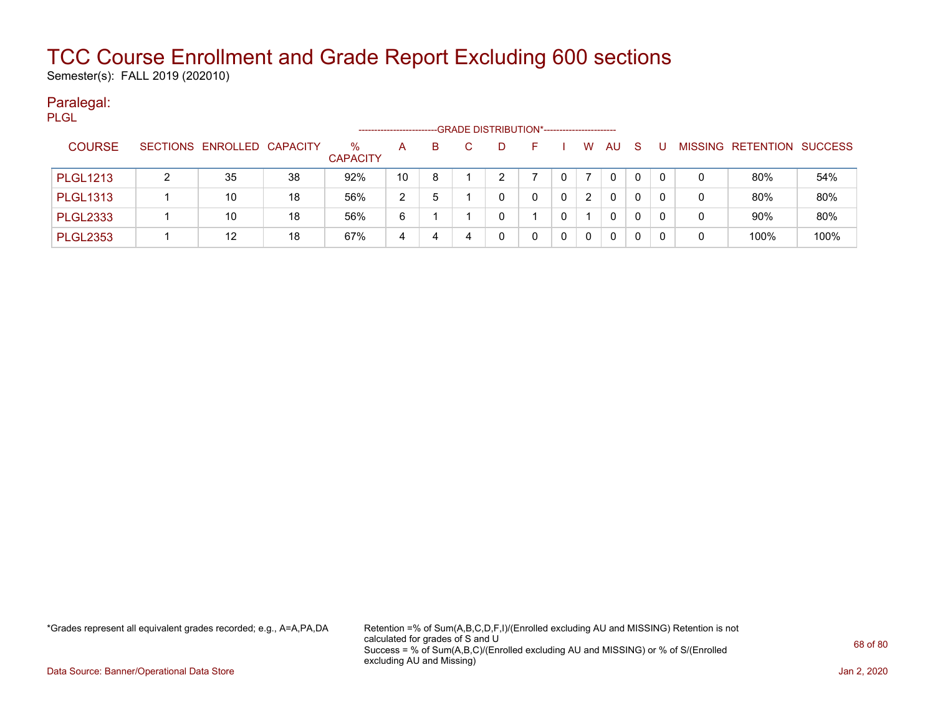Semester(s): FALL 2019 (202010)

#### Paralegal: PLGL

|                 |   |                            |    | ------------------   |              |    | --GRADE DISTRIBUTION*----------------------- |   |   |    |    |   |                           |      |
|-----------------|---|----------------------------|----|----------------------|--------------|----|----------------------------------------------|---|---|----|----|---|---------------------------|------|
| <b>COURSE</b>   |   | SECTIONS ENROLLED CAPACITY |    | %<br><b>CAPACITY</b> | $\mathsf{A}$ | B. | D                                            |   | W | AU | -S |   | MISSING RETENTION SUCCESS |      |
| <b>PLGL1213</b> | ົ | 35                         | 38 | 92%                  | 10           | 8  | ົ                                            |   |   | 0  | 0  |   | 80%                       | 54%  |
| <b>PLGL1313</b> |   | 10                         | 18 | 56%                  | 2            | 5  | 0                                            | 0 | 2 | 0  | 0  | 0 | 80%                       | 80%  |
| <b>PLGL2333</b> |   | 10                         | 18 | 56%                  | 6            |    | 0                                            |   |   | 0  | 0  | 0 | 90%                       | 80%  |
| <b>PLGL2353</b> |   | 12                         | 18 | 67%                  | 4            | 4  | 0                                            |   | 0 | 0  | 0  |   | 100%                      | 100% |

\*Grades represent all equivalent grades recorded; e.g., A=A,PA,DA Retention =% of Sum(A,B,C,D,F,I)/(Enrolled excluding AU and MISSING) Retention is not calculated for grades of S and U Success = % of Sum(A,B,C)/(Enrolled excluding AU and MISSING) or % of S/(Enrolled excluding AU and Missing)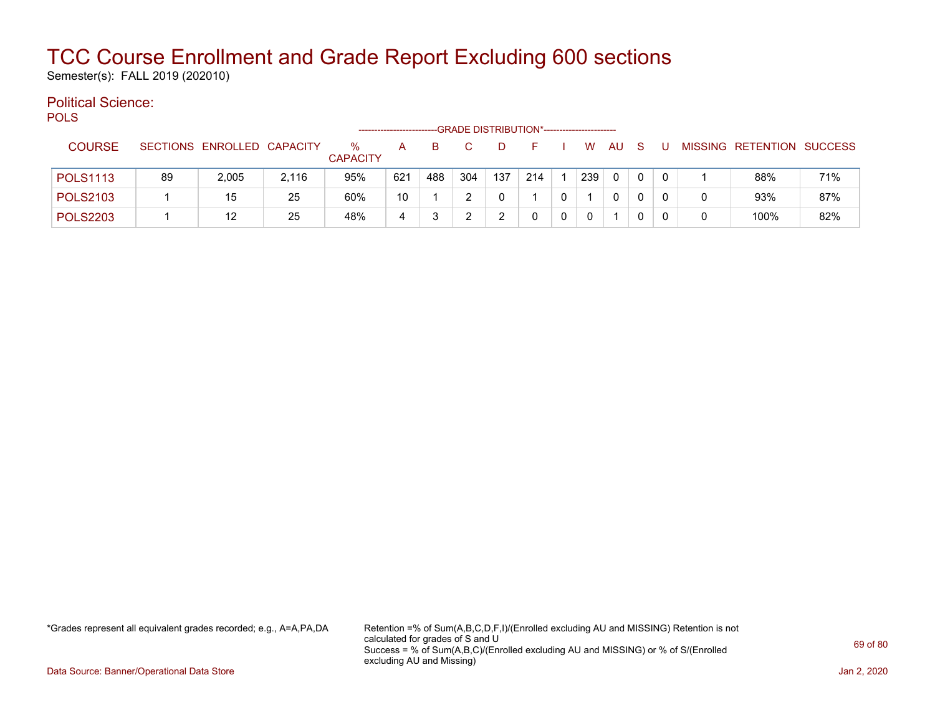Semester(s): FALL 2019 (202010)

#### Political Science: POLS

| ---             |    |                            |       |                      |     |     |     | -GRADE DISTRIBUTION*---------------------- |            |     |     |              |          |                           |     |
|-----------------|----|----------------------------|-------|----------------------|-----|-----|-----|--------------------------------------------|------------|-----|-----|--------------|----------|---------------------------|-----|
| <b>COURSE</b>   |    | SECTIONS ENROLLED CAPACITY |       | ℅<br><b>CAPACITY</b> | A   | в   |     | D.                                         | <b>125</b> | W   | AU. | -S           |          | MISSING RETENTION SUCCESS |     |
| <b>POLS1113</b> | 89 | 2,005                      | 2,116 | 95%                  | 621 | 488 | 304 | 137                                        | 214        | 239 | 0   | $\mathbf{0}$ | $\Omega$ | 88%                       | 71% |
| <b>POLS2103</b> |    | 15                         | 25    | 60%                  | 10  |     |     |                                            |            |     | 0   |              |          | 93%                       | 87% |
| <b>POLS2203</b> |    | 12                         | 25    | 48%                  | 4   |     |     |                                            |            |     |     |              |          | 100%                      | 82% |

\*Grades represent all equivalent grades recorded; e.g., A=A,PA,DA Retention =% of Sum(A,B,C,D,F,I)/(Enrolled excluding AU and MISSING) Retention is not calculated for grades of S and U Success = % of Sum(A,B,C)/(Enrolled excluding AU and MISSING) or % of S/(Enrolled excluding AU and Missing)

Data Source: Banner/Operational Data Store Jan 2, 2020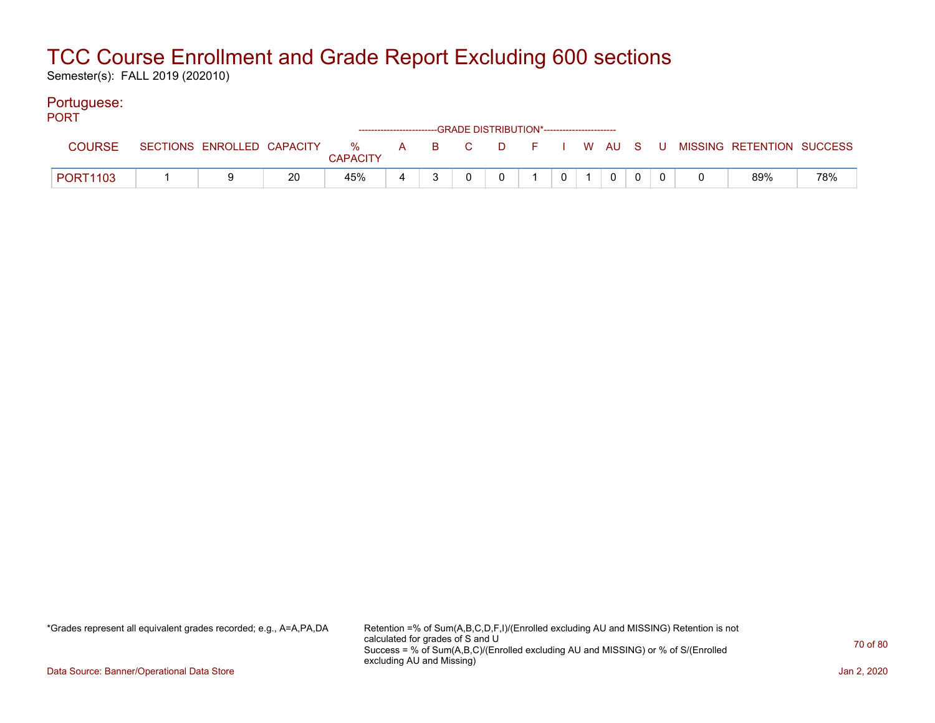Semester(s): FALL 2019 (202010)

### Portuguese:

| <b>PORT</b>     |  |    |                 |  | ------------------------GRADE DISTRIBUTION*----------------------- |   |             |  |                                                                               |     |
|-----------------|--|----|-----------------|--|--------------------------------------------------------------------|---|-------------|--|-------------------------------------------------------------------------------|-----|
| COURSE          |  |    | <b>CAPACITY</b> |  |                                                                    |   |             |  | SECTIONS ENROLLED CAPACITY 3 % A B C D F I W AU S U MISSING RETENTION SUCCESS |     |
| <b>PORT1103</b> |  | 20 | 45%             |  | $\overline{0}$                                                     | 0 | $\mathbf 0$ |  | 89%                                                                           | 78% |

\*Grades represent all equivalent grades recorded; e.g., A=A,PA,DA Retention =% of Sum(A,B,C,D,F,I)/(Enrolled excluding AU and MISSING) Retention is not calculated for grades of S and U Success = % of Sum(A,B,C)/(Enrolled excluding AU and MISSING) or % of S/(Enrolled excluding AU and Missing)

Data Source: Banner/Operational Data Store Jan 2, 2020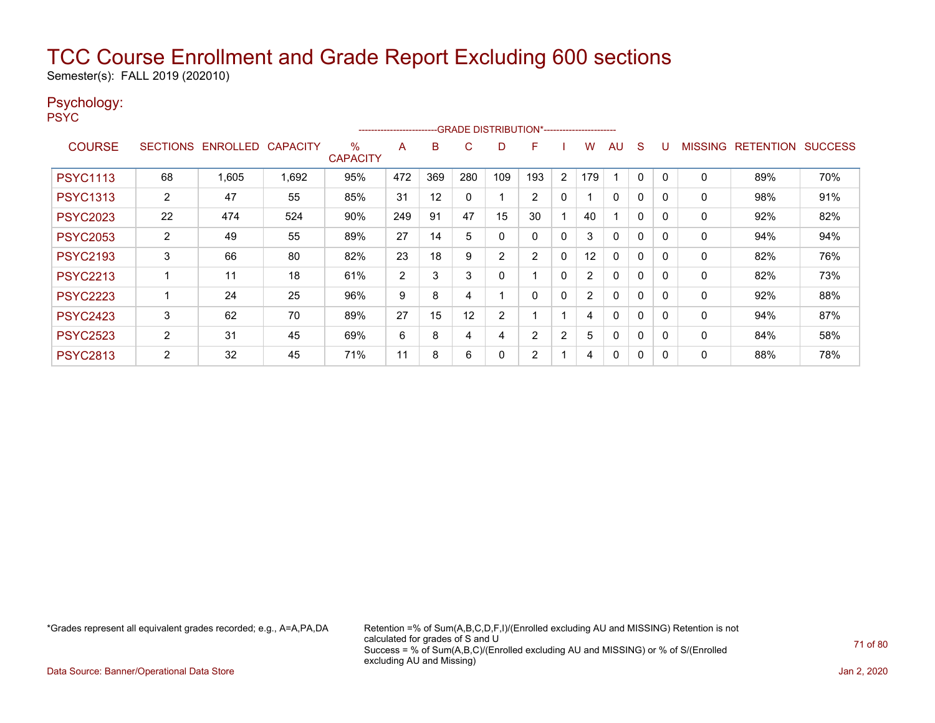Semester(s): FALL 2019 (202010)

### Psychology:

PSYC

|                 | -GRADE DISTRIBUTION*-----------------------<br>----------------------- |                            |       |                         |                |     |          |     |                |              |     |              |              |   |                |                  |                |
|-----------------|------------------------------------------------------------------------|----------------------------|-------|-------------------------|----------------|-----|----------|-----|----------------|--------------|-----|--------------|--------------|---|----------------|------------------|----------------|
| <b>COURSE</b>   |                                                                        | SECTIONS ENROLLED CAPACITY |       | $\%$<br><b>CAPACITY</b> | A              | B   | C        | D   | F              |              | W   | AU           | <sub>S</sub> |   | <b>MISSING</b> | <b>RETENTION</b> | <b>SUCCESS</b> |
| <b>PSYC1113</b> | 68                                                                     | 1.605                      | 1,692 | 95%                     | 472            | 369 | 280      | 109 | 193            | 2            | 179 |              | $\mathbf{0}$ | 0 | $\mathbf 0$    | 89%              | 70%            |
| <b>PSYC1313</b> | $\overline{2}$                                                         | 47                         | 55    | 85%                     | 31             | 12  | $\Omega$ |     | $\overline{2}$ | $\mathbf{0}$ |     | $\Omega$     | 0            | 0 | $\mathbf{0}$   | 98%              | 91%            |
| <b>PSYC2023</b> | 22                                                                     | 474                        | 524   | 90%                     | 249            | 91  | 47       | 15  | 30             |              | 40  |              | $\mathbf{0}$ |   | 0              | 92%              | 82%            |
| <b>PSYC2053</b> | $\overline{2}$                                                         | 49                         | 55    | 89%                     | 27             | 14  | 5        | 0   | 0              | $\mathbf 0$  | 3   | $\mathbf 0$  | $\Omega$     | 0 | 0              | 94%              | 94%            |
| <b>PSYC2193</b> | 3                                                                      | 66                         | 80    | 82%                     | 23             | 18  | 9        | 2   | 2              | $\mathbf 0$  | 12  | $\Omega$     | 0            | 0 | 0              | 82%              | 76%            |
| <b>PSYC2213</b> |                                                                        | 11                         | 18    | 61%                     | $\overline{2}$ | 3   | 3        | 0   |                | 0            | 2   | $\Omega$     | $\Omega$     | 0 | 0              | 82%              | 73%            |
| <b>PSYC2223</b> |                                                                        | 24                         | 25    | 96%                     | 9              | 8   | 4        |     | $\Omega$       | $\mathbf{0}$ | 2   | $\mathbf{0}$ | 0            | 0 | $\mathbf{0}$   | 92%              | 88%            |
| <b>PSYC2423</b> | 3                                                                      | 62                         | 70    | 89%                     | 27             | 15  | 12       | 2   |                |              | 4   | $\mathbf{0}$ | 0            | 0 | $\mathbf{0}$   | 94%              | 87%            |
| <b>PSYC2523</b> | $\overline{2}$                                                         | 31                         | 45    | 69%                     | 6              | 8   | 4        | 4   | 2              | 2            | 5   | 0            | 0            |   | 0              | 84%              | 58%            |
| <b>PSYC2813</b> | 2                                                                      | 32                         | 45    | 71%                     | 11             | 8   | 6        | 0   | 2              |              | 4   | 0            | 0            |   | 0              | 88%              | 78%            |

\*Grades represent all equivalent grades recorded; e.g., A=A,PA,DA Retention =% of Sum(A,B,C,D,F,I)/(Enrolled excluding AU and MISSING) Retention is not calculated for grades of S and U Success = % of Sum(A,B,C)/(Enrolled excluding AU and MISSING) or % of S/(Enrolled excluding AU and Missing)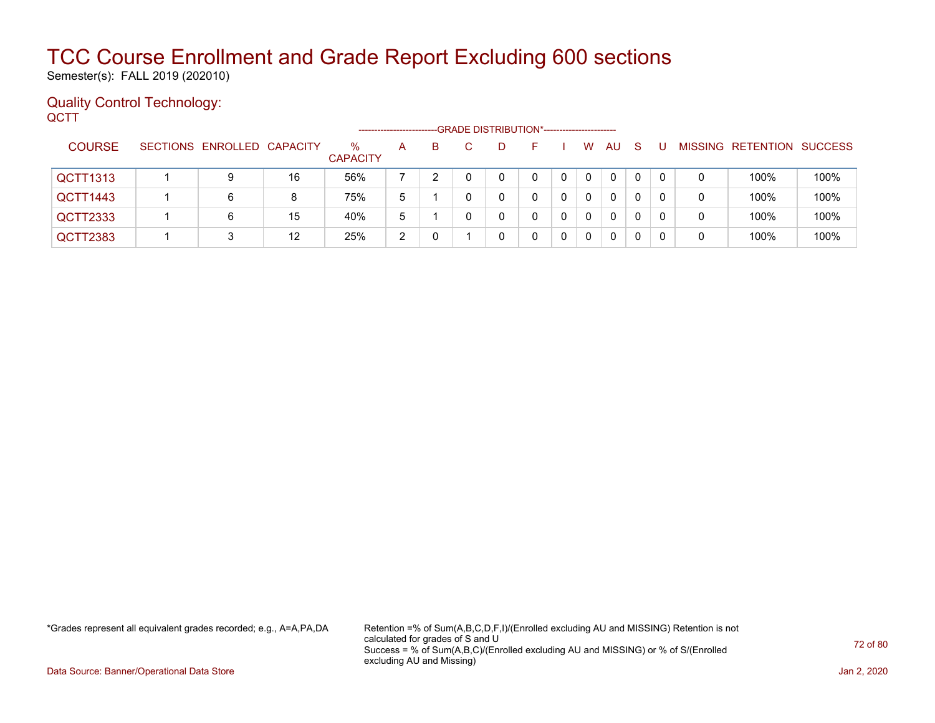Semester(s): FALL 2019 (202010)

#### Quality Control Technology: **QCTT**

|                 | --GRADE DISTRIBUTION*-----------------------<br>------------------- |                            |    |                         |   |    |  |  |  |  |              |          |              |    |   |                                  |      |
|-----------------|---------------------------------------------------------------------|----------------------------|----|-------------------------|---|----|--|--|--|--|--------------|----------|--------------|----|---|----------------------------------|------|
| <b>COURSE</b>   |                                                                     | SECTIONS ENROLLED CAPACITY |    | $\%$<br><b>CAPACITY</b> | A | B. |  |  |  |  | W            | AU       | <sub>S</sub> |    |   | <b>MISSING RETENTION SUCCESS</b> |      |
| <b>QCTT1313</b> |                                                                     | 9                          | 16 | 56%                     |   |    |  |  |  |  | $\Omega$     | 0        | $\Omega$     | 0  | 0 | 100%                             | 100% |
| QCTT1443        |                                                                     | 6                          | 8  | 75%                     | 5 |    |  |  |  |  | $\mathbf{0}$ | 0        | 0            | 0  | 0 | 100%                             | 100% |
| QCTT2333        |                                                                     | 6                          | 15 | 40%                     | 5 |    |  |  |  |  | $\Omega$     | 0        | 0            | -0 | 0 | 100%                             | 100% |
| QCTT2383        |                                                                     |                            | 12 | 25%                     | 2 |    |  |  |  |  | 0            | $\Omega$ | 0            |    | 0 | 100%                             | 100% |

\*Grades represent all equivalent grades recorded; e.g., A=A,PA,DA Retention =% of Sum(A,B,C,D,F,I)/(Enrolled excluding AU and MISSING) Retention is not calculated for grades of S and U Success = % of Sum(A,B,C)/(Enrolled excluding AU and MISSING) or % of S/(Enrolled excluding AU and Missing)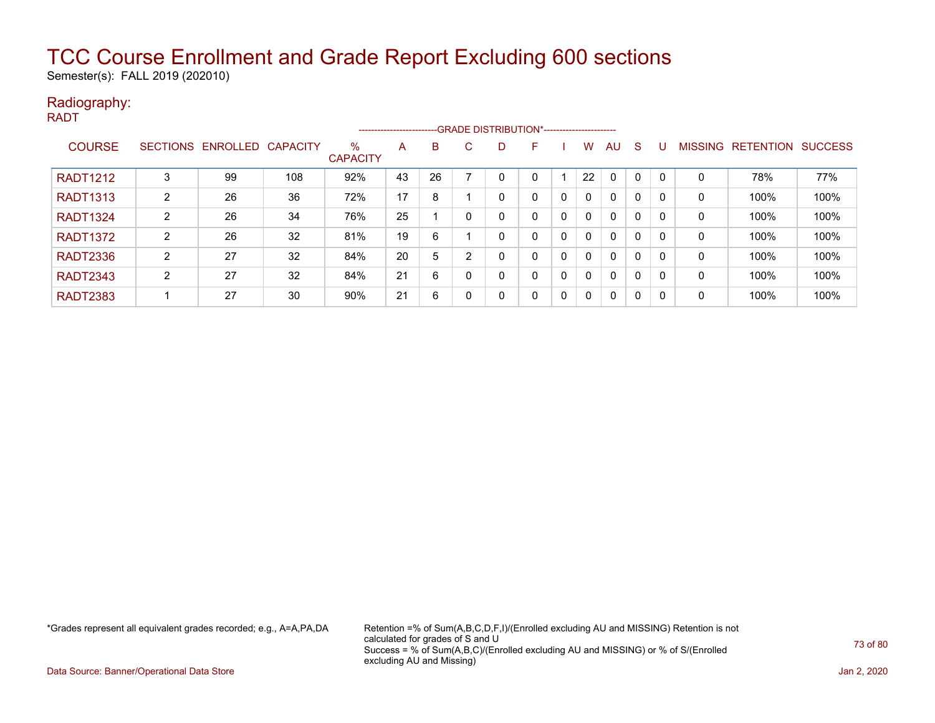Semester(s): FALL 2019 (202010)

#### Radiography: RADT

|                 | -- GRADE DISTRIBUTION*------------------------<br>----------------------- |                            |     |                         |    |    |              |   |   |   |              |              |              |   |                |                  |                |
|-----------------|---------------------------------------------------------------------------|----------------------------|-----|-------------------------|----|----|--------------|---|---|---|--------------|--------------|--------------|---|----------------|------------------|----------------|
| <b>COURSE</b>   |                                                                           | SECTIONS ENROLLED CAPACITY |     | $\%$<br><b>CAPACITY</b> | A  | B  | C.           | D | F |   | w            | AU           | S            |   | <b>MISSING</b> | <b>RETENTION</b> | <b>SUCCESS</b> |
| <b>RADT1212</b> | 3                                                                         | 99                         | 108 | 92%                     | 43 | 26 |              |   | 0 |   | 22           | $\Omega$     | 0            |   | 0              | 78%              | 77%            |
| <b>RADT1313</b> | 2                                                                         | 26                         | 36  | 72%                     | 17 | 8  |              |   | 0 | 0 | $\mathbf{0}$ | $\mathbf{0}$ | $\mathbf{0}$ |   | 0              | 100%             | 100%           |
| <b>RADT1324</b> | 2                                                                         | 26                         | 34  | 76%                     | 25 |    |              | 0 | 0 | 0 | $\Omega$     | $\mathbf{0}$ | 0            |   | $\mathbf 0$    | 100%             | 100%           |
| <b>RADT1372</b> | 2                                                                         | 26                         | 32  | 81%                     | 19 | 6  |              |   | 0 | 0 | $\Omega$     | $\mathbf{0}$ | 0            |   | 0              | 100%             | 100%           |
| <b>RADT2336</b> | 2                                                                         | 27                         | 32  | 84%                     | 20 | 5  | 2            |   | 0 | 0 | $\Omega$     | $\mathbf{0}$ | 0            |   | $\mathbf 0$    | 100%             | 100%           |
| <b>RADT2343</b> | 2                                                                         | 27                         | 32  | 84%                     | 21 | 6  |              | 0 | 0 | 0 | $\mathbf{0}$ | $\mathbf{0}$ | 0            |   | $\mathbf 0$    | 100%             | 100%           |
| <b>RADT2383</b> |                                                                           | 27                         | 30  | 90%                     | 21 | 6  | $\mathbf{0}$ | 0 | 0 | 0 | $\Omega$     | $\mathbf{0}$ | $\mathbf{0}$ | 0 | 0              | 100%             | 100%           |

\*Grades represent all equivalent grades recorded; e.g., A=A,PA,DA Retention =% of Sum(A,B,C,D,F,I)/(Enrolled excluding AU and MISSING) Retention is not calculated for grades of S and U Success = % of Sum(A,B,C)/(Enrolled excluding AU and MISSING) or % of S/(Enrolled excluding AU and Missing)

Data Source: Banner/Operational Data Store Jan 2, 2020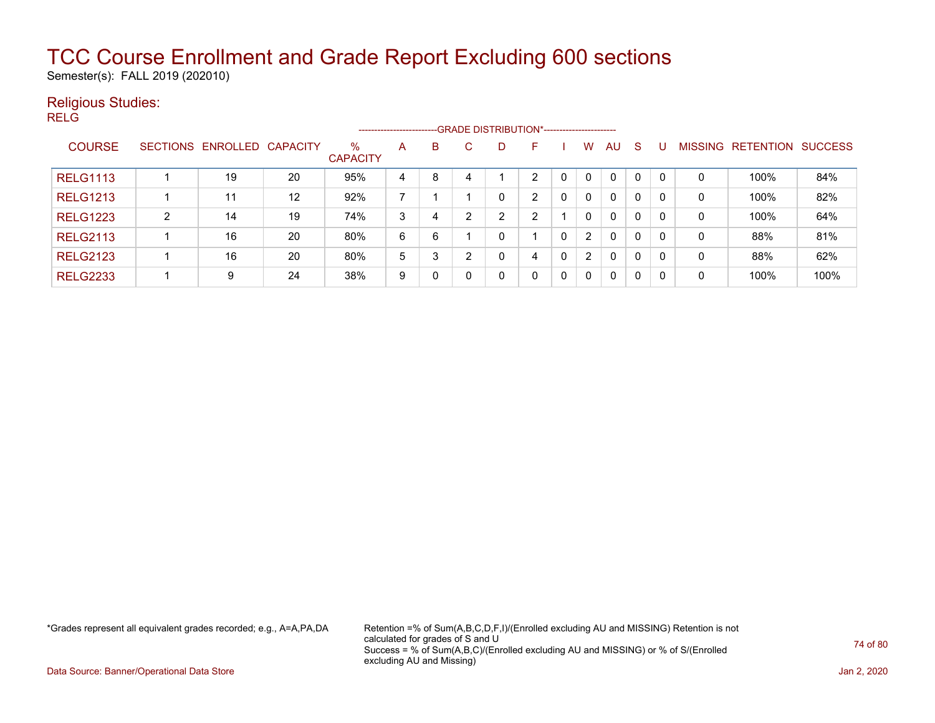Semester(s): FALL 2019 (202010)

#### Religious Studies:

RELG

|                 |   |                            |                   |                         | ----------------------- |   |    |   | --GRADE DISTRIBUTION*----------------------- |   |                |              |              |   |              |                   |                |
|-----------------|---|----------------------------|-------------------|-------------------------|-------------------------|---|----|---|----------------------------------------------|---|----------------|--------------|--------------|---|--------------|-------------------|----------------|
| <b>COURSE</b>   |   | SECTIONS ENROLLED CAPACITY |                   | $\%$<br><b>CAPACITY</b> | A                       | В | C. | D | F                                            |   | w              | <b>AU</b>    | <sub>S</sub> |   |              | MISSING RETENTION | <b>SUCCESS</b> |
| <b>RELG1113</b> |   | 19                         | 20                | 95%                     | 4                       | 8 | 4  |   | ົ                                            | 0 |                | $\mathbf{0}$ | 0            |   | 0            | 100%              | 84%            |
| <b>RELG1213</b> |   | 11                         | $12 \overline{ }$ | 92%                     | ⇁                       |   |    |   | າ                                            | 0 | 0              | $\mathbf{0}$ | $\Omega$     | 0 | 0            | 100%              | 82%            |
| <b>RELG1223</b> | 2 | 14                         | 19                | 74%                     | 3                       | 4 | ົ  | ົ | ົ                                            |   | 0              | $\mathbf{0}$ | $\Omega$     | 0 | 0            | 100%              | 64%            |
| <b>RELG2113</b> |   | 16                         | 20                | 80%                     | 6                       | 6 |    | C |                                              | 0 | $\overline{2}$ | 0            | 0            | 0 | 0            | 88%               | 81%            |
| <b>RELG2123</b> |   | 16                         | 20                | 80%                     | 5                       | 3 |    |   | 4                                            | 0 | $\overline{2}$ | 0            | 0            | 0 | $\mathbf{0}$ | 88%               | 62%            |
| <b>RELG2233</b> |   | 9                          | 24                | 38%                     | 9                       | 0 |    |   | 0                                            | 0 | 0              | 0            | 0            |   | 0            | 100%              | 100%           |

\*Grades represent all equivalent grades recorded; e.g., A=A,PA,DA Retention =% of Sum(A,B,C,D,F,I)/(Enrolled excluding AU and MISSING) Retention is not calculated for grades of S and U Success = % of Sum(A,B,C)/(Enrolled excluding AU and MISSING) or % of S/(Enrolled excluding AU and Missing)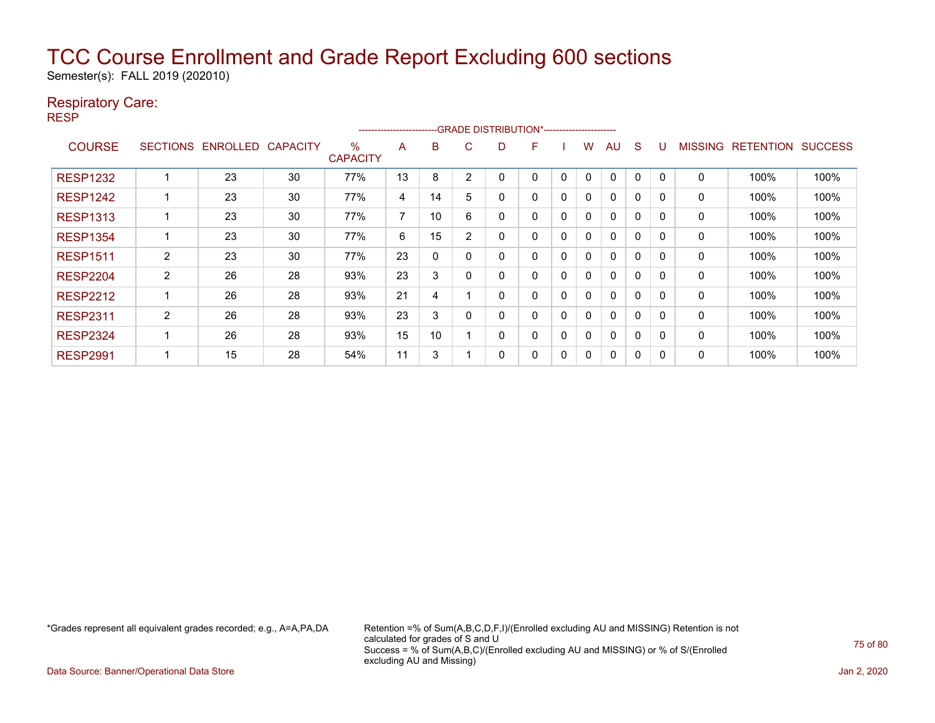Semester(s): FALL 2019 (202010)

#### Respiratory Care:

RESP

|                 |                 |                 |                 |                         | ---------------------- |    |          | -GRADE DISTRIBUTION*----------------------- |   |   |              |              |              |          |                |                  |                |
|-----------------|-----------------|-----------------|-----------------|-------------------------|------------------------|----|----------|---------------------------------------------|---|---|--------------|--------------|--------------|----------|----------------|------------------|----------------|
| <b>COURSE</b>   | <b>SECTIONS</b> | <b>ENROLLED</b> | <b>CAPACITY</b> | $\%$<br><b>CAPACITY</b> | A                      | B  | C        | D                                           | F |   | W            | AU           | <sub>S</sub> |          | <b>MISSING</b> | <b>RETENTION</b> | <b>SUCCESS</b> |
| <b>RESP1232</b> |                 | 23              | 30              | 77%                     | 13                     | 8  | 2        |                                             | 0 | 0 | 0            | $\mathbf{0}$ | 0            |          | $\mathbf 0$    | 100%             | 100%           |
| <b>RESP1242</b> |                 | 23              | 30              | 77%                     | 4                      | 14 | 5        |                                             | 0 | 0 | $\mathbf{0}$ | $\mathbf{0}$ | 0            | $\Omega$ | 0              | 100%             | 100%           |
| <b>RESP1313</b> |                 | 23              | 30              | 77%                     | 7                      | 10 | 6        |                                             | 0 | 0 | 0            | $\mathbf{0}$ | 0            | $\Omega$ | 0              | 100%             | 100%           |
| <b>RESP1354</b> |                 | 23              | 30              | 77%                     | 6                      | 15 | 2        |                                             | 0 | 0 | $\mathbf{0}$ | $\mathbf{0}$ | 0            | $\Omega$ | 0              | 100%             | 100%           |
| <b>RESP1511</b> | $\overline{2}$  | 23              | 30              | 77%                     | 23                     | 0  |          | ი                                           | 0 | 0 | 0            | $\mathbf{0}$ | 0            | $\Omega$ | 0              | 100%             | 100%           |
| <b>RESP2204</b> | $\overline{2}$  | 26              | 28              | 93%                     | 23                     | 3  |          |                                             | 0 | 0 | 0            | $\mathbf{0}$ | $\Omega$     | $\Omega$ | 0              | 100%             | 100%           |
| <b>RESP2212</b> |                 | 26              | 28              | 93%                     | 21                     | 4  |          |                                             | 0 | 0 | $\mathbf{0}$ | $\mathbf{0}$ | 0            | $\Omega$ | 0              | 100%             | 100%           |
| <b>RESP2311</b> | 2               | 26              | 28              | 93%                     | 23                     | 3  | $\Omega$ |                                             | 0 | 0 | 0            | $\mathbf{0}$ | 0            | $\Omega$ | 0              | 100%             | 100%           |
| <b>RESP2324</b> |                 | 26              | 28              | 93%                     | 15                     | 10 |          |                                             | 0 | 0 | 0            | $\mathbf{0}$ | 0            |          | 0              | 100%             | 100%           |
| <b>RESP2991</b> |                 | 15              | 28              | 54%                     | 11                     | 3  |          |                                             | 0 | 0 | 0            | $\mathbf{0}$ | 0            | 0        | 0              | 100%             | 100%           |

\*Grades represent all equivalent grades recorded; e.g., A=A,PA,DA Retention =% of Sum(A,B,C,D,F,I)/(Enrolled excluding AU and MISSING) Retention is not calculated for grades of S and U Success = % of Sum(A,B,C)/(Enrolled excluding AU and MISSING) or % of S/(Enrolled excluding AU and Missing)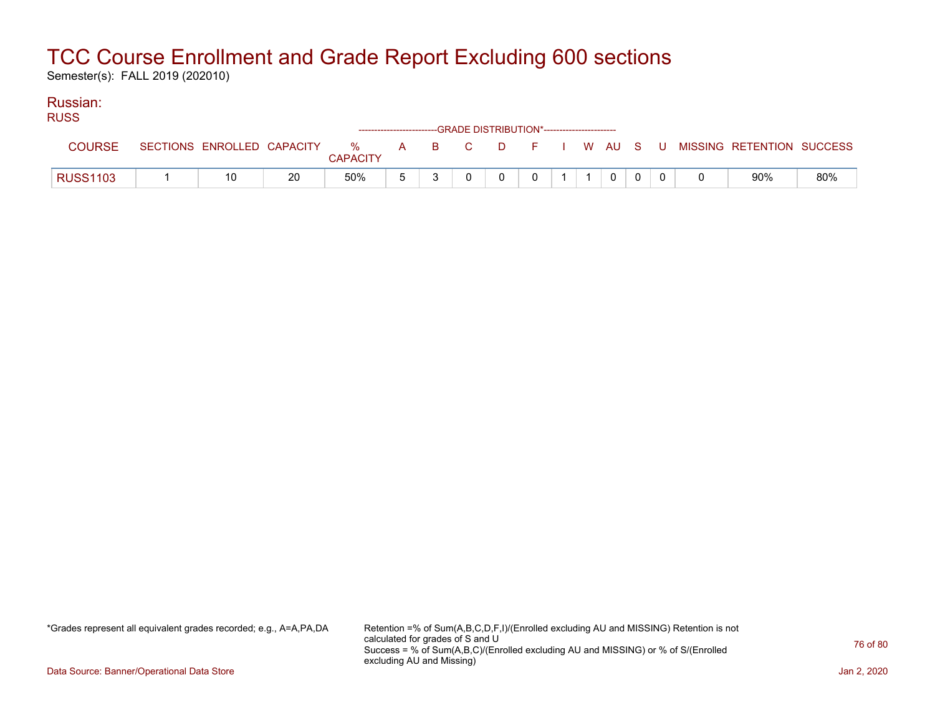Semester(s): FALL 2019 (202010)

#### Russian: **DUCS**

| ruoo            |                            |    |                      |       | ------------------------GRADE DISTRIBUTION*----------------------- |          |  |  |  |                           |     |
|-----------------|----------------------------|----|----------------------|-------|--------------------------------------------------------------------|----------|--|--|--|---------------------------|-----|
| <b>COURSE</b>   | SECTIONS ENROLLED CAPACITY |    | %<br><b>CAPACITY</b> | A B C |                                                                    | DFIWAUSU |  |  |  | MISSING RETENTION SUCCESS |     |
| <b>RUSS1103</b> | 10                         | 20 | 50%                  |       |                                                                    |          |  |  |  | 90%                       | 80% |

\*Grades represent all equivalent grades recorded; e.g., A=A,PA,DA Retention =% of Sum(A,B,C,D,F,I)/(Enrolled excluding AU and MISSING) Retention is not calculated for grades of S and U Success = % of Sum(A,B,C)/(Enrolled excluding AU and MISSING) or % of S/(Enrolled excluding AU and Missing)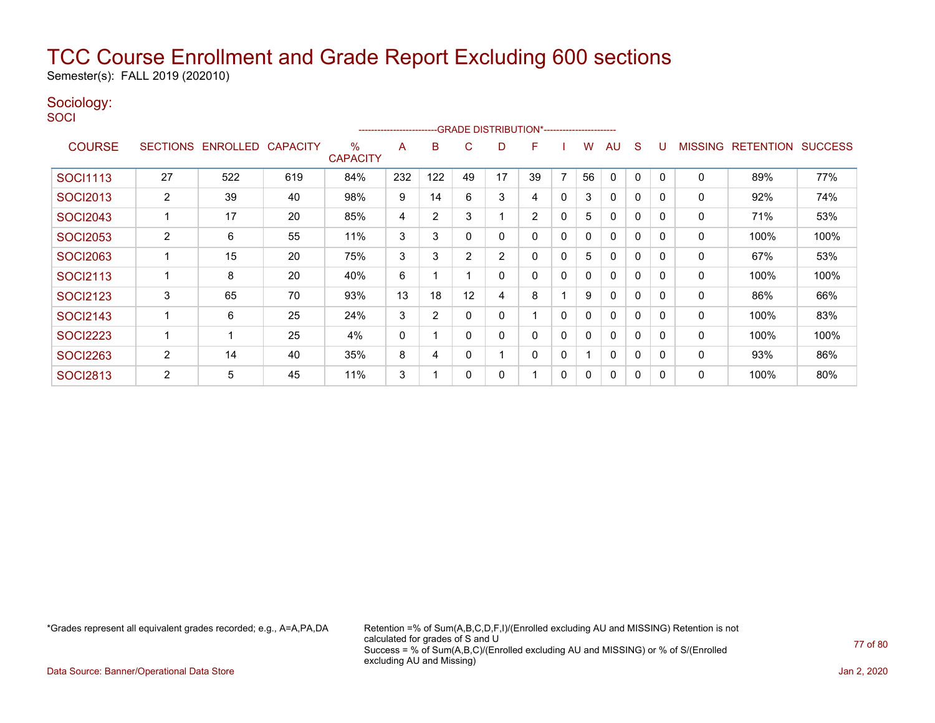Semester(s): FALL 2019 (202010)

#### Sociology:

**SOCI** 

|                 |                |                   |                 |                      | ----------------------- |                |    |    | --GRADE DISTRIBUTION*----------------------- |              |              |              |              |          |                |                  |                |
|-----------------|----------------|-------------------|-----------------|----------------------|-------------------------|----------------|----|----|----------------------------------------------|--------------|--------------|--------------|--------------|----------|----------------|------------------|----------------|
| <b>COURSE</b>   |                | SECTIONS ENROLLED | <b>CAPACITY</b> | %<br><b>CAPACITY</b> | A                       | В              | C  | D  | F                                            |              | w            | AU           | S            |          | <b>MISSING</b> | <b>RETENTION</b> | <b>SUCCESS</b> |
| <b>SOCI1113</b> | 27             | 522               | 619             | 84%                  | 232                     | 122            | 49 | 17 | 39                                           | ⇁            | 56           | $\Omega$     | 0            |          | 0              | 89%              | 77%            |
| <b>SOCI2013</b> | 2              | 39                | 40              | 98%                  | 9                       | 14             | 6  | 3  | 4                                            | $\mathbf{0}$ | 3            | $\mathbf{0}$ | $\Omega$     | $\Omega$ | 0              | 92%              | 74%            |
| <b>SOCI2043</b> |                | 17                | 20              | 85%                  | 4                       | $\overline{2}$ | 3  |    | $\overline{2}$                               | 0            | 5            | $\mathbf{0}$ | $\Omega$     | $\Omega$ | 0              | 71%              | 53%            |
| <b>SOCI2053</b> | $\overline{2}$ | 6                 | 55              | 11%                  | 3                       | 3              |    | 0  | 0                                            | 0            | $\mathbf{0}$ | $\mathbf{0}$ | 0            | $\Omega$ | 0              | 100%             | 100%           |
| <b>SOCI2063</b> |                | 15                | 20              | 75%                  | 3                       | 3              | 2  | 2  | 0                                            | 0            | 5            | $\mathbf{0}$ | 0            | $\Omega$ | 0              | 67%              | 53%            |
| <b>SOCI2113</b> |                | 8                 | 20              | 40%                  | 6                       |                |    | 0  | 0                                            | 0            | 0            | 0            | 0            |          | 0              | 100%             | 100%           |
| <b>SOCI2123</b> | 3              | 65                | 70              | 93%                  | 13                      | 18             | 12 | 4  | 8                                            |              | 9            | 0            | $\Omega$     | $\Omega$ | 0              | 86%              | 66%            |
| <b>SOCI2143</b> |                | 6                 | 25              | 24%                  | 3                       | $\overline{2}$ |    | 0  |                                              | $\mathbf{0}$ | 0            | $\mathbf{0}$ | 0            |          | 0              | 100%             | 83%            |
| <b>SOCI2223</b> |                |                   | 25              | 4%                   | 0                       |                |    | 0  | 0                                            | 0            | 0            | $\mathbf{0}$ | $\mathbf{0}$ | $\Omega$ | 0              | 100%             | 100%           |
| <b>SOCI2263</b> | $\overline{2}$ | 14                | 40              | 35%                  | 8                       | 4              |    |    | 0                                            | 0            |              | $\Omega$     | $\Omega$     | $\Omega$ | $\mathbf{0}$   | 93%              | 86%            |
| <b>SOCI2813</b> | 2              | 5                 | 45              | 11%                  | 3                       |                | 0  | 0  |                                              | 0            | 0            | $\mathbf{0}$ | 0            | $\Omega$ | 0              | 100%             | 80%            |

\*Grades represent all equivalent grades recorded; e.g., A=A,PA,DA Retention =% of Sum(A,B,C,D,F,I)/(Enrolled excluding AU and MISSING) Retention is not calculated for grades of S and U Success = % of Sum(A,B,C)/(Enrolled excluding AU and MISSING) or % of S/(Enrolled excluding AU and Missing)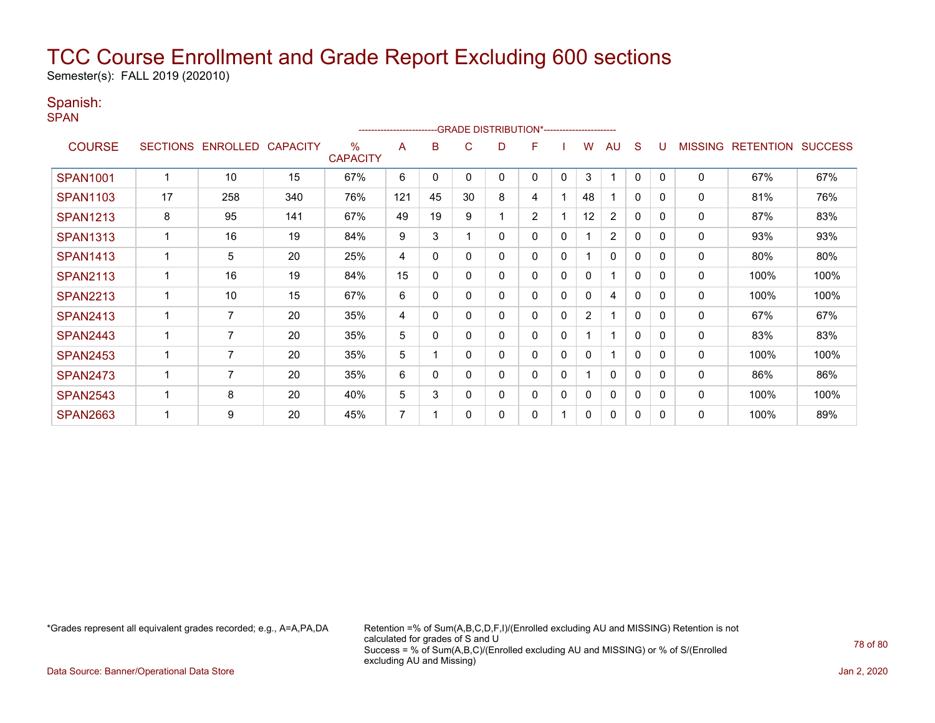Semester(s): FALL 2019 (202010)

#### Spanish:

**SPAN** 

|                 |                 |                 |                 |                         | ------------------------ |              | --GRADE DISTRIBUTION*---------------------- |   |                |              |                |                |              |              |                |                  |                |
|-----------------|-----------------|-----------------|-----------------|-------------------------|--------------------------|--------------|---------------------------------------------|---|----------------|--------------|----------------|----------------|--------------|--------------|----------------|------------------|----------------|
| <b>COURSE</b>   | <b>SECTIONS</b> | <b>ENROLLED</b> | <b>CAPACITY</b> | $\%$<br><b>CAPACITY</b> | A                        | в            | C.                                          | D | F              |              | w              | AU             | S            |              | <b>MISSING</b> | <b>RETENTION</b> | <b>SUCCESS</b> |
| <b>SPAN1001</b> |                 | 10              | 15              | 67%                     | 6                        | 0            | 0                                           | 0 | 0              | 0            | 3              | ٠              | 0            | $\Omega$     | 0              | 67%              | 67%            |
| <b>SPAN1103</b> | 17              | 258             | 340             | 76%                     | 121                      | 45           | 30                                          | 8 | 4              |              | 48             |                | $\mathbf{0}$ | $\Omega$     | 0              | 81%              | 76%            |
| <b>SPAN1213</b> | 8               | 95              | 141             | 67%                     | 49                       | 19           | 9                                           |   | $\overline{2}$ |              | 12             | $\overline{2}$ | 0            | $\Omega$     | 0              | 87%              | 83%            |
| <b>SPAN1313</b> |                 | 16              | 19              | 84%                     | 9                        | 3            |                                             | 0 | 0              | 0            |                | $\overline{2}$ | 0            | $\Omega$     | 0              | 93%              | 93%            |
| <b>SPAN1413</b> |                 | 5               | 20              | 25%                     | 4                        | 0            | 0                                           | 0 | 0              | 0            |                | $\mathbf{0}$   | $\mathbf{0}$ | $\Omega$     | 0              | 80%              | 80%            |
| <b>SPAN2113</b> |                 | 16              | 19              | 84%                     | 15                       | $\mathbf{0}$ | 0                                           | 0 | 0              | 0            | 0              | 1              | $\Omega$     | 0            | 0              | 100%             | 100%           |
| <b>SPAN2213</b> |                 | 10              | 15              | 67%                     | 6                        | 0            | 0                                           | 0 | 0              | 0            | 0              | 4              | $\mathbf{0}$ | $\Omega$     | 0              | 100%             | 100%           |
| <b>SPAN2413</b> |                 | 7               | 20              | 35%                     | 4                        | $\mathbf{0}$ | 0                                           | 0 | 0              | $\mathbf{0}$ | $\overline{2}$ |                | $\mathbf{0}$ | 0            | 0              | 67%              | 67%            |
| <b>SPAN2443</b> |                 | 7               | 20              | 35%                     | 5                        | $\mathbf{0}$ | 0                                           | 0 | 0              | $\mathbf 0$  |                | 1              | $\mathbf{0}$ | $\Omega$     | 0              | 83%              | 83%            |
| <b>SPAN2453</b> |                 | 7               | 20              | 35%                     | 5                        |              | 0                                           | 0 | 0              | $\mathbf{0}$ | 0              | 1              | $\mathbf{0}$ | $\mathbf{0}$ | 0              | 100%             | 100%           |
| <b>SPAN2473</b> |                 | 7               | 20              | 35%                     | 6                        | $\Omega$     |                                             | 0 | 0              | 0            |                | $\mathbf{0}$   | $\mathbf{0}$ | $\Omega$     | 0              | 86%              | 86%            |
| <b>SPAN2543</b> |                 | 8               | 20              | 40%                     | 5                        | 3            | 0                                           | 0 | 0              | 0            | 0              | 0              | 0            | $\Omega$     | 0              | 100%             | 100%           |
| <b>SPAN2663</b> |                 | 9               | 20              | 45%                     | 7                        |              | O                                           | 0 | 0              |              | 0              | $\mathbf{0}$   | 0            | $\Omega$     | 0              | 100%             | 89%            |

\*Grades represent all equivalent grades recorded; e.g., A=A,PA,DA Retention =% of Sum(A,B,C,D,F,I)/(Enrolled excluding AU and MISSING) Retention is not calculated for grades of S and U Success = % of Sum(A,B,C)/(Enrolled excluding AU and MISSING) or % of S/(Enrolled excluding AU and Missing)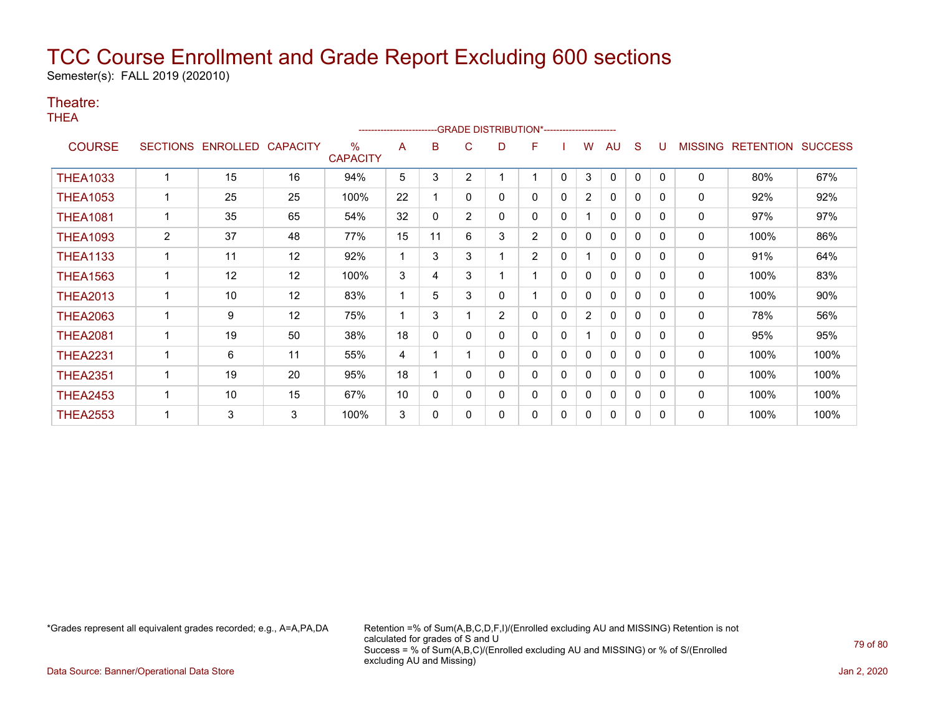Semester(s): FALL 2019 (202010)

#### Theatre:

**THEA** 

|                 |                 |          |                 |                         | ------------------------ |    |                | -- GRADE DISTRIBUTION*----------------------- |                |              |                |              |              |          |                |                  |                |
|-----------------|-----------------|----------|-----------------|-------------------------|--------------------------|----|----------------|-----------------------------------------------|----------------|--------------|----------------|--------------|--------------|----------|----------------|------------------|----------------|
| <b>COURSE</b>   | <b>SECTIONS</b> | ENROLLED | <b>CAPACITY</b> | $\%$<br><b>CAPACITY</b> | A                        | в  | C              | D                                             | F              |              | w              | AU           | <sub>S</sub> |          | <b>MISSING</b> | <b>RETENTION</b> | <b>SUCCESS</b> |
| <b>THEA1033</b> |                 | 15       | 16              | 94%                     | 5                        | 3  | $\overline{2}$ |                                               |                | 0            | 3              | 0            | 0            | $\Omega$ | 0              | 80%              | 67%            |
| <b>THEA1053</b> |                 | 25       | 25              | 100%                    | 22                       |    | 0              | 0                                             | 0              | $\mathbf{0}$ | $\overline{2}$ | 0            | 0            | 0        | 0              | 92%              | 92%            |
| <b>THEA1081</b> |                 | 35       | 65              | 54%                     | 32                       | 0  | $\overline{2}$ | 0                                             | 0              | $\mathbf{0}$ |                | 0            | 0            | $\Omega$ | 0              | 97%              | 97%            |
| <b>THEA1093</b> | $\overline{2}$  | 37       | 48              | 77%                     | 15                       | 11 | 6              | 3                                             | 2              | $\mathbf{0}$ | 0              | $\Omega$     | 0            | 0        | 0              | 100%             | 86%            |
| <b>THEA1133</b> |                 | 11       | 12              | 92%                     |                          | 3  | 3              |                                               | $\overline{2}$ | 0            |                | 0            | $\mathbf{0}$ | $\Omega$ | 0              | 91%              | 64%            |
| <b>THEA1563</b> |                 | 12       | 12              | 100%                    | 3                        | 4  | 3              |                                               |                | $\mathbf{0}$ | 0              | 0            | $\mathbf{0}$ | 0        | 0              | 100%             | 83%            |
| <b>THEA2013</b> |                 | 10       | 12              | 83%                     |                          | 5  | 3              | 0                                             |                | 0            | 0              | 0            | $\mathbf{0}$ | $\Omega$ | 0              | 100%             | 90%            |
| <b>THEA2063</b> |                 | 9        | 12              | 75%                     |                          | 3  |                | $\overline{2}$                                | 0              | $\Omega$     | $\overline{2}$ | 0            | 0            | 0        | 0              | 78%              | 56%            |
| <b>THEA2081</b> |                 | 19       | 50              | 38%                     | 18                       | 0  | 0              | 0                                             | 0              | 0            |                | $\mathbf{0}$ | $\mathbf{0}$ | $\Omega$ | 0              | 95%              | 95%            |
| <b>THEA2231</b> |                 | 6        | 11              | 55%                     | 4                        |    |                | 0                                             | 0              | $\Omega$     | 0              | 0            | 0            | 0        | 0              | 100%             | 100%           |
| <b>THEA2351</b> |                 | 19       | 20              | 95%                     | 18                       |    | 0              | 0                                             | 0              | 0            | 0              | 0            | $\mathbf{0}$ | $\Omega$ | 0              | 100%             | 100%           |
| <b>THEA2453</b> |                 | 10       | 15              | 67%                     | 10                       | 0  | 0              | 0                                             | 0              | 0            | 0              | 0            | 0            | $\Omega$ | 0              | 100%             | 100%           |
| <b>THEA2553</b> |                 | 3        | 3               | 100%                    | 3                        | 0  | 0              | 0                                             | 0              | 0            | 0              | 0            | 0            | $\Omega$ | 0              | 100%             | 100%           |

\*Grades represent all equivalent grades recorded; e.g., A=A,PA,DA Retention =% of Sum(A,B,C,D,F,I)/(Enrolled excluding AU and MISSING) Retention is not calculated for grades of S and U Success = % of Sum(A,B,C)/(Enrolled excluding AU and MISSING) or % of S/(Enrolled excluding AU and Missing)